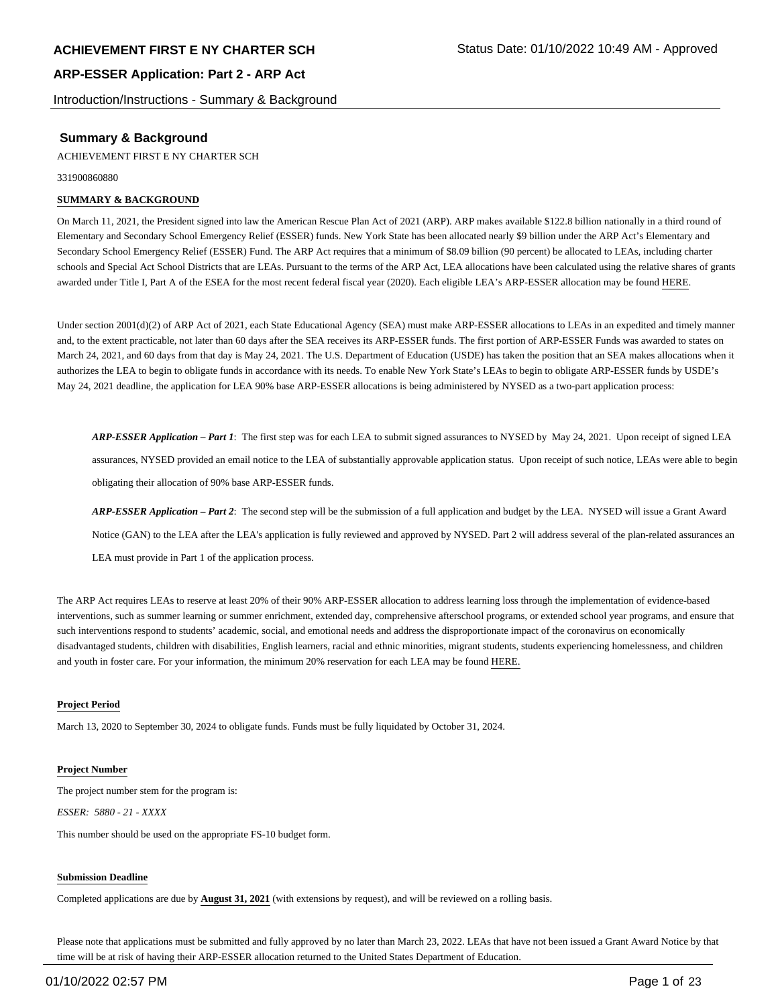Introduction/Instructions - Summary & Background

## **Summary & Background**

ACHIEVEMENT FIRST E NY CHARTER SCH

331900860880

#### **SUMMARY & BACKGROUND**

On March 11, 2021, the President signed into law the American Rescue Plan Act of 2021 (ARP). ARP makes available \$122.8 billion nationally in a third round of Elementary and Secondary School Emergency Relief (ESSER) funds. New York State has been allocated nearly \$9 billion under the ARP Act's Elementary and Secondary School Emergency Relief (ESSER) Fund. The ARP Act requires that a minimum of \$8.09 billion (90 percent) be allocated to LEAs, including charter schools and Special Act School Districts that are LEAs. Pursuant to the terms of the ARP Act, LEA allocations have been calculated using the relative shares of grants awarded under Title I, Part A of the ESEA for the most recent federal fiscal year (2020). Each eligible LEA's ARP-ESSER allocation may be found HERE.

Under section 2001(d)(2) of ARP Act of 2021, each State Educational Agency (SEA) must make ARP-ESSER allocations to LEAs in an expedited and timely manner and, to the extent practicable, not later than 60 days after the SEA receives its ARP-ESSER funds. The first portion of ARP-ESSER Funds was awarded to states on March 24, 2021, and 60 days from that day is May 24, 2021. The U.S. Department of Education (USDE) has taken the position that an SEA makes allocations when it authorizes the LEA to begin to obligate funds in accordance with its needs. To enable New York State's LEAs to begin to obligate ARP-ESSER funds by USDE's May 24, 2021 deadline, the application for LEA 90% base ARP-ESSER allocations is being administered by NYSED as a two-part application process:

*ARP-ESSER Application – Part 1*: The first step was for each LEA to submit signed assurances to NYSED by May 24, 2021. Upon receipt of signed LEA assurances, NYSED provided an email notice to the LEA of substantially approvable application status. Upon receipt of such notice, LEAs were able to begin obligating their allocation of 90% base ARP-ESSER funds.

*ARP-ESSER Application – Part 2*: The second step will be the submission of a full application and budget by the LEA. NYSED will issue a Grant Award Notice (GAN) to the LEA after the LEA's application is fully reviewed and approved by NYSED. Part 2 will address several of the plan-related assurances an LEA must provide in Part 1 of the application process.

The ARP Act requires LEAs to reserve at least 20% of their 90% ARP-ESSER allocation to address learning loss through the implementation of evidence-based interventions, such as summer learning or summer enrichment, extended day, comprehensive afterschool programs, or extended school year programs, and ensure that such interventions respond to students' academic, social, and emotional needs and address the disproportionate impact of the coronavirus on economically disadvantaged students, children with disabilities, English learners, racial and ethnic minorities, migrant students, students experiencing homelessness, and children and youth in foster care. For your information, the minimum 20% reservation for each LEA may be found HERE.

#### **Project Period**

March 13, 2020 to September 30, 2024 to obligate funds. Funds must be fully liquidated by October 31, 2024.

#### **Project Number**

The project number stem for the program is: *ESSER: 5880 - 21 - XXXX*

This number should be used on the appropriate FS-10 budget form.

#### **Submission Deadline**

Completed applications are due by **August 31, 2021** (with extensions by request), and will be reviewed on a rolling basis.

Please note that applications must be submitted and fully approved by no later than March 23, 2022. LEAs that have not been issued a Grant Award Notice by that time will be at risk of having their ARP-ESSER allocation returned to the United States Department of Education.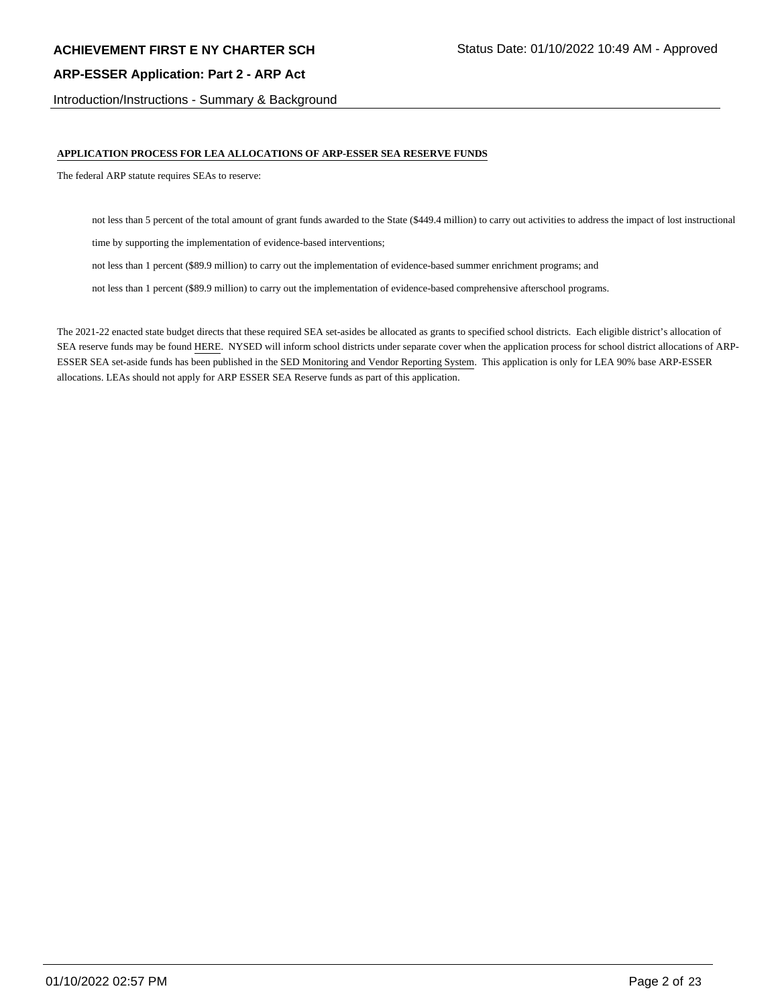## **ARP-ESSER Application: Part 2 - ARP Act**

Introduction/Instructions - Summary & Background

### **APPLICATION PROCESS FOR LEA ALLOCATIONS OF ARP-ESSER SEA RESERVE FUNDS**

The federal ARP statute requires SEAs to reserve:

not less than 5 percent of the total amount of grant funds awarded to the State (\$449.4 million) to carry out activities to address the impact of lost instructional

time by supporting the implementation of evidence-based interventions;

not less than 1 percent (\$89.9 million) to carry out the implementation of evidence-based summer enrichment programs; and

not less than 1 percent (\$89.9 million) to carry out the implementation of evidence-based comprehensive afterschool programs.

The 2021-22 enacted state budget directs that these required SEA set-asides be allocated as grants to specified school districts. Each eligible district's allocation of SEA reserve funds may be found HERE. NYSED will inform school districts under separate cover when the application process for school district allocations of ARP-ESSER SEA set-aside funds has been published in the SED Monitoring and Vendor Reporting System. This application is only for LEA 90% base ARP-ESSER allocations. LEAs should not apply for ARP ESSER SEA Reserve funds as part of this application.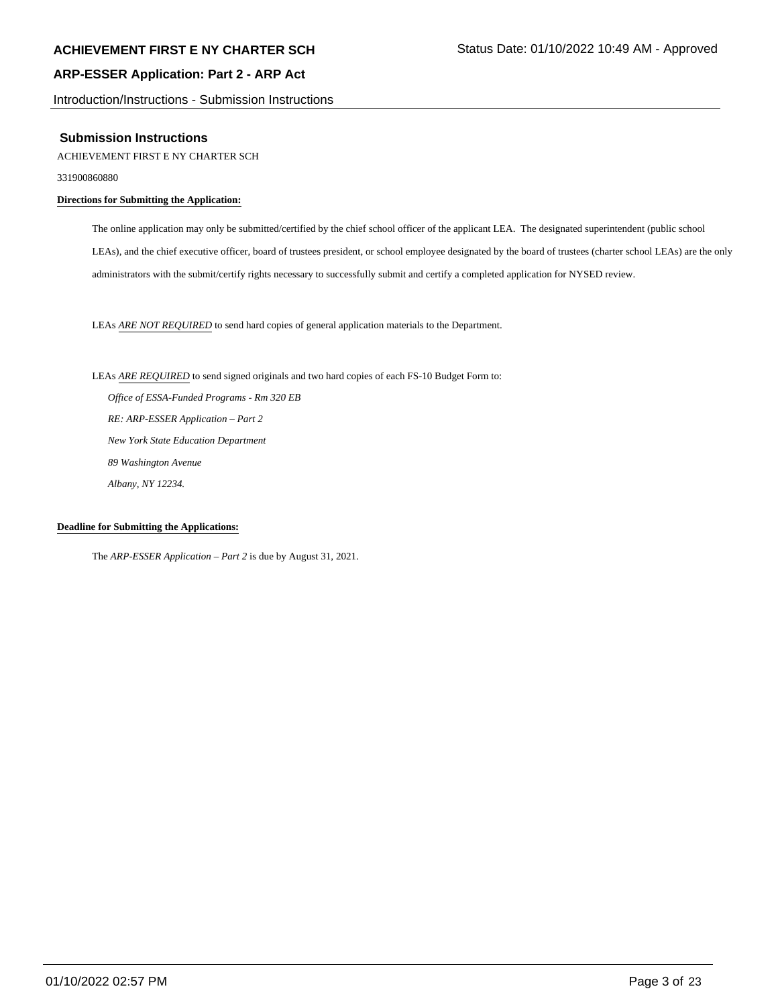Introduction/Instructions - Submission Instructions

### **Submission Instructions**

ACHIEVEMENT FIRST E NY CHARTER SCH

331900860880

## **Directions for Submitting the Application:**

The online application may only be submitted/certified by the chief school officer of the applicant LEA. The designated superintendent (public school LEAs), and the chief executive officer, board of trustees president, or school employee designated by the board of trustees (charter school LEAs) are the only administrators with the submit/certify rights necessary to successfully submit and certify a completed application for NYSED review.

LEAs *ARE NOT REQUIRED* to send hard copies of general application materials to the Department.

LEAs *ARE REQUIRED* to send signed originals and two hard copies of each FS-10 Budget Form to:  *Office of ESSA-Funded Programs - Rm 320 EB RE: ARP-ESSER Application – Part 2 New York State Education Department 89 Washington Avenue Albany, NY 12234.*

#### **Deadline for Submitting the Applications:**

The *ARP-ESSER Application – Part 2* is due by August 31, 2021.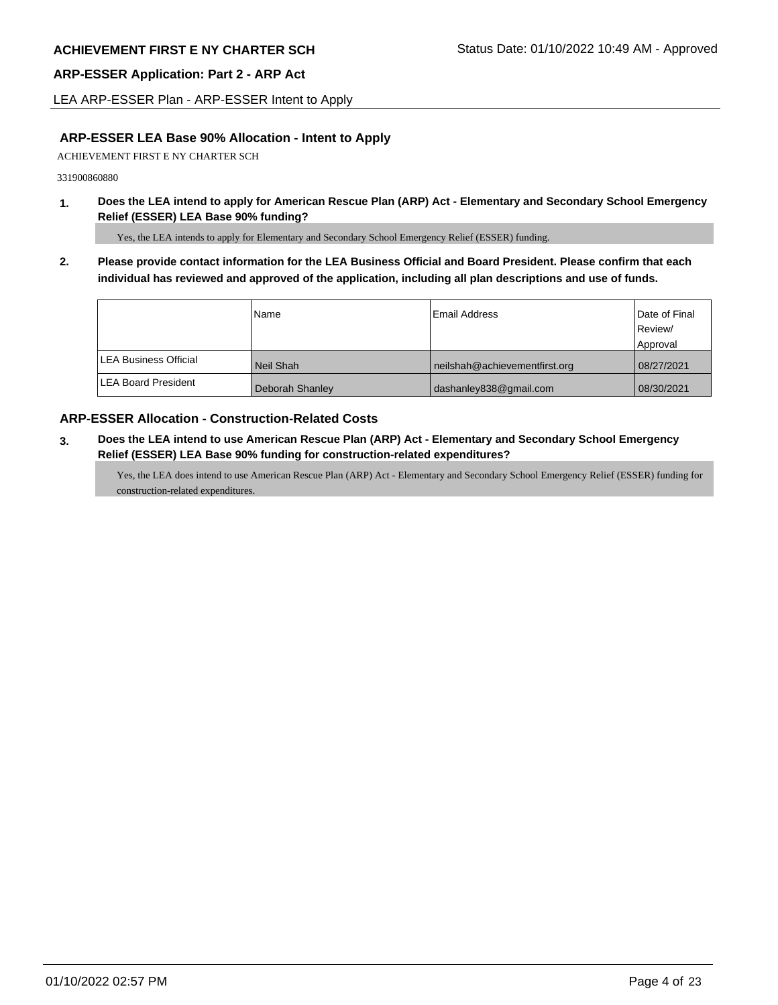LEA ARP-ESSER Plan - ARP-ESSER Intent to Apply

# **ARP-ESSER LEA Base 90% Allocation - Intent to Apply**

ACHIEVEMENT FIRST E NY CHARTER SCH

331900860880

**1. Does the LEA intend to apply for American Rescue Plan (ARP) Act - Elementary and Secondary School Emergency Relief (ESSER) LEA Base 90% funding?**

Yes, the LEA intends to apply for Elementary and Secondary School Emergency Relief (ESSER) funding.

**2. Please provide contact information for the LEA Business Official and Board President. Please confirm that each individual has reviewed and approved of the application, including all plan descriptions and use of funds.** 

|                               | Name            | Email Address                 | Date of Final |
|-------------------------------|-----------------|-------------------------------|---------------|
|                               |                 |                               | Review/       |
|                               |                 |                               | Approval      |
| <b>ILEA Business Official</b> | Neil Shah       | neilshah@achievementfirst.org | 08/27/2021    |
| <b>LEA Board President</b>    | Deborah Shanley | dashanley838@gmail.com        | 08/30/2021    |

## **ARP-ESSER Allocation - Construction-Related Costs**

**3. Does the LEA intend to use American Rescue Plan (ARP) Act - Elementary and Secondary School Emergency Relief (ESSER) LEA Base 90% funding for construction-related expenditures?**

Yes, the LEA does intend to use American Rescue Plan (ARP) Act - Elementary and Secondary School Emergency Relief (ESSER) funding for construction-related expenditures.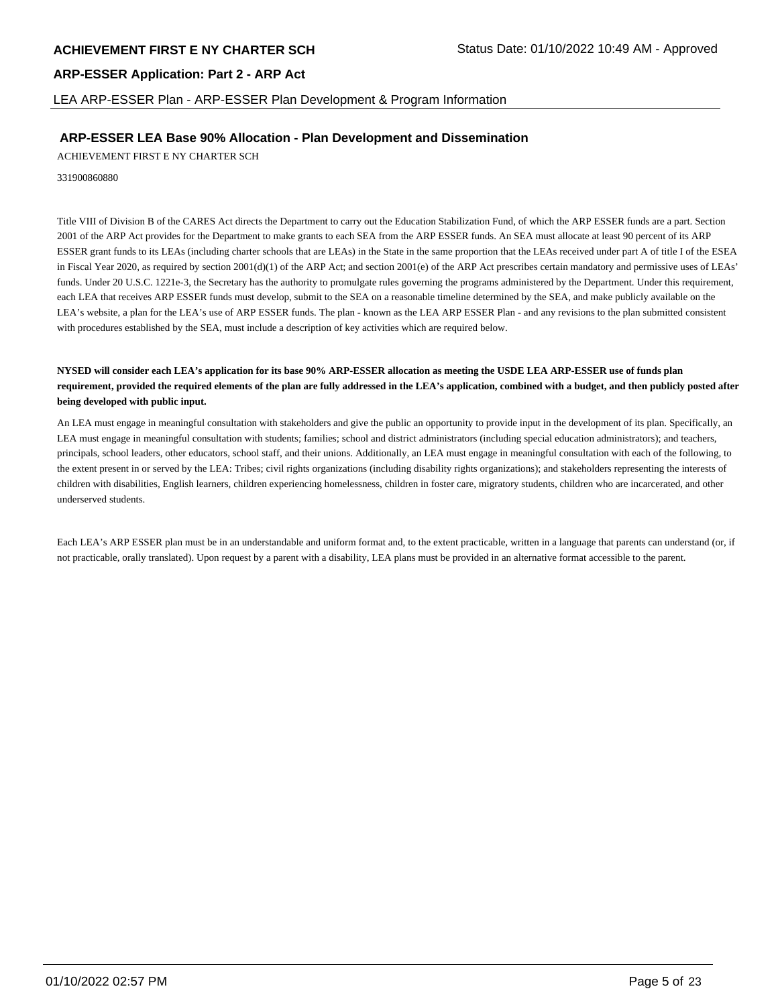## **ARP-ESSER Application: Part 2 - ARP Act**

LEA ARP-ESSER Plan - ARP-ESSER Plan Development & Program Information

## **ARP-ESSER LEA Base 90% Allocation - Plan Development and Dissemination**

ACHIEVEMENT FIRST E NY CHARTER SCH

331900860880

Title VIII of Division B of the CARES Act directs the Department to carry out the Education Stabilization Fund, of which the ARP ESSER funds are a part. Section 2001 of the ARP Act provides for the Department to make grants to each SEA from the ARP ESSER funds. An SEA must allocate at least 90 percent of its ARP ESSER grant funds to its LEAs (including charter schools that are LEAs) in the State in the same proportion that the LEAs received under part A of title I of the ESEA in Fiscal Year 2020, as required by section  $2001(d)(1)$  of the ARP Act; and section  $2001(e)$  of the ARP Act prescribes certain mandatory and permissive uses of LEAs' funds. Under 20 U.S.C. 1221e-3, the Secretary has the authority to promulgate rules governing the programs administered by the Department. Under this requirement, each LEA that receives ARP ESSER funds must develop, submit to the SEA on a reasonable timeline determined by the SEA, and make publicly available on the LEA's website, a plan for the LEA's use of ARP ESSER funds. The plan - known as the LEA ARP ESSER Plan - and any revisions to the plan submitted consistent with procedures established by the SEA, must include a description of key activities which are required below.

## **NYSED will consider each LEA's application for its base 90% ARP-ESSER allocation as meeting the USDE LEA ARP-ESSER use of funds plan requirement, provided the required elements of the plan are fully addressed in the LEA's application, combined with a budget, and then publicly posted after being developed with public input.**

An LEA must engage in meaningful consultation with stakeholders and give the public an opportunity to provide input in the development of its plan. Specifically, an LEA must engage in meaningful consultation with students; families; school and district administrators (including special education administrators); and teachers, principals, school leaders, other educators, school staff, and their unions. Additionally, an LEA must engage in meaningful consultation with each of the following, to the extent present in or served by the LEA: Tribes; civil rights organizations (including disability rights organizations); and stakeholders representing the interests of children with disabilities, English learners, children experiencing homelessness, children in foster care, migratory students, children who are incarcerated, and other underserved students.

Each LEA's ARP ESSER plan must be in an understandable and uniform format and, to the extent practicable, written in a language that parents can understand (or, if not practicable, orally translated). Upon request by a parent with a disability, LEA plans must be provided in an alternative format accessible to the parent.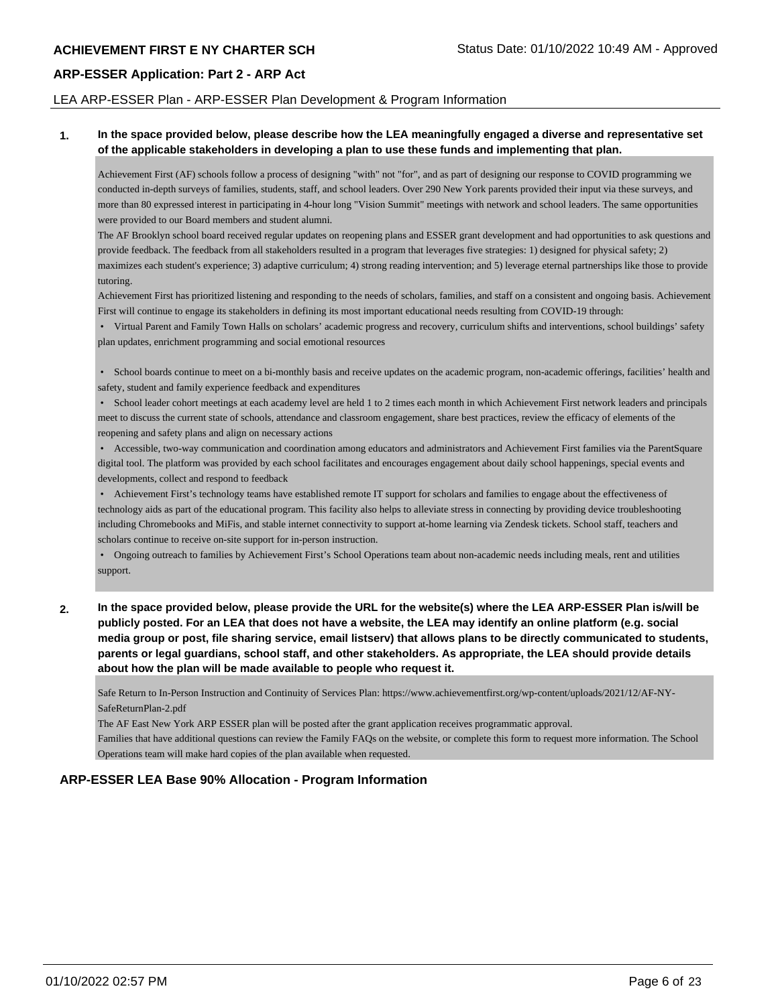## **ARP-ESSER Application: Part 2 - ARP Act**

#### LEA ARP-ESSER Plan - ARP-ESSER Plan Development & Program Information

## **1. In the space provided below, please describe how the LEA meaningfully engaged a diverse and representative set of the applicable stakeholders in developing a plan to use these funds and implementing that plan.**

Achievement First (AF) schools follow a process of designing "with" not "for", and as part of designing our response to COVID programming we conducted in-depth surveys of families, students, staff, and school leaders. Over 290 New York parents provided their input via these surveys, and more than 80 expressed interest in participating in 4-hour long "Vision Summit" meetings with network and school leaders. The same opportunities were provided to our Board members and student alumni.

The AF Brooklyn school board received regular updates on reopening plans and ESSER grant development and had opportunities to ask questions and provide feedback. The feedback from all stakeholders resulted in a program that leverages five strategies: 1) designed for physical safety; 2) maximizes each student's experience; 3) adaptive curriculum; 4) strong reading intervention; and 5) leverage eternal partnerships like those to provide tutoring.

Achievement First has prioritized listening and responding to the needs of scholars, families, and staff on a consistent and ongoing basis. Achievement First will continue to engage its stakeholders in defining its most important educational needs resulting from COVID-19 through:

 • Virtual Parent and Family Town Halls on scholars' academic progress and recovery, curriculum shifts and interventions, school buildings' safety plan updates, enrichment programming and social emotional resources

 • School boards continue to meet on a bi-monthly basis and receive updates on the academic program, non-academic offerings, facilities' health and safety, student and family experience feedback and expenditures

 • School leader cohort meetings at each academy level are held 1 to 2 times each month in which Achievement First network leaders and principals meet to discuss the current state of schools, attendance and classroom engagement, share best practices, review the efficacy of elements of the reopening and safety plans and align on necessary actions

 • Accessible, two-way communication and coordination among educators and administrators and Achievement First families via the ParentSquare digital tool. The platform was provided by each school facilitates and encourages engagement about daily school happenings, special events and developments, collect and respond to feedback

 • Achievement First's technology teams have established remote IT support for scholars and families to engage about the effectiveness of technology aids as part of the educational program. This facility also helps to alleviate stress in connecting by providing device troubleshooting including Chromebooks and MiFis, and stable internet connectivity to support at-home learning via Zendesk tickets. School staff, teachers and scholars continue to receive on-site support for in-person instruction.

 • Ongoing outreach to families by Achievement First's School Operations team about non-academic needs including meals, rent and utilities support.

**2. In the space provided below, please provide the URL for the website(s) where the LEA ARP-ESSER Plan is/will be publicly posted. For an LEA that does not have a website, the LEA may identify an online platform (e.g. social media group or post, file sharing service, email listserv) that allows plans to be directly communicated to students, parents or legal guardians, school staff, and other stakeholders. As appropriate, the LEA should provide details about how the plan will be made available to people who request it.**

Safe Return to In-Person Instruction and Continuity of Services Plan: https://www.achievementfirst.org/wp-content/uploads/2021/12/AF-NY-SafeReturnPlan-2.pdf

The AF East New York ARP ESSER plan will be posted after the grant application receives programmatic approval.

Families that have additional questions can review the Family FAQs on the website, or complete this form to request more information. The School Operations team will make hard copies of the plan available when requested.

## **ARP-ESSER LEA Base 90% Allocation - Program Information**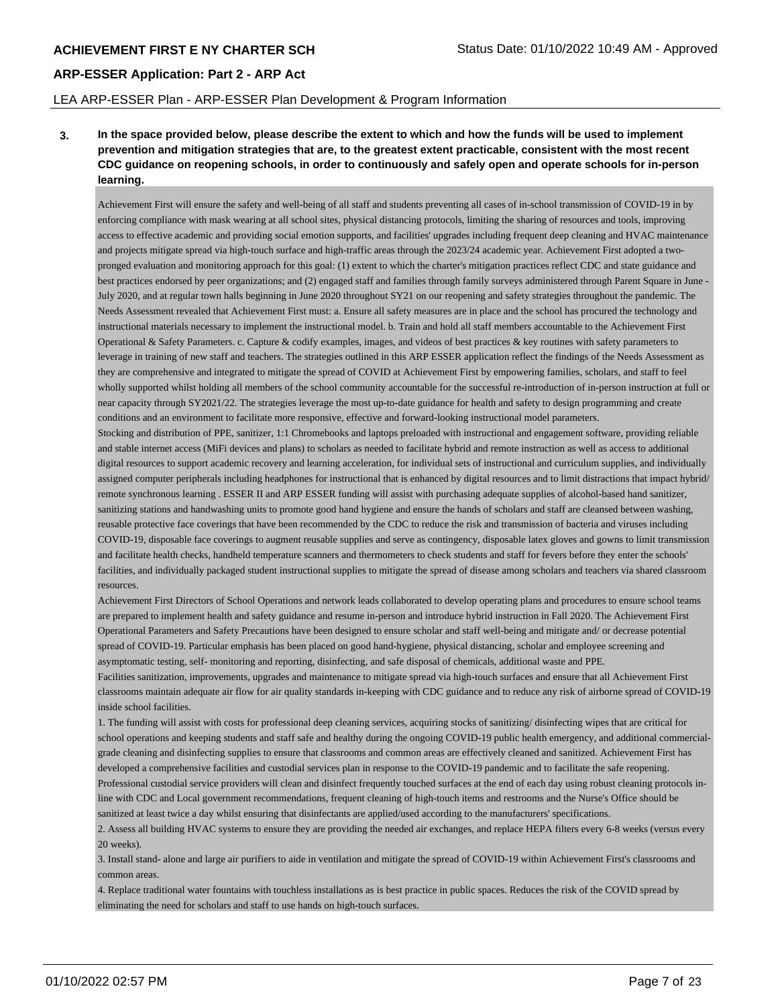## LEA ARP-ESSER Plan - ARP-ESSER Plan Development & Program Information

**3. In the space provided below, please describe the extent to which and how the funds will be used to implement prevention and mitigation strategies that are, to the greatest extent practicable, consistent with the most recent CDC guidance on reopening schools, in order to continuously and safely open and operate schools for in-person learning.**

Achievement First will ensure the safety and well-being of all staff and students preventing all cases of in-school transmission of COVID-19 in by enforcing compliance with mask wearing at all school sites, physical distancing protocols, limiting the sharing of resources and tools, improving access to effective academic and providing social emotion supports, and facilities' upgrades including frequent deep cleaning and HVAC maintenance and projects mitigate spread via high-touch surface and high-traffic areas through the 2023/24 academic year. Achievement First adopted a twopronged evaluation and monitoring approach for this goal: (1) extent to which the charter's mitigation practices reflect CDC and state guidance and best practices endorsed by peer organizations; and (2) engaged staff and families through family surveys administered through Parent Square in June - July 2020, and at regular town halls beginning in June 2020 throughout SY21 on our reopening and safety strategies throughout the pandemic. The Needs Assessment revealed that Achievement First must: a. Ensure all safety measures are in place and the school has procured the technology and instructional materials necessary to implement the instructional model. b. Train and hold all staff members accountable to the Achievement First Operational & Safety Parameters. c. Capture & codify examples, images, and videos of best practices & key routines with safety parameters to leverage in training of new staff and teachers. The strategies outlined in this ARP ESSER application reflect the findings of the Needs Assessment as they are comprehensive and integrated to mitigate the spread of COVID at Achievement First by empowering families, scholars, and staff to feel wholly supported whilst holding all members of the school community accountable for the successful re-introduction of in-person instruction at full or near capacity through SY2021/22. The strategies leverage the most up-to-date guidance for health and safety to design programming and create conditions and an environment to facilitate more responsive, effective and forward-looking instructional model parameters.

Stocking and distribution of PPE, sanitizer, 1:1 Chromebooks and laptops preloaded with instructional and engagement software, providing reliable and stable internet access (MiFi devices and plans) to scholars as needed to facilitate hybrid and remote instruction as well as access to additional digital resources to support academic recovery and learning acceleration, for individual sets of instructional and curriculum supplies, and individually assigned computer peripherals including headphones for instructional that is enhanced by digital resources and to limit distractions that impact hybrid/ remote synchronous learning . ESSER II and ARP ESSER funding will assist with purchasing adequate supplies of alcohol-based hand sanitizer, sanitizing stations and handwashing units to promote good hand hygiene and ensure the hands of scholars and staff are cleansed between washing, reusable protective face coverings that have been recommended by the CDC to reduce the risk and transmission of bacteria and viruses including COVID-19, disposable face coverings to augment reusable supplies and serve as contingency, disposable latex gloves and gowns to limit transmission and facilitate health checks, handheld temperature scanners and thermometers to check students and staff for fevers before they enter the schools' facilities, and individually packaged student instructional supplies to mitigate the spread of disease among scholars and teachers via shared classroom resources.

Achievement First Directors of School Operations and network leads collaborated to develop operating plans and procedures to ensure school teams are prepared to implement health and safety guidance and resume in-person and introduce hybrid instruction in Fall 2020. The Achievement First Operational Parameters and Safety Precautions have been designed to ensure scholar and staff well-being and mitigate and/ or decrease potential spread of COVID-19. Particular emphasis has been placed on good hand-hygiene, physical distancing, scholar and employee screening and asymptomatic testing, self- monitoring and reporting, disinfecting, and safe disposal of chemicals, additional waste and PPE.

Facilities sanitization, improvements, upgrades and maintenance to mitigate spread via high-touch surfaces and ensure that all Achievement First classrooms maintain adequate air flow for air quality standards in-keeping with CDC guidance and to reduce any risk of airborne spread of COVID-19 inside school facilities.

1. The funding will assist with costs for professional deep cleaning services, acquiring stocks of sanitizing/ disinfecting wipes that are critical for school operations and keeping students and staff safe and healthy during the ongoing COVID-19 public health emergency, and additional commercialgrade cleaning and disinfecting supplies to ensure that classrooms and common areas are effectively cleaned and sanitized. Achievement First has developed a comprehensive facilities and custodial services plan in response to the COVID-19 pandemic and to facilitate the safe reopening. Professional custodial service providers will clean and disinfect frequently touched surfaces at the end of each day using robust cleaning protocols inline with CDC and Local government recommendations, frequent cleaning of high-touch items and restrooms and the Nurse's Office should be sanitized at least twice a day whilst ensuring that disinfectants are applied/used according to the manufacturers' specifications.

2. Assess all building HVAC systems to ensure they are providing the needed air exchanges, and replace HEPA filters every 6-8 weeks (versus every 20 weeks).

3. Install stand- alone and large air purifiers to aide in ventilation and mitigate the spread of COVID-19 within Achievement First's classrooms and common areas.

4. Replace traditional water fountains with touchless installations as is best practice in public spaces. Reduces the risk of the COVID spread by eliminating the need for scholars and staff to use hands on high-touch surfaces.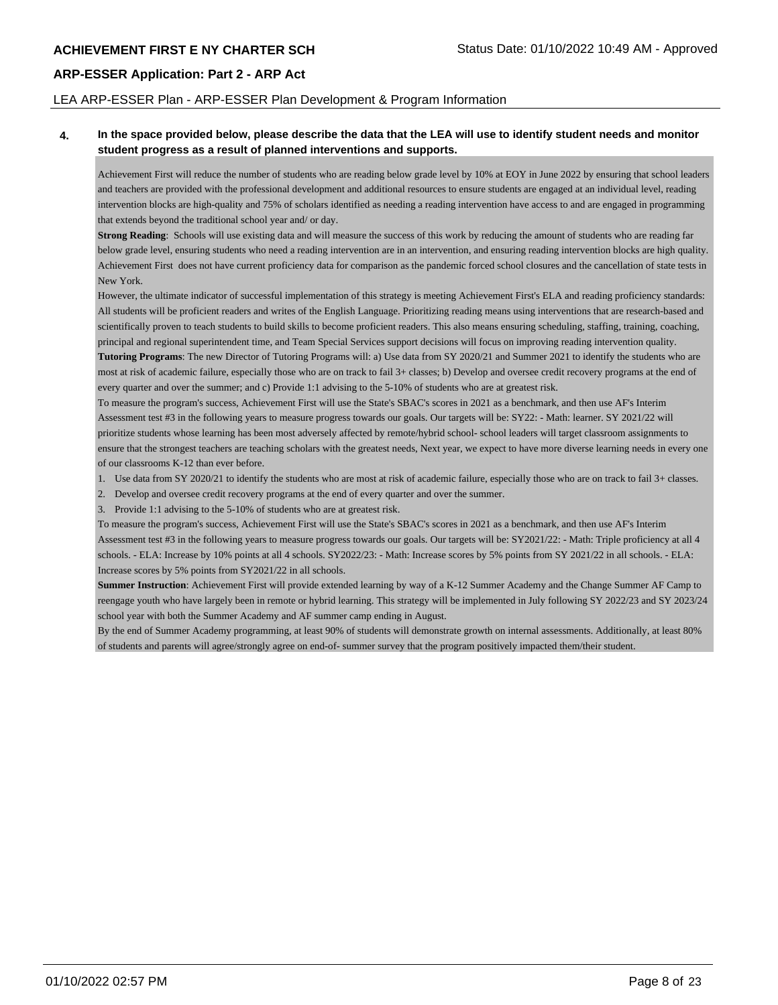### LEA ARP-ESSER Plan - ARP-ESSER Plan Development & Program Information

## **4. In the space provided below, please describe the data that the LEA will use to identify student needs and monitor student progress as a result of planned interventions and supports.**

Achievement First will reduce the number of students who are reading below grade level by 10% at EOY in June 2022 by ensuring that school leaders and teachers are provided with the professional development and additional resources to ensure students are engaged at an individual level, reading intervention blocks are high-quality and 75% of scholars identified as needing a reading intervention have access to and are engaged in programming that extends beyond the traditional school year and/ or day.

**Strong Reading**: Schools will use existing data and will measure the success of this work by reducing the amount of students who are reading far below grade level, ensuring students who need a reading intervention are in an intervention, and ensuring reading intervention blocks are high quality. Achievement First does not have current proficiency data for comparison as the pandemic forced school closures and the cancellation of state tests in New York.

However, the ultimate indicator of successful implementation of this strategy is meeting Achievement First's ELA and reading proficiency standards: All students will be proficient readers and writes of the English Language. Prioritizing reading means using interventions that are research-based and scientifically proven to teach students to build skills to become proficient readers. This also means ensuring scheduling, staffing, training, coaching, principal and regional superintendent time, and Team Special Services support decisions will focus on improving reading intervention quality. **Tutoring Programs**: The new Director of Tutoring Programs will: a) Use data from SY 2020/21 and Summer 2021 to identify the students who are

most at risk of academic failure, especially those who are on track to fail 3+ classes; b) Develop and oversee credit recovery programs at the end of every quarter and over the summer; and c) Provide 1:1 advising to the 5-10% of students who are at greatest risk.

To measure the program's success, Achievement First will use the State's SBAC's scores in 2021 as a benchmark, and then use AF's Interim Assessment test #3 in the following years to measure progress towards our goals. Our targets will be: SY22: - Math: learner. SY 2021/22 will prioritize students whose learning has been most adversely affected by remote/hybrid school- school leaders will target classroom assignments to ensure that the strongest teachers are teaching scholars with the greatest needs, Next year, we expect to have more diverse learning needs in every one of our classrooms K-12 than ever before.

- 1. Use data from SY 2020/21 to identify the students who are most at risk of academic failure, especially those who are on track to fail 3+ classes.
- 2. Develop and oversee credit recovery programs at the end of every quarter and over the summer.

3. Provide 1:1 advising to the 5-10% of students who are at greatest risk.

To measure the program's success, Achievement First will use the State's SBAC's scores in 2021 as a benchmark, and then use AF's Interim Assessment test #3 in the following years to measure progress towards our goals. Our targets will be: SY2021/22: - Math: Triple proficiency at all 4 schools. - ELA: Increase by 10% points at all 4 schools. SY2022/23: - Math: Increase scores by 5% points from SY 2021/22 in all schools. - ELA: Increase scores by 5% points from SY2021/22 in all schools.

**Summer Instruction**: Achievement First will provide extended learning by way of a K-12 Summer Academy and the Change Summer AF Camp to reengage youth who have largely been in remote or hybrid learning. This strategy will be implemented in July following SY 2022/23 and SY 2023/24 school year with both the Summer Academy and AF summer camp ending in August.

By the end of Summer Academy programming, at least 90% of students will demonstrate growth on internal assessments. Additionally, at least 80% of students and parents will agree/strongly agree on end-of- summer survey that the program positively impacted them/their student.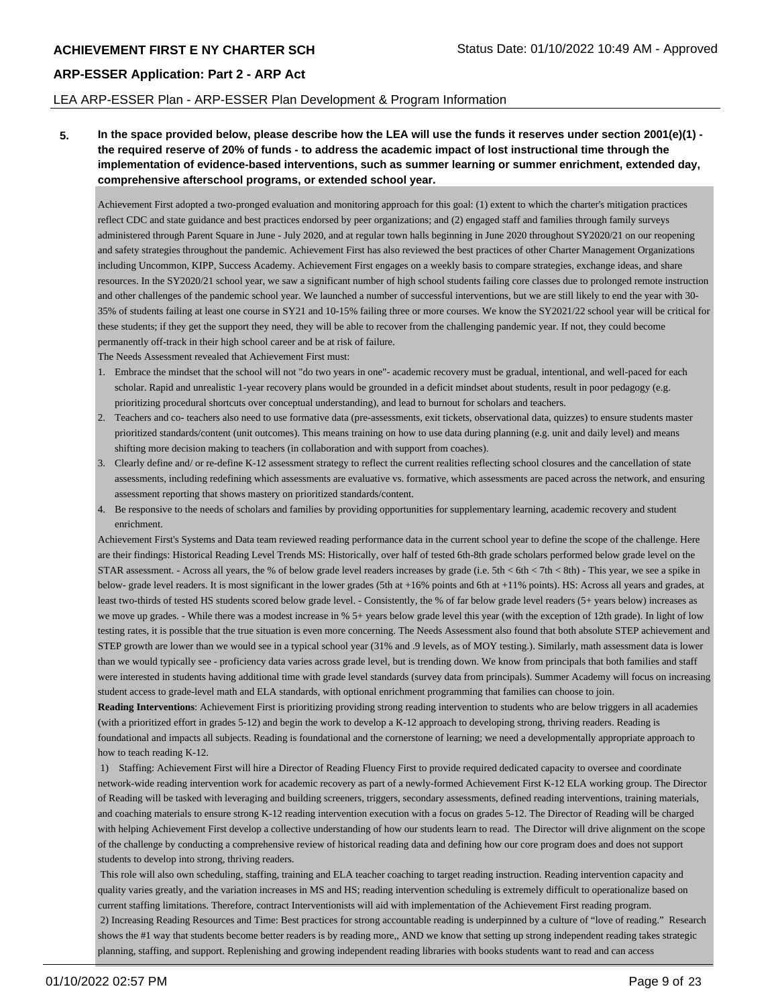#### LEA ARP-ESSER Plan - ARP-ESSER Plan Development & Program Information

**5. In the space provided below, please describe how the LEA will use the funds it reserves under section 2001(e)(1) the required reserve of 20% of funds - to address the academic impact of lost instructional time through the implementation of evidence-based interventions, such as summer learning or summer enrichment, extended day, comprehensive afterschool programs, or extended school year.**

Achievement First adopted a two-pronged evaluation and monitoring approach for this goal: (1) extent to which the charter's mitigation practices reflect CDC and state guidance and best practices endorsed by peer organizations; and (2) engaged staff and families through family surveys administered through Parent Square in June - July 2020, and at regular town halls beginning in June 2020 throughout SY2020/21 on our reopening and safety strategies throughout the pandemic. Achievement First has also reviewed the best practices of other Charter Management Organizations including Uncommon, KIPP, Success Academy. Achievement First engages on a weekly basis to compare strategies, exchange ideas, and share resources. In the SY2020/21 school year, we saw a significant number of high school students failing core classes due to prolonged remote instruction and other challenges of the pandemic school year. We launched a number of successful interventions, but we are still likely to end the year with 30- 35% of students failing at least one course in SY21 and 10-15% failing three or more courses. We know the SY2021/22 school year will be critical for these students; if they get the support they need, they will be able to recover from the challenging pandemic year. If not, they could become permanently off-track in their high school career and be at risk of failure.

The Needs Assessment revealed that Achievement First must:

- 1. Embrace the mindset that the school will not "do two years in one"- academic recovery must be gradual, intentional, and well-paced for each scholar. Rapid and unrealistic 1-year recovery plans would be grounded in a deficit mindset about students, result in poor pedagogy (e.g. prioritizing procedural shortcuts over conceptual understanding), and lead to burnout for scholars and teachers.
- 2. Teachers and co- teachers also need to use formative data (pre-assessments, exit tickets, observational data, quizzes) to ensure students master prioritized standards/content (unit outcomes). This means training on how to use data during planning (e.g. unit and daily level) and means shifting more decision making to teachers (in collaboration and with support from coaches).
- 3. Clearly define and/ or re-define K-12 assessment strategy to reflect the current realities reflecting school closures and the cancellation of state assessments, including redefining which assessments are evaluative vs. formative, which assessments are paced across the network, and ensuring assessment reporting that shows mastery on prioritized standards/content.
- 4. Be responsive to the needs of scholars and families by providing opportunities for supplementary learning, academic recovery and student enrichment.

Achievement First's Systems and Data team reviewed reading performance data in the current school year to define the scope of the challenge. Here are their findings: Historical Reading Level Trends MS: Historically, over half of tested 6th-8th grade scholars performed below grade level on the STAR assessment. - Across all years, the % of below grade level readers increases by grade (i.e. 5th < 6th < 7th < 8th) - This year, we see a spike in below- grade level readers. It is most significant in the lower grades (5th at +16% points and 6th at +11% points). HS: Across all years and grades, at least two-thirds of tested HS students scored below grade level. - Consistently, the % of far below grade level readers (5+ years below) increases as we move up grades. - While there was a modest increase in % 5+ years below grade level this year (with the exception of 12th grade). In light of low testing rates, it is possible that the true situation is even more concerning. The Needs Assessment also found that both absolute STEP achievement and STEP growth are lower than we would see in a typical school year (31% and .9 levels, as of MOY testing.). Similarly, math assessment data is lower than we would typically see - proficiency data varies across grade level, but is trending down. We know from principals that both families and staff were interested in students having additional time with grade level standards (survey data from principals). Summer Academy will focus on increasing student access to grade-level math and ELA standards, with optional enrichment programming that families can choose to join.

**Reading Interventions**: Achievement First is prioritizing providing strong reading intervention to students who are below triggers in all academies (with a prioritized effort in grades 5-12) and begin the work to develop a K-12 approach to developing strong, thriving readers. Reading is foundational and impacts all subjects. Reading is foundational and the cornerstone of learning; we need a developmentally appropriate approach to how to teach reading K-12.

 1) Staffing: Achievement First will hire a Director of Reading Fluency First to provide required dedicated capacity to oversee and coordinate network-wide reading intervention work for academic recovery as part of a newly-formed Achievement First K-12 ELA working group. The Director of Reading will be tasked with leveraging and building screeners, triggers, secondary assessments, defined reading interventions, training materials, and coaching materials to ensure strong K-12 reading intervention execution with a focus on grades 5-12. The Director of Reading will be charged with helping Achievement First develop a collective understanding of how our students learn to read. The Director will drive alignment on the scope of the challenge by conducting a comprehensive review of historical reading data and defining how our core program does and does not support students to develop into strong, thriving readers.

 This role will also own scheduling, staffing, training and ELA teacher coaching to target reading instruction. Reading intervention capacity and quality varies greatly, and the variation increases in MS and HS; reading intervention scheduling is extremely difficult to operationalize based on current staffing limitations. Therefore, contract Interventionists will aid with implementation of the Achievement First reading program. 2) Increasing Reading Resources and Time: Best practices for strong accountable reading is underpinned by a culture of "love of reading." Research shows the #1 way that students become better readers is by reading more,, AND we know that setting up strong independent reading takes strategic planning, staffing, and support. Replenishing and growing independent reading libraries with books students want to read and can access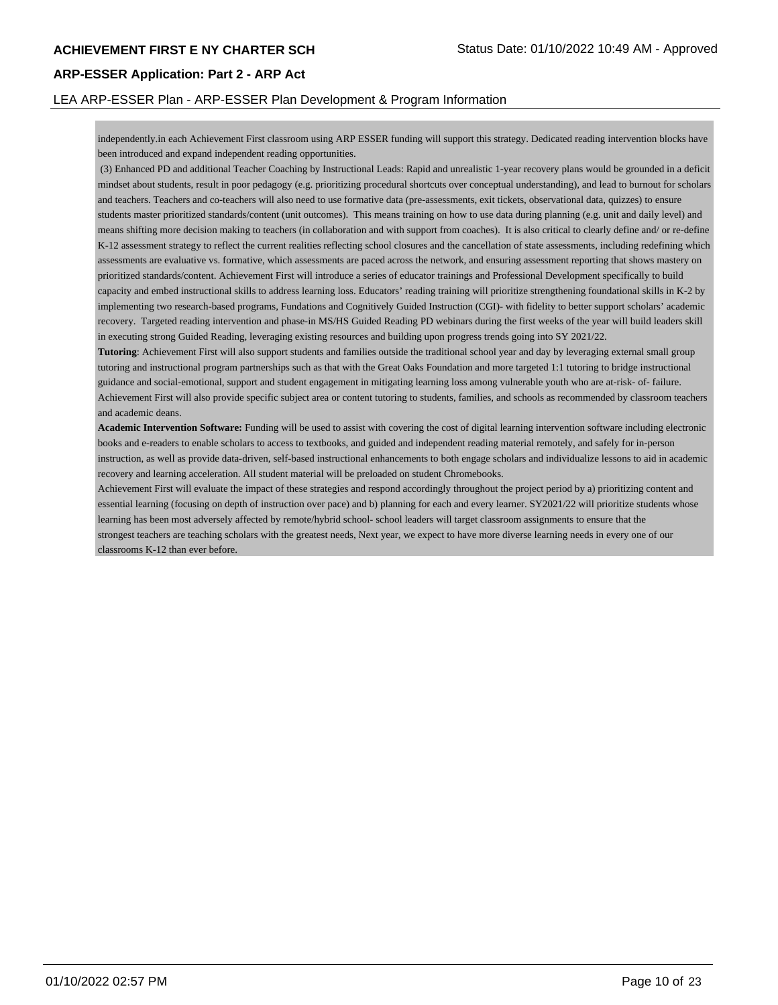### LEA ARP-ESSER Plan - ARP-ESSER Plan Development & Program Information

independently.in each Achievement First classroom using ARP ESSER funding will support this strategy. Dedicated reading intervention blocks have been introduced and expand independent reading opportunities.

 (3) Enhanced PD and additional Teacher Coaching by Instructional Leads: Rapid and unrealistic 1-year recovery plans would be grounded in a deficit mindset about students, result in poor pedagogy (e.g. prioritizing procedural shortcuts over conceptual understanding), and lead to burnout for scholars and teachers. Teachers and co-teachers will also need to use formative data (pre-assessments, exit tickets, observational data, quizzes) to ensure students master prioritized standards/content (unit outcomes). This means training on how to use data during planning (e.g. unit and daily level) and means shifting more decision making to teachers (in collaboration and with support from coaches). It is also critical to clearly define and/ or re-define K-12 assessment strategy to reflect the current realities reflecting school closures and the cancellation of state assessments, including redefining which assessments are evaluative vs. formative, which assessments are paced across the network, and ensuring assessment reporting that shows mastery on prioritized standards/content. Achievement First will introduce a series of educator trainings and Professional Development specifically to build capacity and embed instructional skills to address learning loss. Educators' reading training will prioritize strengthening foundational skills in K-2 by implementing two research-based programs, Fundations and Cognitively Guided Instruction (CGI)- with fidelity to better support scholars' academic recovery. Targeted reading intervention and phase-in MS/HS Guided Reading PD webinars during the first weeks of the year will build leaders skill in executing strong Guided Reading, leveraging existing resources and building upon progress trends going into SY 2021/22.

**Tutoring**: Achievement First will also support students and families outside the traditional school year and day by leveraging external small group tutoring and instructional program partnerships such as that with the Great Oaks Foundation and more targeted 1:1 tutoring to bridge instructional guidance and social-emotional, support and student engagement in mitigating learning loss among vulnerable youth who are at-risk- of- failure. Achievement First will also provide specific subject area or content tutoring to students, families, and schools as recommended by classroom teachers and academic deans.

**Academic Intervention Software:** Funding will be used to assist with covering the cost of digital learning intervention software including electronic books and e-readers to enable scholars to access to textbooks, and guided and independent reading material remotely, and safely for in-person instruction, as well as provide data-driven, self-based instructional enhancements to both engage scholars and individualize lessons to aid in academic recovery and learning acceleration. All student material will be preloaded on student Chromebooks.

Achievement First will evaluate the impact of these strategies and respond accordingly throughout the project period by a) prioritizing content and essential learning (focusing on depth of instruction over pace) and b) planning for each and every learner. SY2021/22 will prioritize students whose learning has been most adversely affected by remote/hybrid school- school leaders will target classroom assignments to ensure that the strongest teachers are teaching scholars with the greatest needs, Next year, we expect to have more diverse learning needs in every one of our classrooms K-12 than ever before.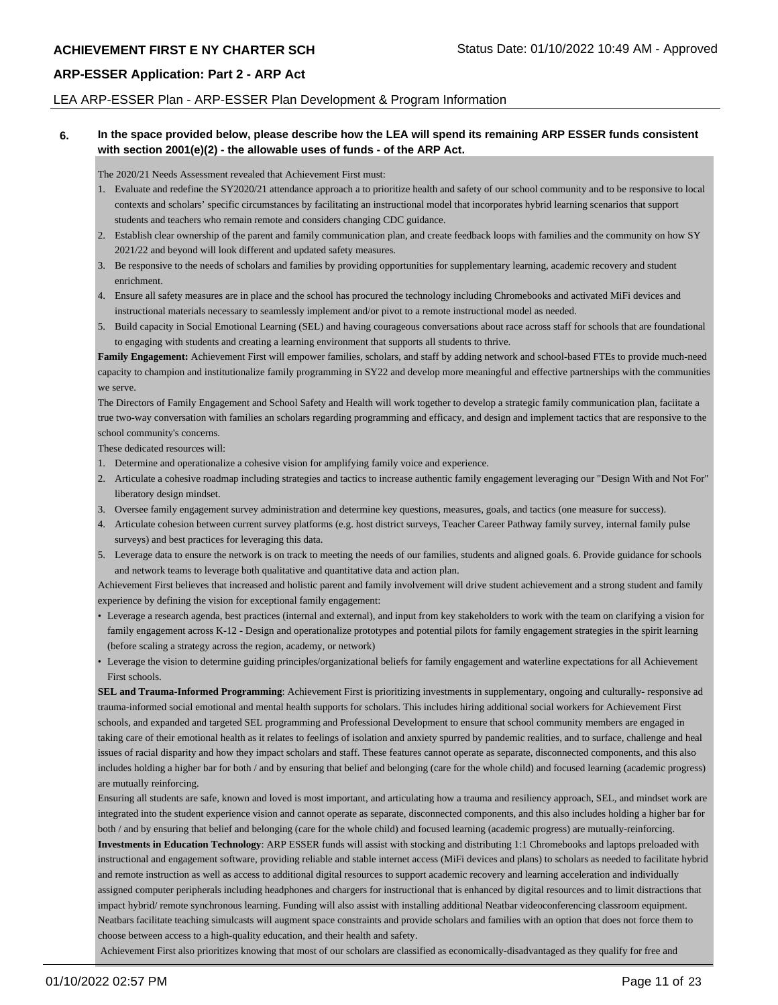## **ARP-ESSER Application: Part 2 - ARP Act**

#### LEA ARP-ESSER Plan - ARP-ESSER Plan Development & Program Information

#### **6. In the space provided below, please describe how the LEA will spend its remaining ARP ESSER funds consistent with section 2001(e)(2) - the allowable uses of funds - of the ARP Act.**

The 2020/21 Needs Assessment revealed that Achievement First must:

- 1. Evaluate and redefine the SY2020/21 attendance approach a to prioritize health and safety of our school community and to be responsive to local contexts and scholars' specific circumstances by facilitating an instructional model that incorporates hybrid learning scenarios that support students and teachers who remain remote and considers changing CDC guidance.
- 2. Establish clear ownership of the parent and family communication plan, and create feedback loops with families and the community on how SY 2021/22 and beyond will look different and updated safety measures.
- 3. Be responsive to the needs of scholars and families by providing opportunities for supplementary learning, academic recovery and student enrichment.
- 4. Ensure all safety measures are in place and the school has procured the technology including Chromebooks and activated MiFi devices and instructional materials necessary to seamlessly implement and/or pivot to a remote instructional model as needed.
- 5. Build capacity in Social Emotional Learning (SEL) and having courageous conversations about race across staff for schools that are foundational to engaging with students and creating a learning environment that supports all students to thrive.

Family Engagement: Achievement First will empower families, scholars, and staff by adding network and school-based FTEs to provide much-need capacity to champion and institutionalize family programming in SY22 and develop more meaningful and effective partnerships with the communities we serve.

The Directors of Family Engagement and School Safety and Health will work together to develop a strategic family communication plan, faciitate a true two-way conversation with families an scholars regarding programming and efficacy, and design and implement tactics that are responsive to the school community's concerns.

These dedicated resources will:

- 1. Determine and operationalize a cohesive vision for amplifying family voice and experience.
- 2. Articulate a cohesive roadmap including strategies and tactics to increase authentic family engagement leveraging our "Design With and Not For" liberatory design mindset.
- 3. Oversee family engagement survey administration and determine key questions, measures, goals, and tactics (one measure for success).
- 4. Articulate cohesion between current survey platforms (e.g. host district surveys, Teacher Career Pathway family survey, internal family pulse surveys) and best practices for leveraging this data.
- 5. Leverage data to ensure the network is on track to meeting the needs of our families, students and aligned goals. 6. Provide guidance for schools and network teams to leverage both qualitative and quantitative data and action plan.

Achievement First believes that increased and holistic parent and family involvement will drive student achievement and a strong student and family experience by defining the vision for exceptional family engagement:

- Leverage a research agenda, best practices (internal and external), and input from key stakeholders to work with the team on clarifying a vision for family engagement across K-12 - Design and operationalize prototypes and potential pilots for family engagement strategies in the spirit learning (before scaling a strategy across the region, academy, or network)
- Leverage the vision to determine guiding principles/organizational beliefs for family engagement and waterline expectations for all Achievement First schools.

**SEL and Trauma-Informed Programming**: Achievement First is prioritizing investments in supplementary, ongoing and culturally- responsive ad trauma-informed social emotional and mental health supports for scholars. This includes hiring additional social workers for Achievement First schools, and expanded and targeted SEL programming and Professional Development to ensure that school community members are engaged in taking care of their emotional health as it relates to feelings of isolation and anxiety spurred by pandemic realities, and to surface, challenge and heal issues of racial disparity and how they impact scholars and staff. These features cannot operate as separate, disconnected components, and this also includes holding a higher bar for both / and by ensuring that belief and belonging (care for the whole child) and focused learning (academic progress) are mutually reinforcing.

Ensuring all students are safe, known and loved is most important, and articulating how a trauma and resiliency approach, SEL, and mindset work are integrated into the student experience vision and cannot operate as separate, disconnected components, and this also includes holding a higher bar for both / and by ensuring that belief and belonging (care for the whole child) and focused learning (academic progress) are mutually-reinforcing.

**Investments in Education Technology**: ARP ESSER funds will assist with stocking and distributing 1:1 Chromebooks and laptops preloaded with instructional and engagement software, providing reliable and stable internet access (MiFi devices and plans) to scholars as needed to facilitate hybrid and remote instruction as well as access to additional digital resources to support academic recovery and learning acceleration and individually assigned computer peripherals including headphones and chargers for instructional that is enhanced by digital resources and to limit distractions that impact hybrid/ remote synchronous learning. Funding will also assist with installing additional Neatbar videoconferencing classroom equipment. Neatbars facilitate teaching simulcasts will augment space constraints and provide scholars and families with an option that does not force them to choose between access to a high-quality education, and their health and safety.

Achievement First also prioritizes knowing that most of our scholars are classified as economically-disadvantaged as they qualify for free and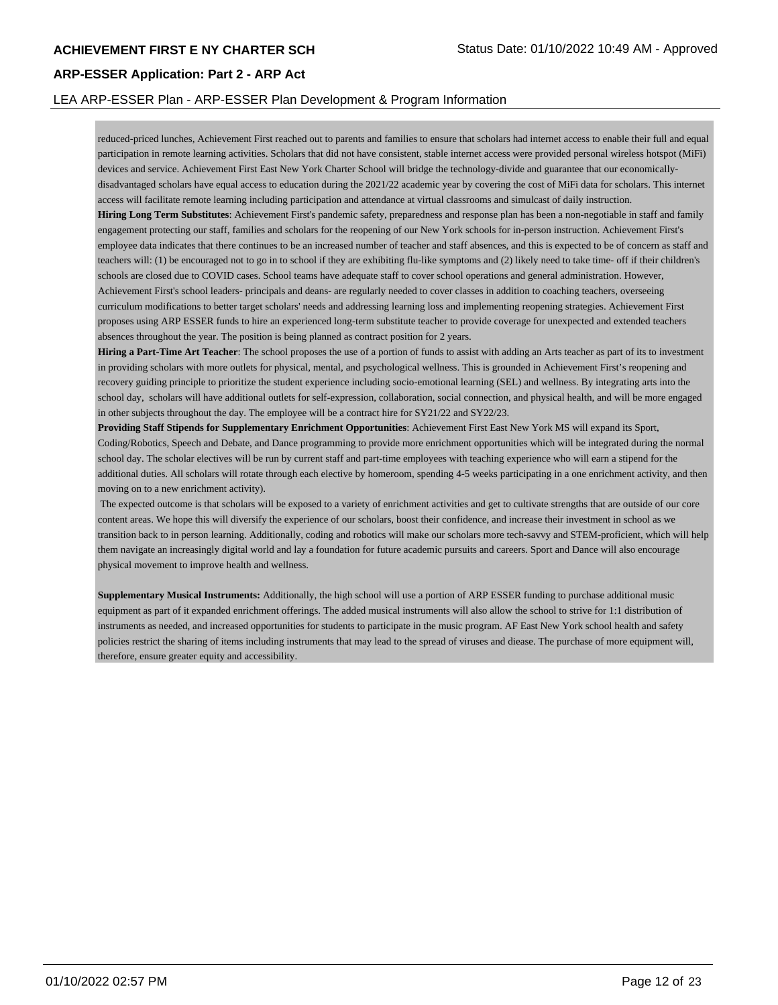### LEA ARP-ESSER Plan - ARP-ESSER Plan Development & Program Information

reduced-priced lunches, Achievement First reached out to parents and families to ensure that scholars had internet access to enable their full and equal participation in remote learning activities. Scholars that did not have consistent, stable internet access were provided personal wireless hotspot (MiFi) devices and service. Achievement First East New York Charter School will bridge the technology-divide and guarantee that our economicallydisadvantaged scholars have equal access to education during the 2021/22 academic year by covering the cost of MiFi data for scholars. This internet access will facilitate remote learning including participation and attendance at virtual classrooms and simulcast of daily instruction.

**Hiring Long Term Substitutes**: Achievement First's pandemic safety, preparedness and response plan has been a non-negotiable in staff and family engagement protecting our staff, families and scholars for the reopening of our New York schools for in-person instruction. Achievement First's employee data indicates that there continues to be an increased number of teacher and staff absences, and this is expected to be of concern as staff and teachers will: (1) be encouraged not to go in to school if they are exhibiting flu-like symptoms and (2) likely need to take time- off if their children's schools are closed due to COVID cases. School teams have adequate staff to cover school operations and general administration. However, Achievement First's school leaders- principals and deans- are regularly needed to cover classes in addition to coaching teachers, overseeing curriculum modifications to better target scholars' needs and addressing learning loss and implementing reopening strategies. Achievement First proposes using ARP ESSER funds to hire an experienced long-term substitute teacher to provide coverage for unexpected and extended teachers absences throughout the year. The position is being planned as contract position for 2 years.

**Hiring a Part-Time Art Teacher**: The school proposes the use of a portion of funds to assist with adding an Arts teacher as part of its to investment in providing scholars with more outlets for physical, mental, and psychological wellness. This is grounded in Achievement First's reopening and recovery guiding principle to prioritize the student experience including socio-emotional learning (SEL) and wellness. By integrating arts into the school day, scholars will have additional outlets for self-expression, collaboration, social connection, and physical health, and will be more engaged in other subjects throughout the day. The employee will be a contract hire for SY21/22 and SY22/23.

**Providing Staff Stipends for Supplementary Enrichment Opportunities**: Achievement First East New York MS will expand its Sport, Coding/Robotics, Speech and Debate, and Dance programming to provide more enrichment opportunities which will be integrated during the normal school day. The scholar electives will be run by current staff and part-time employees with teaching experience who will earn a stipend for the additional duties. All scholars will rotate through each elective by homeroom, spending 4-5 weeks participating in a one enrichment activity, and then moving on to a new enrichment activity).

 The expected outcome is that scholars will be exposed to a variety of enrichment activities and get to cultivate strengths that are outside of our core content areas. We hope this will diversify the experience of our scholars, boost their confidence, and increase their investment in school as we transition back to in person learning. Additionally, coding and robotics will make our scholars more tech-savvy and STEM-proficient, which will help them navigate an increasingly digital world and lay a foundation for future academic pursuits and careers. Sport and Dance will also encourage physical movement to improve health and wellness.

**Supplementary Musical Instruments:** Additionally, the high school will use a portion of ARP ESSER funding to purchase additional music equipment as part of it expanded enrichment offerings. The added musical instruments will also allow the school to strive for 1:1 distribution of instruments as needed, and increased opportunities for students to participate in the music program. AF East New York school health and safety policies restrict the sharing of items including instruments that may lead to the spread of viruses and diease. The purchase of more equipment will, therefore, ensure greater equity and accessibility.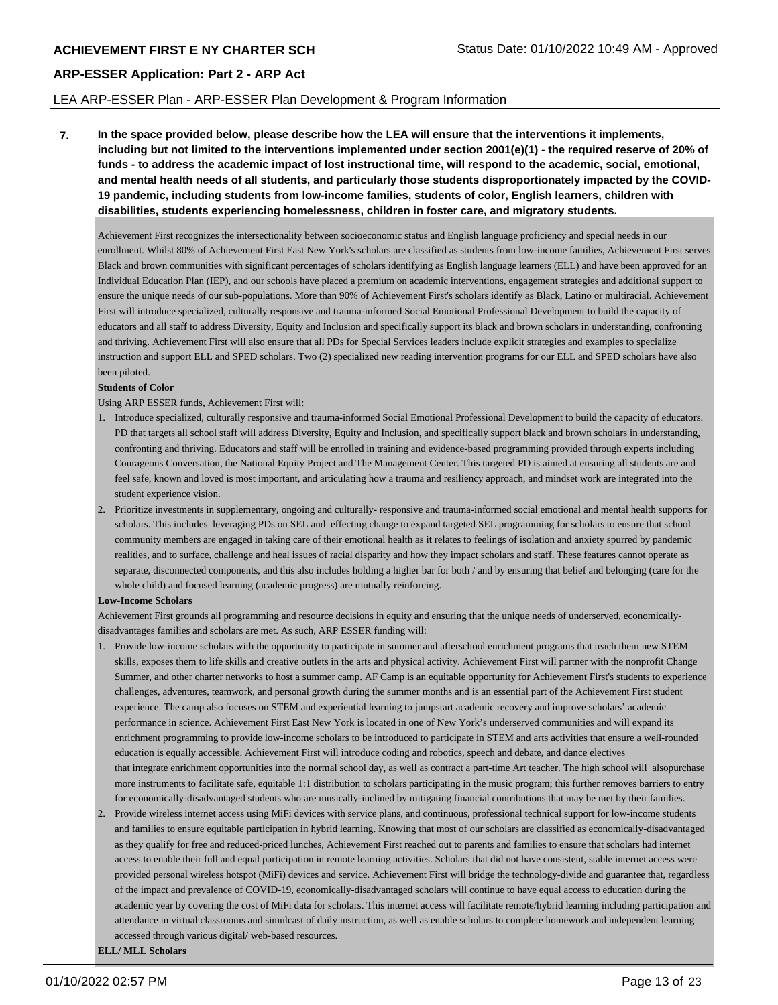#### LEA ARP-ESSER Plan - ARP-ESSER Plan Development & Program Information

**7. In the space provided below, please describe how the LEA will ensure that the interventions it implements, including but not limited to the interventions implemented under section 2001(e)(1) - the required reserve of 20% of funds - to address the academic impact of lost instructional time, will respond to the academic, social, emotional, and mental health needs of all students, and particularly those students disproportionately impacted by the COVID-19 pandemic, including students from low-income families, students of color, English learners, children with disabilities, students experiencing homelessness, children in foster care, and migratory students.**

Achievement First recognizes the intersectionality between socioeconomic status and English language proficiency and special needs in our enrollment. Whilst 80% of Achievement First East New York's scholars are classified as students from low-income families, Achievement First serves Black and brown communities with significant percentages of scholars identifying as English language learners (ELL) and have been approved for an Individual Education Plan (IEP), and our schools have placed a premium on academic interventions, engagement strategies and additional support to ensure the unique needs of our sub-populations. More than 90% of Achievement First's scholars identify as Black, Latino or multiracial. Achievement First will introduce specialized, culturally responsive and trauma-informed Social Emotional Professional Development to build the capacity of educators and all staff to address Diversity, Equity and Inclusion and specifically support its black and brown scholars in understanding, confronting and thriving. Achievement First will also ensure that all PDs for Special Services leaders include explicit strategies and examples to specialize instruction and support ELL and SPED scholars. Two (2) specialized new reading intervention programs for our ELL and SPED scholars have also been piloted.

#### **Students of Color**

Using ARP ESSER funds, Achievement First will:

- 1. Introduce specialized, culturally responsive and trauma-informed Social Emotional Professional Development to build the capacity of educators. PD that targets all school staff will address Diversity, Equity and Inclusion, and specifically support black and brown scholars in understanding, confronting and thriving. Educators and staff will be enrolled in training and evidence-based programming provided through experts including Courageous Conversation, the National Equity Project and The Management Center. This targeted PD is aimed at ensuring all students are and feel safe, known and loved is most important, and articulating how a trauma and resiliency approach, and mindset work are integrated into the student experience vision.
- 2. Prioritize investments in supplementary, ongoing and culturally- responsive and trauma-informed social emotional and mental health supports for scholars. This includes leveraging PDs on SEL and effecting change to expand targeted SEL programming for scholars to ensure that school community members are engaged in taking care of their emotional health as it relates to feelings of isolation and anxiety spurred by pandemic realities, and to surface, challenge and heal issues of racial disparity and how they impact scholars and staff. These features cannot operate as separate, disconnected components, and this also includes holding a higher bar for both / and by ensuring that belief and belonging (care for the whole child) and focused learning (academic progress) are mutually reinforcing.

#### **Low-Income Scholars**

Achievement First grounds all programming and resource decisions in equity and ensuring that the unique needs of underserved, economicallydisadvantages families and scholars are met. As such, ARP ESSER funding will:

- 1. Provide low-income scholars with the opportunity to participate in summer and afterschool enrichment programs that teach them new STEM skills, exposes them to life skills and creative outlets in the arts and physical activity. Achievement First will partner with the nonprofit Change Summer, and other charter networks to host a summer camp. AF Camp is an equitable opportunity for Achievement First's students to experience challenges, adventures, teamwork, and personal growth during the summer months and is an essential part of the Achievement First student experience. The camp also focuses on STEM and experiential learning to jumpstart academic recovery and improve scholars' academic performance in science. Achievement First East New York is located in one of New York's underserved communities and will expand its enrichment programming to provide low-income scholars to be introduced to participate in STEM and arts activities that ensure a well-rounded education is equally accessible. Achievement First will introduce coding and robotics, speech and debate, and dance electives that integrate enrichment opportunities into the normal school day, as well as contract a part-time Art teacher. The high school will alsopurchase more instruments to facilitate safe, equitable 1:1 distribution to scholars participating in the music program; this further removes barriers to entry for economically-disadvantaged students who are musically-inclined by mitigating financial contributions that may be met by their families.
- 2. Provide wireless internet access using MiFi devices with service plans, and continuous, professional technical support for low-income students and families to ensure equitable participation in hybrid learning. Knowing that most of our scholars are classified as economically-disadvantaged as they qualify for free and reduced-priced lunches, Achievement First reached out to parents and families to ensure that scholars had internet access to enable their full and equal participation in remote learning activities. Scholars that did not have consistent, stable internet access were provided personal wireless hotspot (MiFi) devices and service. Achievement First will bridge the technology-divide and guarantee that, regardless of the impact and prevalence of COVID-19, economically-disadvantaged scholars will continue to have equal access to education during the academic year by covering the cost of MiFi data for scholars. This internet access will facilitate remote/hybrid learning including participation and attendance in virtual classrooms and simulcast of daily instruction, as well as enable scholars to complete homework and independent learning accessed through various digital/ web-based resources.

**ELL/ MLL Scholars**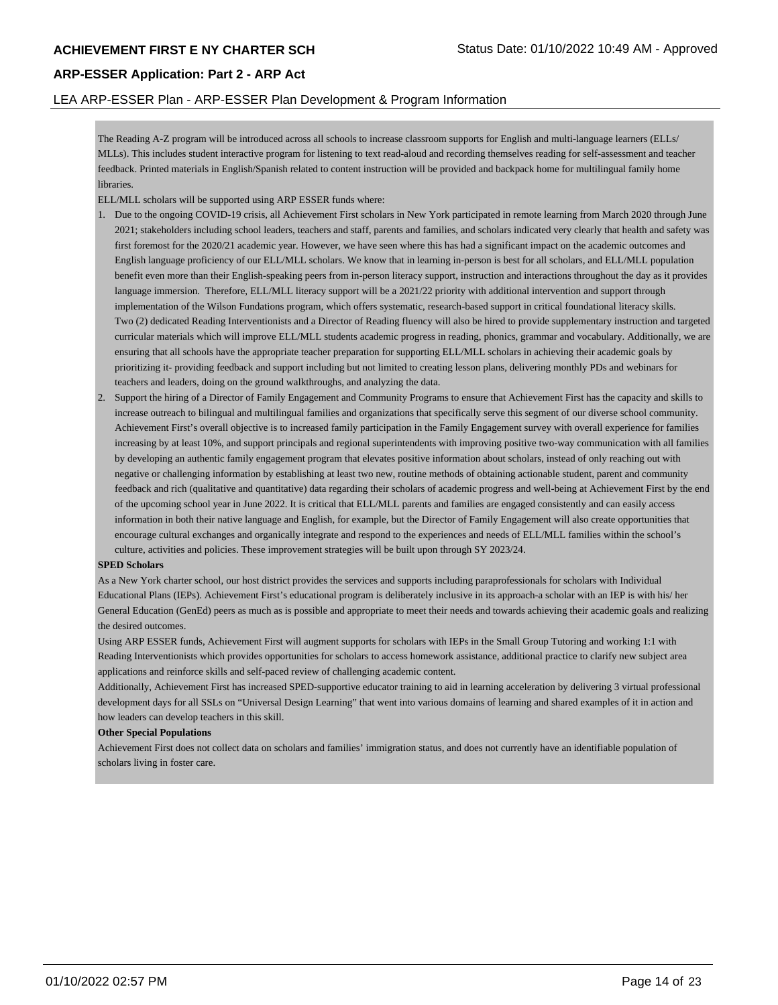## **ARP-ESSER Application: Part 2 - ARP Act**

#### LEA ARP-ESSER Plan - ARP-ESSER Plan Development & Program Information

The Reading A-Z program will be introduced across all schools to increase classroom supports for English and multi-language learners (ELLs/ MLLs). This includes student interactive program for listening to text read-aloud and recording themselves reading for self-assessment and teacher feedback. Printed materials in English/Spanish related to content instruction will be provided and backpack home for multilingual family home libraries.

ELL/MLL scholars will be supported using ARP ESSER funds where:

- 1. Due to the ongoing COVID-19 crisis, all Achievement First scholars in New York participated in remote learning from March 2020 through June 2021; stakeholders including school leaders, teachers and staff, parents and families, and scholars indicated very clearly that health and safety was first foremost for the 2020/21 academic year. However, we have seen where this has had a significant impact on the academic outcomes and English language proficiency of our ELL/MLL scholars. We know that in learning in-person is best for all scholars, and ELL/MLL population benefit even more than their English-speaking peers from in-person literacy support, instruction and interactions throughout the day as it provides language immersion. Therefore, ELL/MLL literacy support will be a 2021/22 priority with additional intervention and support through implementation of the Wilson Fundations program, which offers systematic, research-based support in critical foundational literacy skills. Two (2) dedicated Reading Interventionists and a Director of Reading fluency will also be hired to provide supplementary instruction and targeted curricular materials which will improve ELL/MLL students academic progress in reading, phonics, grammar and vocabulary. Additionally, we are ensuring that all schools have the appropriate teacher preparation for supporting ELL/MLL scholars in achieving their academic goals by prioritizing it- providing feedback and support including but not limited to creating lesson plans, delivering monthly PDs and webinars for teachers and leaders, doing on the ground walkthroughs, and analyzing the data.
- 2. Support the hiring of a Director of Family Engagement and Community Programs to ensure that Achievement First has the capacity and skills to increase outreach to bilingual and multilingual families and organizations that specifically serve this segment of our diverse school community. Achievement First's overall objective is to increased family participation in the Family Engagement survey with overall experience for families increasing by at least 10%, and support principals and regional superintendents with improving positive two-way communication with all families by developing an authentic family engagement program that elevates positive information about scholars, instead of only reaching out with negative or challenging information by establishing at least two new, routine methods of obtaining actionable student, parent and community feedback and rich (qualitative and quantitative) data regarding their scholars of academic progress and well-being at Achievement First by the end of the upcoming school year in June 2022. It is critical that ELL/MLL parents and families are engaged consistently and can easily access information in both their native language and English, for example, but the Director of Family Engagement will also create opportunities that encourage cultural exchanges and organically integrate and respond to the experiences and needs of ELL/MLL families within the school's culture, activities and policies. These improvement strategies will be built upon through SY 2023/24.

#### **SPED Scholars**

As a New York charter school, our host district provides the services and supports including paraprofessionals for scholars with Individual Educational Plans (IEPs). Achievement First's educational program is deliberately inclusive in its approach-a scholar with an IEP is with his/ her General Education (GenEd) peers as much as is possible and appropriate to meet their needs and towards achieving their academic goals and realizing the desired outcomes.

Using ARP ESSER funds, Achievement First will augment supports for scholars with IEPs in the Small Group Tutoring and working 1:1 with Reading Interventionists which provides opportunities for scholars to access homework assistance, additional practice to clarify new subject area applications and reinforce skills and self-paced review of challenging academic content.

Additionally, Achievement First has increased SPED-supportive educator training to aid in learning acceleration by delivering 3 virtual professional development days for all SSLs on "Universal Design Learning" that went into various domains of learning and shared examples of it in action and how leaders can develop teachers in this skill.

#### **Other Special Populations**

Achievement First does not collect data on scholars and families' immigration status, and does not currently have an identifiable population of scholars living in foster care.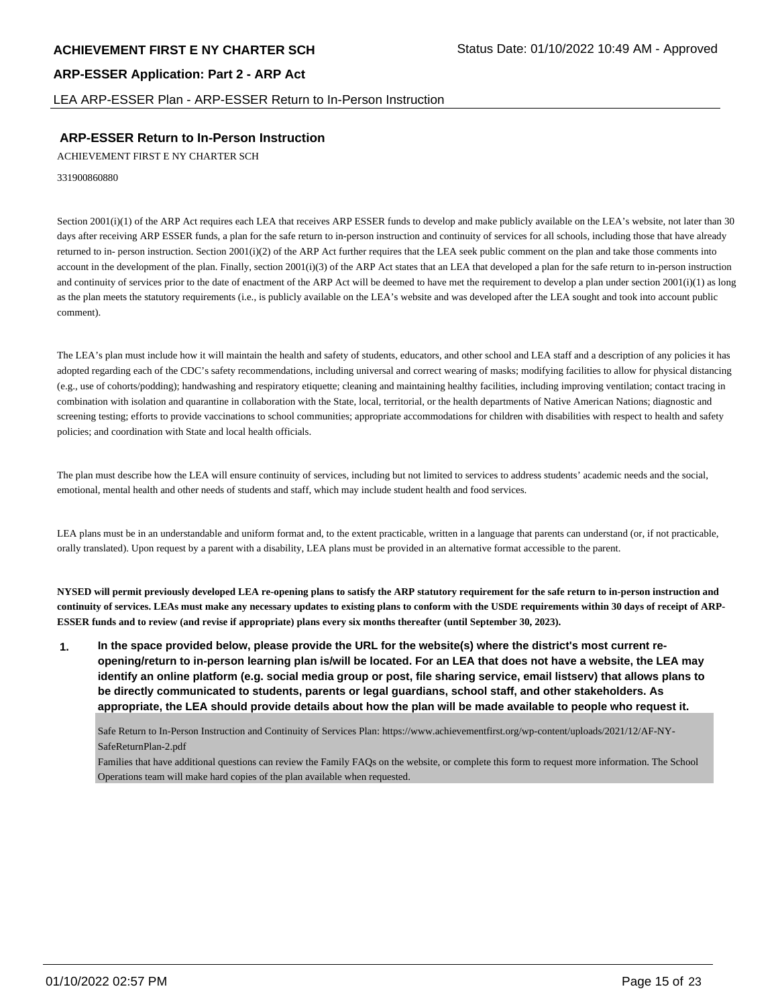LEA ARP-ESSER Plan - ARP-ESSER Return to In-Person Instruction

## **ARP-ESSER Return to In-Person Instruction**

ACHIEVEMENT FIRST E NY CHARTER SCH

331900860880

Section 2001(i)(1) of the ARP Act requires each LEA that receives ARP ESSER funds to develop and make publicly available on the LEA's website, not later than 30 days after receiving ARP ESSER funds, a plan for the safe return to in-person instruction and continuity of services for all schools, including those that have already returned to in- person instruction. Section 2001(i)(2) of the ARP Act further requires that the LEA seek public comment on the plan and take those comments into account in the development of the plan. Finally, section 2001(i)(3) of the ARP Act states that an LEA that developed a plan for the safe return to in-person instruction and continuity of services prior to the date of enactment of the ARP Act will be deemed to have met the requirement to develop a plan under section  $2001(i)(1)$  as long as the plan meets the statutory requirements (i.e., is publicly available on the LEA's website and was developed after the LEA sought and took into account public comment).

The LEA's plan must include how it will maintain the health and safety of students, educators, and other school and LEA staff and a description of any policies it has adopted regarding each of the CDC's safety recommendations, including universal and correct wearing of masks; modifying facilities to allow for physical distancing (e.g., use of cohorts/podding); handwashing and respiratory etiquette; cleaning and maintaining healthy facilities, including improving ventilation; contact tracing in combination with isolation and quarantine in collaboration with the State, local, territorial, or the health departments of Native American Nations; diagnostic and screening testing; efforts to provide vaccinations to school communities; appropriate accommodations for children with disabilities with respect to health and safety policies; and coordination with State and local health officials.

The plan must describe how the LEA will ensure continuity of services, including but not limited to services to address students' academic needs and the social, emotional, mental health and other needs of students and staff, which may include student health and food services.

LEA plans must be in an understandable and uniform format and, to the extent practicable, written in a language that parents can understand (or, if not practicable, orally translated). Upon request by a parent with a disability, LEA plans must be provided in an alternative format accessible to the parent.

**NYSED will permit previously developed LEA re-opening plans to satisfy the ARP statutory requirement for the safe return to in-person instruction and continuity of services. LEAs must make any necessary updates to existing plans to conform with the USDE requirements within 30 days of receipt of ARP-ESSER funds and to review (and revise if appropriate) plans every six months thereafter (until September 30, 2023).**

**1. In the space provided below, please provide the URL for the website(s) where the district's most current reopening/return to in-person learning plan is/will be located. For an LEA that does not have a website, the LEA may identify an online platform (e.g. social media group or post, file sharing service, email listserv) that allows plans to be directly communicated to students, parents or legal guardians, school staff, and other stakeholders. As appropriate, the LEA should provide details about how the plan will be made available to people who request it.**

Safe Return to In-Person Instruction and Continuity of Services Plan: https://www.achievementfirst.org/wp-content/uploads/2021/12/AF-NY-SafeReturnPlan-2.pdf

Families that have additional questions can review the Family FAQs on the website, or complete this form to request more information. The School Operations team will make hard copies of the plan available when requested.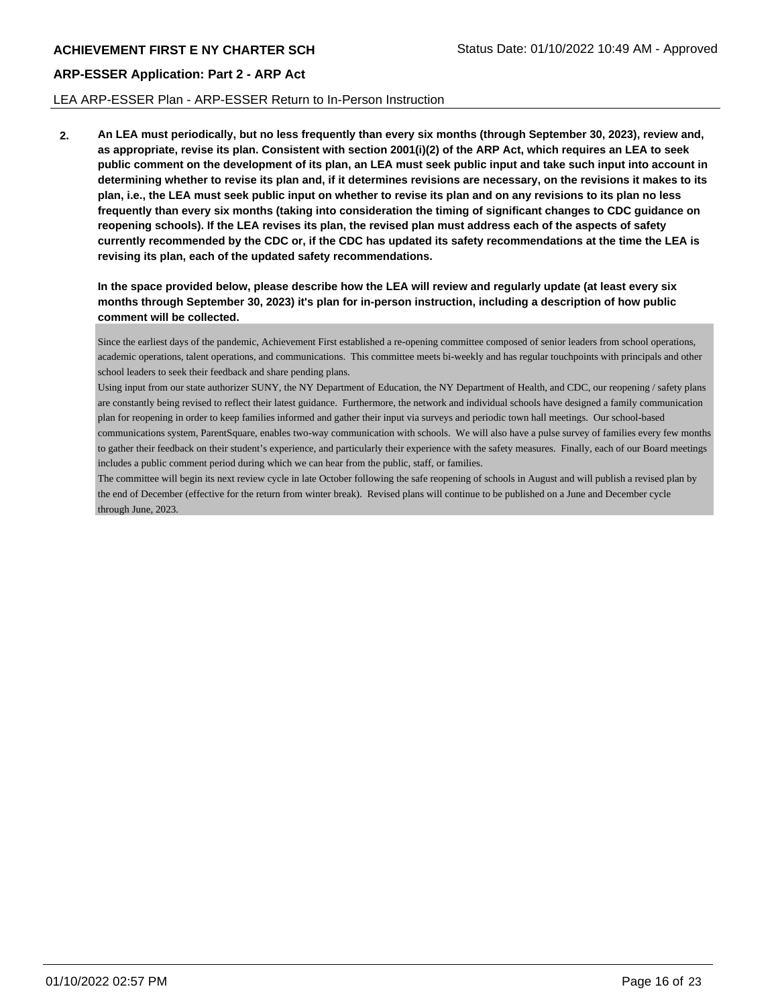#### LEA ARP-ESSER Plan - ARP-ESSER Return to In-Person Instruction

**2. An LEA must periodically, but no less frequently than every six months (through September 30, 2023), review and, as appropriate, revise its plan. Consistent with section 2001(i)(2) of the ARP Act, which requires an LEA to seek public comment on the development of its plan, an LEA must seek public input and take such input into account in determining whether to revise its plan and, if it determines revisions are necessary, on the revisions it makes to its plan, i.e., the LEA must seek public input on whether to revise its plan and on any revisions to its plan no less frequently than every six months (taking into consideration the timing of significant changes to CDC guidance on reopening schools). If the LEA revises its plan, the revised plan must address each of the aspects of safety currently recommended by the CDC or, if the CDC has updated its safety recommendations at the time the LEA is revising its plan, each of the updated safety recommendations.**

**In the space provided below, please describe how the LEA will review and regularly update (at least every six months through September 30, 2023) it's plan for in-person instruction, including a description of how public comment will be collected.**

Since the earliest days of the pandemic, Achievement First established a re-opening committee composed of senior leaders from school operations, academic operations, talent operations, and communications. This committee meets bi-weekly and has regular touchpoints with principals and other school leaders to seek their feedback and share pending plans.

Using input from our state authorizer SUNY, the NY Department of Education, the NY Department of Health, and CDC, our reopening / safety plans are constantly being revised to reflect their latest guidance. Furthermore, the network and individual schools have designed a family communication plan for reopening in order to keep families informed and gather their input via surveys and periodic town hall meetings. Our school-based communications system, ParentSquare, enables two-way communication with schools. We will also have a pulse survey of families every few months to gather their feedback on their student's experience, and particularly their experience with the safety measures. Finally, each of our Board meetings includes a public comment period during which we can hear from the public, staff, or families.

The committee will begin its next review cycle in late October following the safe reopening of schools in August and will publish a revised plan by the end of December (effective for the return from winter break). Revised plans will continue to be published on a June and December cycle through June, 2023.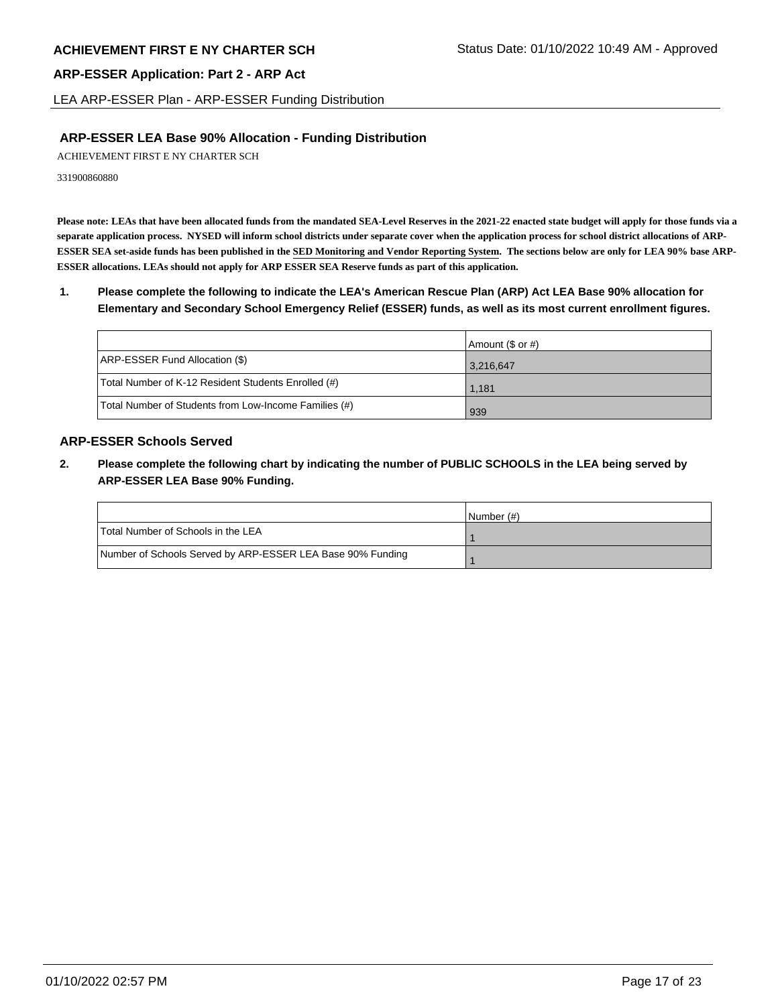LEA ARP-ESSER Plan - ARP-ESSER Funding Distribution

## **ARP-ESSER LEA Base 90% Allocation - Funding Distribution**

ACHIEVEMENT FIRST E NY CHARTER SCH

331900860880

**Please note: LEAs that have been allocated funds from the mandated SEA-Level Reserves in the 2021-22 enacted state budget will apply for those funds via a separate application process. NYSED will inform school districts under separate cover when the application process for school district allocations of ARP-ESSER SEA set-aside funds has been published in the SED Monitoring and Vendor Reporting System. The sections below are only for LEA 90% base ARP-ESSER allocations. LEAs should not apply for ARP ESSER SEA Reserve funds as part of this application.**

**1. Please complete the following to indicate the LEA's American Rescue Plan (ARP) Act LEA Base 90% allocation for Elementary and Secondary School Emergency Relief (ESSER) funds, as well as its most current enrollment figures.**

|                                                       | Amount (\$ or #) |
|-------------------------------------------------------|------------------|
| ARP-ESSER Fund Allocation (\$)                        | 3,216,647        |
| Total Number of K-12 Resident Students Enrolled (#)   | 1.181            |
| Total Number of Students from Low-Income Families (#) | 939              |

## **ARP-ESSER Schools Served**

**2. Please complete the following chart by indicating the number of PUBLIC SCHOOLS in the LEA being served by ARP-ESSER LEA Base 90% Funding.**

|                                                            | INumber (#) |
|------------------------------------------------------------|-------------|
| Total Number of Schools in the LEA                         |             |
| Number of Schools Served by ARP-ESSER LEA Base 90% Funding |             |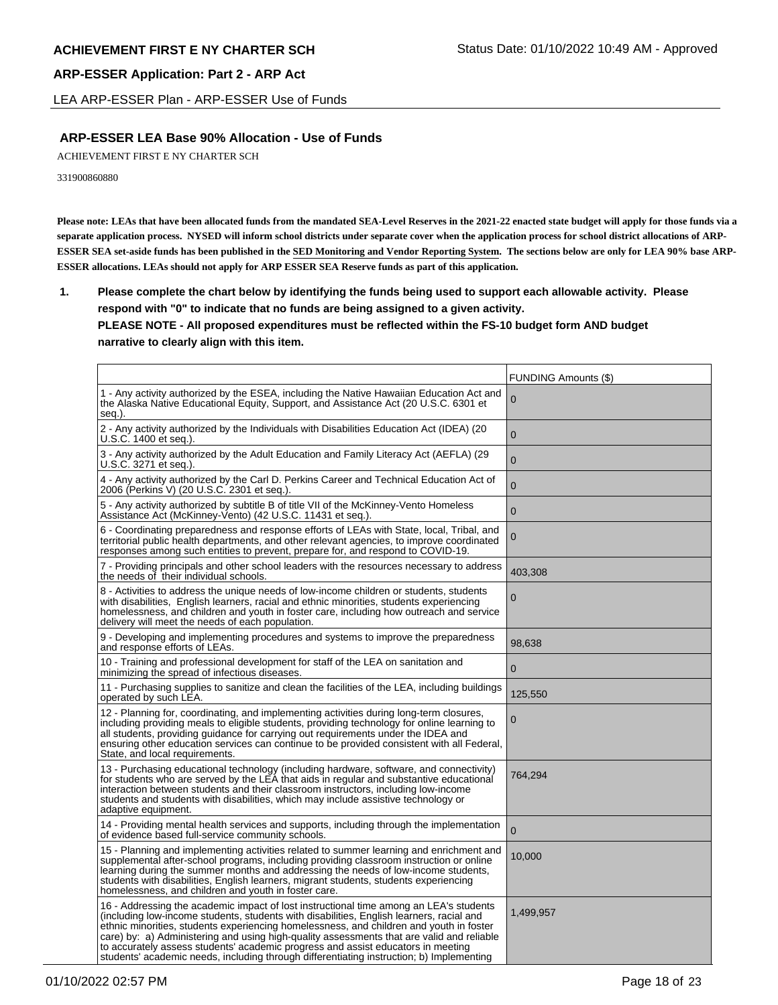LEA ARP-ESSER Plan - ARP-ESSER Use of Funds

# **ARP-ESSER LEA Base 90% Allocation - Use of Funds**

ACHIEVEMENT FIRST E NY CHARTER SCH

331900860880

**Please note: LEAs that have been allocated funds from the mandated SEA-Level Reserves in the 2021-22 enacted state budget will apply for those funds via a separate application process. NYSED will inform school districts under separate cover when the application process for school district allocations of ARP-ESSER SEA set-aside funds has been published in the SED Monitoring and Vendor Reporting System. The sections below are only for LEA 90% base ARP-ESSER allocations. LEAs should not apply for ARP ESSER SEA Reserve funds as part of this application.**

**1. Please complete the chart below by identifying the funds being used to support each allowable activity. Please respond with "0" to indicate that no funds are being assigned to a given activity. PLEASE NOTE - All proposed expenditures must be reflected within the FS-10 budget form AND budget narrative to clearly align with this item.**

|                                                                                                                                                                                                                                                                                                                                                                                                                                                                                                                                                            | FUNDING Amounts (\$) |
|------------------------------------------------------------------------------------------------------------------------------------------------------------------------------------------------------------------------------------------------------------------------------------------------------------------------------------------------------------------------------------------------------------------------------------------------------------------------------------------------------------------------------------------------------------|----------------------|
| 1 - Any activity authorized by the ESEA, including the Native Hawaiian Education Act and<br>the Alaska Native Educational Equity, Support, and Assistance Act (20 U.S.C. 6301 et<br>seq.).                                                                                                                                                                                                                                                                                                                                                                 | 0                    |
| 2 - Any activity authorized by the Individuals with Disabilities Education Act (IDEA) (20<br>U.S.C. 1400 et seq.).                                                                                                                                                                                                                                                                                                                                                                                                                                         | $\overline{0}$       |
| 3 - Any activity authorized by the Adult Education and Family Literacy Act (AEFLA) (29<br>U.S.C. 3271 et seq.).                                                                                                                                                                                                                                                                                                                                                                                                                                            | $\mathbf{0}$         |
| 4 - Any activity authorized by the Carl D. Perkins Career and Technical Education Act of<br>2006 (Perkins V) (20 U.S.C. 2301 et seq.).                                                                                                                                                                                                                                                                                                                                                                                                                     | $\mathbf 0$          |
| 5 - Any activity authorized by subtitle B of title VII of the McKinney-Vento Homeless<br>Assistance Act (McKinney-Vento) (42 U.S.C. 11431 et seg.).                                                                                                                                                                                                                                                                                                                                                                                                        | $\mathbf{0}$         |
| 6 - Coordinating preparedness and response efforts of LEAs with State, local, Tribal, and<br>territorial public health departments, and other relevant agencies, to improve coordinated<br>responses among such entities to prevent, prepare for, and respond to COVID-19.                                                                                                                                                                                                                                                                                 | $\boldsymbol{0}$     |
| 7 - Providing principals and other school leaders with the resources necessary to address<br>the needs of their individual schools.                                                                                                                                                                                                                                                                                                                                                                                                                        | 403,308              |
| 8 - Activities to address the unique needs of low-income children or students, students<br>with disabilities,English learners, racial and ethnic minorities, students experiencing<br>homelessness, and children and youth in foster care, including how outreach and service<br>delivery will meet the needs of each population.                                                                                                                                                                                                                          | $\overline{0}$       |
| 9 - Developing and implementing procedures and systems to improve the preparedness<br>and response efforts of LEAs.                                                                                                                                                                                                                                                                                                                                                                                                                                        | 98.638               |
| 10 - Training and professional development for staff of the LEA on sanitation and<br>minimizing the spread of infectious diseases.                                                                                                                                                                                                                                                                                                                                                                                                                         | $\mathbf{0}$         |
| 11 - Purchasing supplies to sanitize and clean the facilities of the LEA, including buildings<br>operated by such LEA.                                                                                                                                                                                                                                                                                                                                                                                                                                     | 125,550              |
| 12 - Planning for, coordinating, and implementing activities during long-term closures,<br>including providing meals to eligible students, providing technology for online learning to<br>all students, providing guidance for carrying out requirements under the IDEA and<br>ensuring other education services can continue to be provided consistent with all Federal,<br>State, and local requirements.                                                                                                                                                | 0                    |
| 13 - Purchasing educational technology (including hardware, software, and connectivity)<br>for students who are served by the LEA that aids in regular and substantive educational<br>interaction between students and their classroom instructors, including low-income<br>students and students with disabilities, which may include assistive technology or<br>adaptive equipment.                                                                                                                                                                      | 764,294              |
| 14 - Providing mental health services and supports, including through the implementation<br>of evidence based full-service community schools.                                                                                                                                                                                                                                                                                                                                                                                                              | $\mathbf{0}$         |
| 15 - Planning and implementing activities related to summer learning and enrichment and<br>supplemental after-school programs, including providing classroom instruction or online<br>learning during the summer months and addressing the needs of low-income students,<br>students with disabilities, English learners, migrant students, students experiencing<br>homelessness, and children and youth in foster care.                                                                                                                                  | 10,000               |
| 16 - Addressing the academic impact of lost instructional time among an LEA's students<br>(including low-income students, students with disabilities, English learners, racial and<br>ethnic minorities, students experiencing homelessness, and children and youth in foster<br>care) by: a) Administering and using high-quality assessments that are valid and reliable<br>to accurately assess students' academic progress and assist educators in meeting<br>students' academic needs, including through differentiating instruction; b) Implementing | 1,499,957            |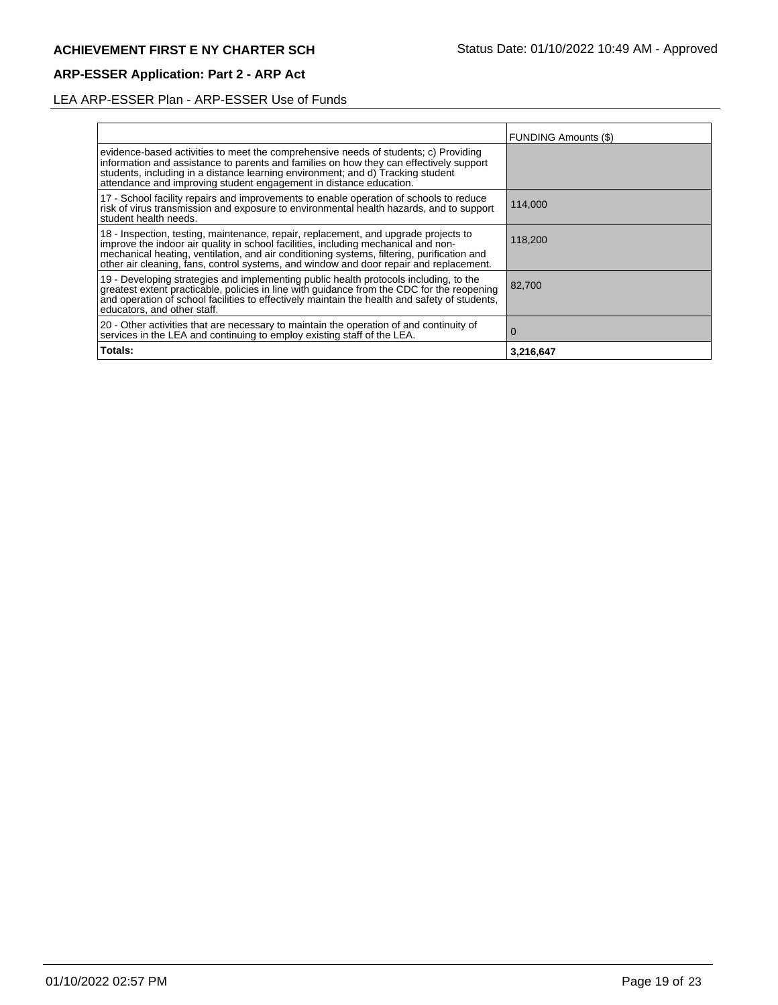# LEA ARP-ESSER Plan - ARP-ESSER Use of Funds

|                                                                                                                                                                                                                                                                                                                                                                   | <b>FUNDING Amounts (\$)</b> |
|-------------------------------------------------------------------------------------------------------------------------------------------------------------------------------------------------------------------------------------------------------------------------------------------------------------------------------------------------------------------|-----------------------------|
| evidence-based activities to meet the comprehensive needs of students; c) Providing<br>information and assistance to parents and families on how they can effectively support<br>students, including in a distance learning environment; and d) Tracking student<br>attendance and improving student engagement in distance education.                            |                             |
| 17 - School facility repairs and improvements to enable operation of schools to reduce<br>risk of virus transmission and exposure to environmental health hazards, and to support<br>student health needs.                                                                                                                                                        | 114,000                     |
| 18 - Inspection, testing, maintenance, repair, replacement, and upgrade projects to<br>improve the indoor air quality in school facilities, including mechanical and non-<br>mechanical heating, ventilation, and air conditioning systems, filtering, purification and<br>other air cleaning, fans, control systems, and window and door repair and replacement. | 118,200                     |
| 19 - Developing strategies and implementing public health protocols including, to the<br>greatest extent practicable, policies in line with guidance from the CDC for the reopening<br>and operation of school facilities to effectively maintain the health and safety of students,<br>educators, and other staff.                                               | 82,700                      |
| 20 - Other activities that are necessary to maintain the operation of and continuity of<br>services in the LEA and continuing to employ existing staff of the LEA.                                                                                                                                                                                                | $\Omega$                    |
| Totals:                                                                                                                                                                                                                                                                                                                                                           | 3,216,647                   |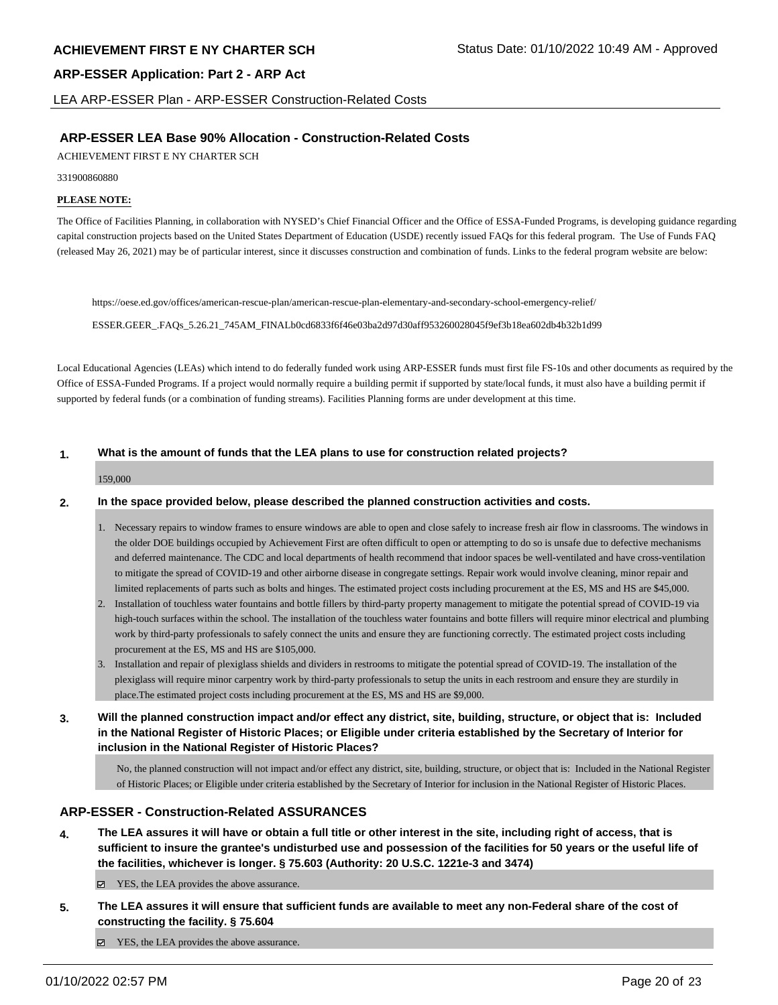LEA ARP-ESSER Plan - ARP-ESSER Construction-Related Costs

## **ARP-ESSER LEA Base 90% Allocation - Construction-Related Costs**

ACHIEVEMENT FIRST E NY CHARTER SCH

331900860880

## **PLEASE NOTE:**

The Office of Facilities Planning, in collaboration with NYSED's Chief Financial Officer and the Office of ESSA-Funded Programs, is developing guidance regarding capital construction projects based on the United States Department of Education (USDE) recently issued FAQs for this federal program. The Use of Funds FAQ (released May 26, 2021) may be of particular interest, since it discusses construction and combination of funds. Links to the federal program website are below:

https://oese.ed.gov/offices/american-rescue-plan/american-rescue-plan-elementary-and-secondary-school-emergency-relief/

ESSER.GEER\_.FAQs\_5.26.21\_745AM\_FINALb0cd6833f6f46e03ba2d97d30aff953260028045f9ef3b18ea602db4b32b1d99

Local Educational Agencies (LEAs) which intend to do federally funded work using ARP-ESSER funds must first file FS-10s and other documents as required by the Office of ESSA-Funded Programs. If a project would normally require a building permit if supported by state/local funds, it must also have a building permit if supported by federal funds (or a combination of funding streams). Facilities Planning forms are under development at this time.

#### **1. What is the amount of funds that the LEA plans to use for construction related projects?**

#### 159,000

#### **2. In the space provided below, please described the planned construction activities and costs.**

- 1. Necessary repairs to window frames to ensure windows are able to open and close safely to increase fresh air flow in classrooms. The windows in the older DOE buildings occupied by Achievement First are often difficult to open or attempting to do so is unsafe due to defective mechanisms and deferred maintenance. The CDC and local departments of health recommend that indoor spaces be well-ventilated and have cross-ventilation to mitigate the spread of COVID-19 and other airborne disease in congregate settings. Repair work would involve cleaning, minor repair and limited replacements of parts such as bolts and hinges. The estimated project costs including procurement at the ES, MS and HS are \$45,000.
- 2. Installation of touchless water fountains and bottle fillers by third-party property management to mitigate the potential spread of COVID-19 via high-touch surfaces within the school. The installation of the touchless water fountains and botte fillers will require minor electrical and plumbing work by third-party professionals to safely connect the units and ensure they are functioning correctly. The estimated project costs including procurement at the ES, MS and HS are \$105,000.
- 3. Installation and repair of plexiglass shields and dividers in restrooms to mitigate the potential spread of COVID-19. The installation of the plexiglass will require minor carpentry work by third-party professionals to setup the units in each restroom and ensure they are sturdily in place.The estimated project costs including procurement at the ES, MS and HS are \$9,000.
- **3. Will the planned construction impact and/or effect any district, site, building, structure, or object that is: Included in the National Register of Historic Places; or Eligible under criteria established by the Secretary of Interior for inclusion in the National Register of Historic Places?**

No, the planned construction will not impact and/or effect any district, site, building, structure, or object that is: Included in the National Register of Historic Places; or Eligible under criteria established by the Secretary of Interior for inclusion in the National Register of Historic Places.

## **ARP-ESSER - Construction-Related ASSURANCES**

**4. The LEA assures it will have or obtain a full title or other interest in the site, including right of access, that is sufficient to insure the grantee's undisturbed use and possession of the facilities for 50 years or the useful life of the facilities, whichever is longer. § 75.603 (Authority: 20 U.S.C. 1221e-3 and 3474)**

YES, the LEA provides the above assurance.

- **5. The LEA assures it will ensure that sufficient funds are available to meet any non-Federal share of the cost of constructing the facility. § 75.604**
	- YES, the LEA provides the above assurance.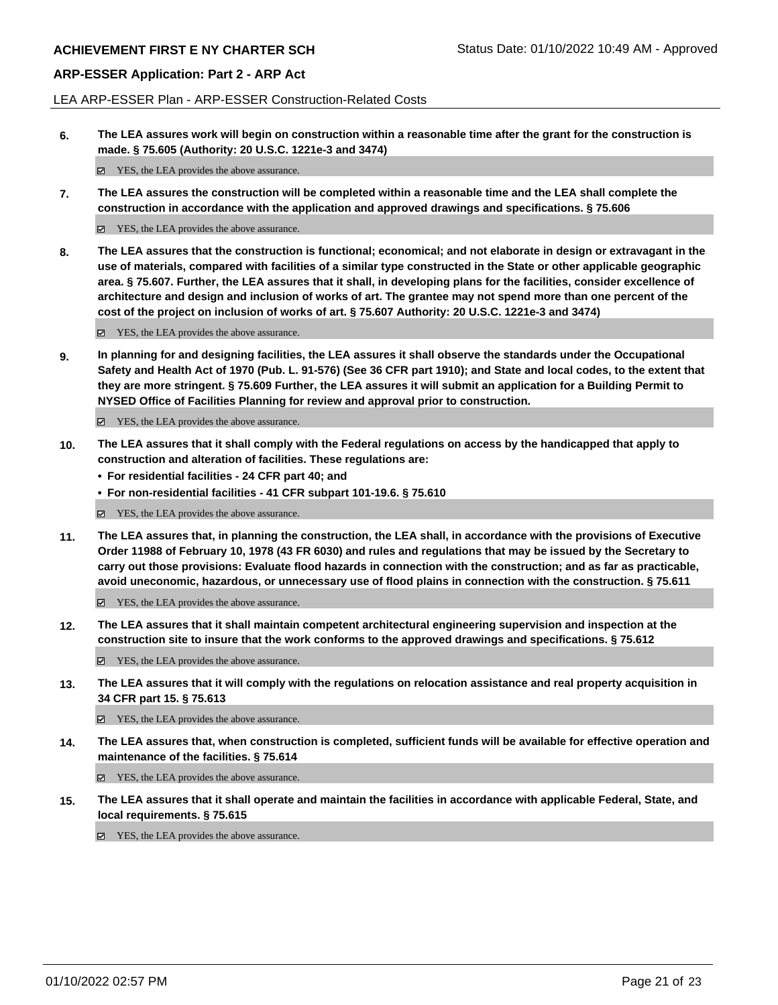## **ARP-ESSER Application: Part 2 - ARP Act**

LEA ARP-ESSER Plan - ARP-ESSER Construction-Related Costs

**6. The LEA assures work will begin on construction within a reasonable time after the grant for the construction is made. § 75.605 (Authority: 20 U.S.C. 1221e-3 and 3474)**

YES, the LEA provides the above assurance.

**7. The LEA assures the construction will be completed within a reasonable time and the LEA shall complete the construction in accordance with the application and approved drawings and specifications. § 75.606**

■ YES, the LEA provides the above assurance.

**8. The LEA assures that the construction is functional; economical; and not elaborate in design or extravagant in the use of materials, compared with facilities of a similar type constructed in the State or other applicable geographic area. § 75.607. Further, the LEA assures that it shall, in developing plans for the facilities, consider excellence of architecture and design and inclusion of works of art. The grantee may not spend more than one percent of the cost of the project on inclusion of works of art. § 75.607 Authority: 20 U.S.C. 1221e-3 and 3474)**

■ YES, the LEA provides the above assurance.

**9. In planning for and designing facilities, the LEA assures it shall observe the standards under the Occupational Safety and Health Act of 1970 (Pub. L. 91-576) (See 36 CFR part 1910); and State and local codes, to the extent that they are more stringent. § 75.609 Further, the LEA assures it will submit an application for a Building Permit to NYSED Office of Facilities Planning for review and approval prior to construction.**

■ YES, the LEA provides the above assurance.

- **10. The LEA assures that it shall comply with the Federal regulations on access by the handicapped that apply to construction and alteration of facilities. These regulations are:**
	- **• For residential facilities 24 CFR part 40; and**
	- **• For non-residential facilities 41 CFR subpart 101-19.6. § 75.610**

■ YES, the LEA provides the above assurance.

**11. The LEA assures that, in planning the construction, the LEA shall, in accordance with the provisions of Executive Order 11988 of February 10, 1978 (43 FR 6030) and rules and regulations that may be issued by the Secretary to carry out those provisions: Evaluate flood hazards in connection with the construction; and as far as practicable, avoid uneconomic, hazardous, or unnecessary use of flood plains in connection with the construction. § 75.611**

YES, the LEA provides the above assurance.

**12. The LEA assures that it shall maintain competent architectural engineering supervision and inspection at the construction site to insure that the work conforms to the approved drawings and specifications. § 75.612**

YES, the LEA provides the above assurance.

**13. The LEA assures that it will comply with the regulations on relocation assistance and real property acquisition in 34 CFR part 15. § 75.613**

YES, the LEA provides the above assurance.

**14. The LEA assures that, when construction is completed, sufficient funds will be available for effective operation and maintenance of the facilities. § 75.614**

YES, the LEA provides the above assurance.

**15. The LEA assures that it shall operate and maintain the facilities in accordance with applicable Federal, State, and local requirements. § 75.615**

YES, the LEA provides the above assurance.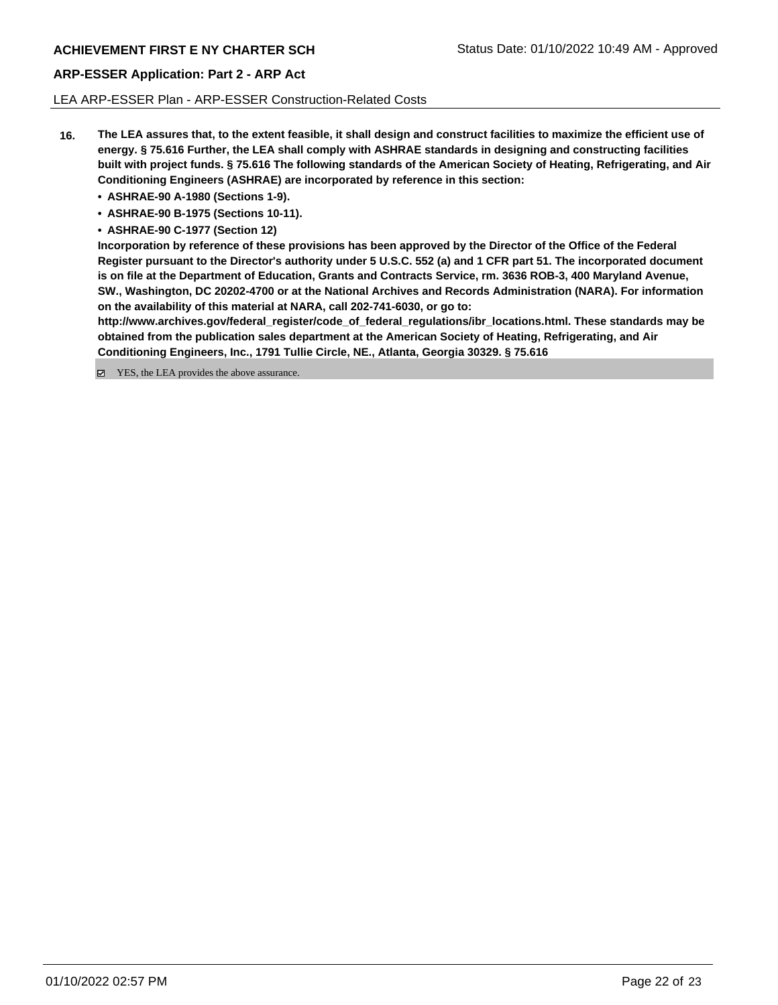## **ARP-ESSER Application: Part 2 - ARP Act**

LEA ARP-ESSER Plan - ARP-ESSER Construction-Related Costs

- **16. The LEA assures that, to the extent feasible, it shall design and construct facilities to maximize the efficient use of energy. § 75.616 Further, the LEA shall comply with ASHRAE standards in designing and constructing facilities built with project funds. § 75.616 The following standards of the American Society of Heating, Refrigerating, and Air Conditioning Engineers (ASHRAE) are incorporated by reference in this section:**
	- **• ASHRAE-90 A-1980 (Sections 1-9).**
	- **• ASHRAE-90 B-1975 (Sections 10-11).**
	- **• ASHRAE-90 C-1977 (Section 12)**

**Incorporation by reference of these provisions has been approved by the Director of the Office of the Federal Register pursuant to the Director's authority under 5 U.S.C. 552 (a) and 1 CFR part 51. The incorporated document is on file at the Department of Education, Grants and Contracts Service, rm. 3636 ROB-3, 400 Maryland Avenue, SW., Washington, DC 20202-4700 or at the National Archives and Records Administration (NARA). For information on the availability of this material at NARA, call 202-741-6030, or go to:**

**http://www.archives.gov/federal\_register/code\_of\_federal\_regulations/ibr\_locations.html. These standards may be obtained from the publication sales department at the American Society of Heating, Refrigerating, and Air Conditioning Engineers, Inc., 1791 Tullie Circle, NE., Atlanta, Georgia 30329. § 75.616**

■ YES, the LEA provides the above assurance.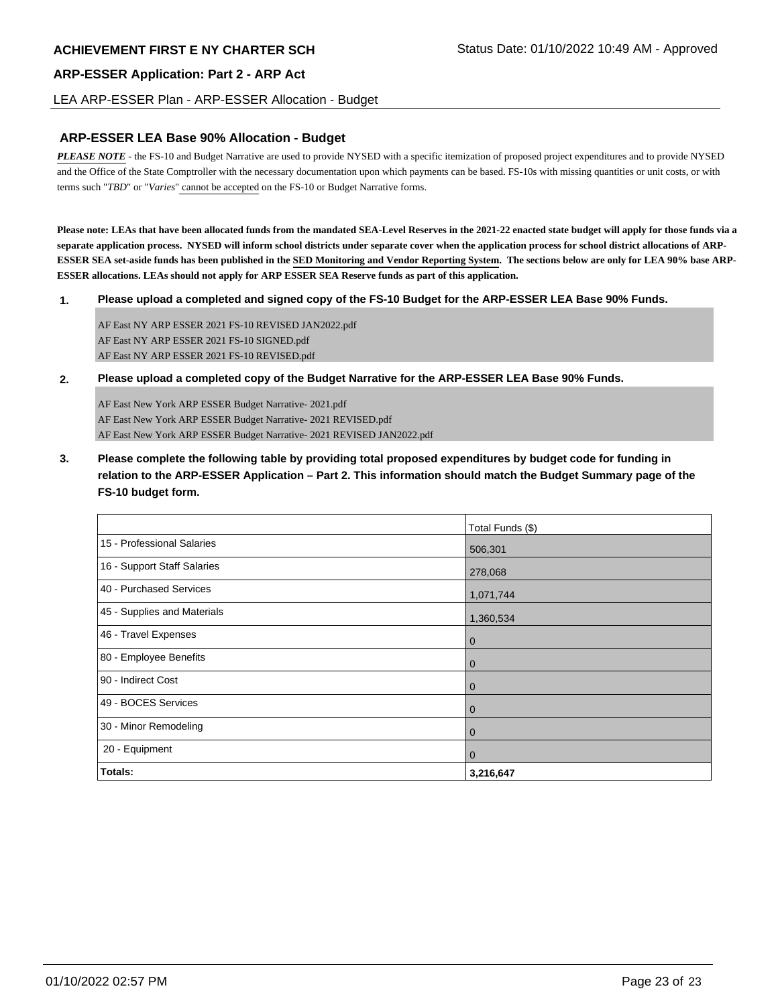## **ARP-ESSER Application: Part 2 - ARP Act**

#### LEA ARP-ESSER Plan - ARP-ESSER Allocation - Budget

## **ARP-ESSER LEA Base 90% Allocation - Budget**

*PLEASE NOTE* - the FS-10 and Budget Narrative are used to provide NYSED with a specific itemization of proposed project expenditures and to provide NYSED and the Office of the State Comptroller with the necessary documentation upon which payments can be based. FS-10s with missing quantities or unit costs, or with terms such "*TBD*" or "*Varies*" cannot be accepted on the FS-10 or Budget Narrative forms.

**Please note: LEAs that have been allocated funds from the mandated SEA-Level Reserves in the 2021-22 enacted state budget will apply for those funds via a separate application process. NYSED will inform school districts under separate cover when the application process for school district allocations of ARP-ESSER SEA set-aside funds has been published in the SED Monitoring and Vendor Reporting System. The sections below are only for LEA 90% base ARP-ESSER allocations. LEAs should not apply for ARP ESSER SEA Reserve funds as part of this application.**

#### **1. Please upload a completed and signed copy of the FS-10 Budget for the ARP-ESSER LEA Base 90% Funds.**

AF East NY ARP ESSER 2021 FS-10 REVISED JAN2022.pdf AF East NY ARP ESSER 2021 FS-10 SIGNED.pdf AF East NY ARP ESSER 2021 FS-10 REVISED.pdf

**2. Please upload a completed copy of the Budget Narrative for the ARP-ESSER LEA Base 90% Funds.**

AF East New York ARP ESSER Budget Narrative- 2021.pdf AF East New York ARP ESSER Budget Narrative- 2021 REVISED.pdf AF East New York ARP ESSER Budget Narrative- 2021 REVISED JAN2022.pdf

**3. Please complete the following table by providing total proposed expenditures by budget code for funding in relation to the ARP-ESSER Application – Part 2. This information should match the Budget Summary page of the FS-10 budget form.**

|                             | Total Funds (\$) |
|-----------------------------|------------------|
| 15 - Professional Salaries  | 506,301          |
| 16 - Support Staff Salaries | 278,068          |
| 40 - Purchased Services     | 1,071,744        |
| 45 - Supplies and Materials | 1,360,534        |
| 46 - Travel Expenses        | $\mathbf 0$      |
| 80 - Employee Benefits      | $\mathbf 0$      |
| 90 - Indirect Cost          | $\mathbf 0$      |
| 49 - BOCES Services         | $\mathbf 0$      |
| 30 - Minor Remodeling       | $\mathbf 0$      |
| 20 - Equipment              | $\mathbf 0$      |
| Totals:                     | 3,216,647        |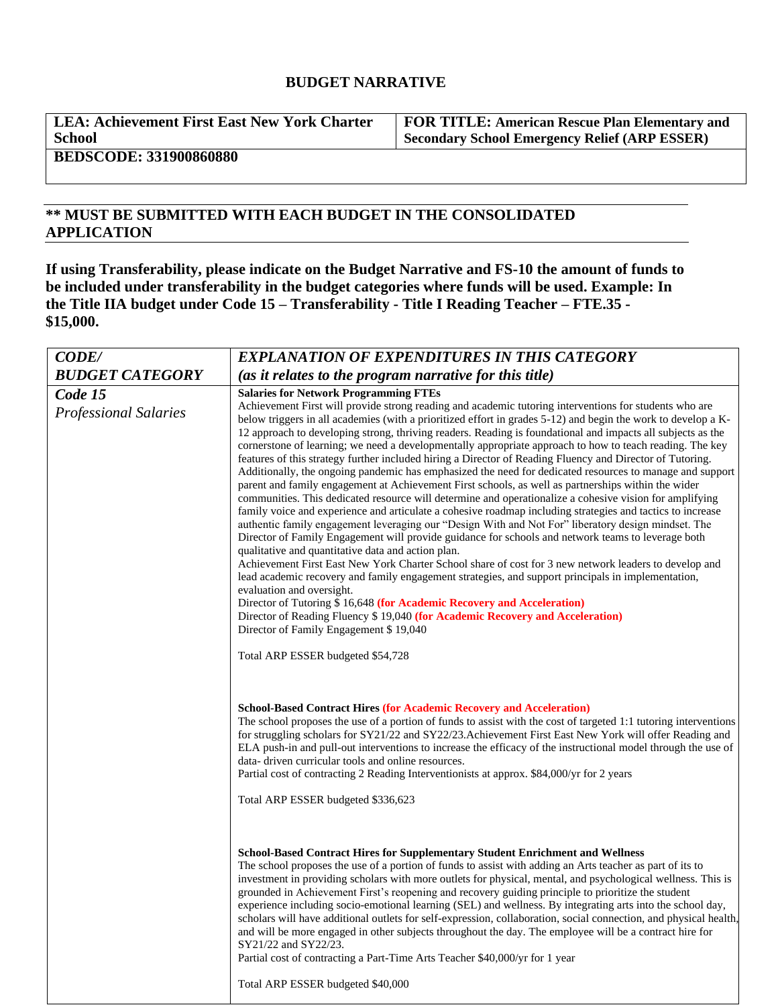# **BUDGET NARRATIVE**

**LEA: Achievement First East New York Charter School**

**FOR TITLE: American Rescue Plan Elementary and Secondary School Emergency Relief (ARP ESSER)**

**BEDSCODE: 331900860880**

# **\*\* MUST BE SUBMITTED WITH EACH BUDGET IN THE CONSOLIDATED APPLICATION**

**If using Transferability, please indicate on the Budget Narrative and FS-10 the amount of funds to be included under transferability in the budget categories where funds will be used. Example: In the Title IIA budget under Code 15 – Transferability - Title I Reading Teacher – FTE.35 - \$15,000.**

| <b>CODE/</b>                            | <b>EXPLANATION OF EXPENDITURES IN THIS CATEGORY</b>                                                                                                                                                                                                                                                                                                                                                                                                                                                                                                                                                                                                                                                                                                                                                                                                                                                                                                                                                                                                                                                                                                                                                                                                                                                                                                                                                                                                                                                                                                                                                                                                                                                                                                                               |  |
|-----------------------------------------|-----------------------------------------------------------------------------------------------------------------------------------------------------------------------------------------------------------------------------------------------------------------------------------------------------------------------------------------------------------------------------------------------------------------------------------------------------------------------------------------------------------------------------------------------------------------------------------------------------------------------------------------------------------------------------------------------------------------------------------------------------------------------------------------------------------------------------------------------------------------------------------------------------------------------------------------------------------------------------------------------------------------------------------------------------------------------------------------------------------------------------------------------------------------------------------------------------------------------------------------------------------------------------------------------------------------------------------------------------------------------------------------------------------------------------------------------------------------------------------------------------------------------------------------------------------------------------------------------------------------------------------------------------------------------------------------------------------------------------------------------------------------------------------|--|
| <b>BUDGET CATEGORY</b>                  | (as it relates to the program narrative for this title)                                                                                                                                                                                                                                                                                                                                                                                                                                                                                                                                                                                                                                                                                                                                                                                                                                                                                                                                                                                                                                                                                                                                                                                                                                                                                                                                                                                                                                                                                                                                                                                                                                                                                                                           |  |
| Code 15<br><b>Professional Salaries</b> | <b>Salaries for Network Programming FTEs</b><br>Achievement First will provide strong reading and academic tutoring interventions for students who are<br>below triggers in all academies (with a prioritized effort in grades 5-12) and begin the work to develop a K-<br>12 approach to developing strong, thriving readers. Reading is foundational and impacts all subjects as the<br>cornerstone of learning; we need a developmentally appropriate approach to how to teach reading. The key<br>features of this strategy further included hiring a Director of Reading Fluency and Director of Tutoring.<br>Additionally, the ongoing pandemic has emphasized the need for dedicated resources to manage and support<br>parent and family engagement at Achievement First schools, as well as partnerships within the wider<br>communities. This dedicated resource will determine and operationalize a cohesive vision for amplifying<br>family voice and experience and articulate a cohesive roadmap including strategies and tactics to increase<br>authentic family engagement leveraging our "Design With and Not For" liberatory design mindset. The<br>Director of Family Engagement will provide guidance for schools and network teams to leverage both<br>qualitative and quantitative data and action plan.<br>Achievement First East New York Charter School share of cost for 3 new network leaders to develop and<br>lead academic recovery and family engagement strategies, and support principals in implementation,<br>evaluation and oversight.<br>Director of Tutoring \$ 16,648 (for Academic Recovery and Acceleration)<br>Director of Reading Fluency \$ 19,040 (for Academic Recovery and Acceleration)<br>Director of Family Engagement \$19,040 |  |
|                                         | Total ARP ESSER budgeted \$54,728<br><b>School-Based Contract Hires (for Academic Recovery and Acceleration)</b><br>The school proposes the use of a portion of funds to assist with the cost of targeted 1:1 tutoring interventions<br>for struggling scholars for SY21/22 and SY22/23. Achievement First East New York will offer Reading and<br>ELA push-in and pull-out interventions to increase the efficacy of the instructional model through the use of<br>data-driven curricular tools and online resources.<br>Partial cost of contracting 2 Reading Interventionists at approx. \$84,000/yr for 2 years<br>Total ARP ESSER budgeted \$336,623                                                                                                                                                                                                                                                                                                                                                                                                                                                                                                                                                                                                                                                                                                                                                                                                                                                                                                                                                                                                                                                                                                                         |  |
|                                         | <b>School-Based Contract Hires for Supplementary Student Enrichment and Wellness</b><br>The school proposes the use of a portion of funds to assist with adding an Arts teacher as part of its to<br>investment in providing scholars with more outlets for physical, mental, and psychological wellness. This is<br>grounded in Achievement First's reopening and recovery guiding principle to prioritize the student<br>experience including socio-emotional learning (SEL) and wellness. By integrating arts into the school day,<br>scholars will have additional outlets for self-expression, collaboration, social connection, and physical health,<br>and will be more engaged in other subjects throughout the day. The employee will be a contract hire for<br>SY21/22 and SY22/23.<br>Partial cost of contracting a Part-Time Arts Teacher \$40,000/yr for 1 year<br>Total ARP ESSER budgeted \$40,000                                                                                                                                                                                                                                                                                                                                                                                                                                                                                                                                                                                                                                                                                                                                                                                                                                                                 |  |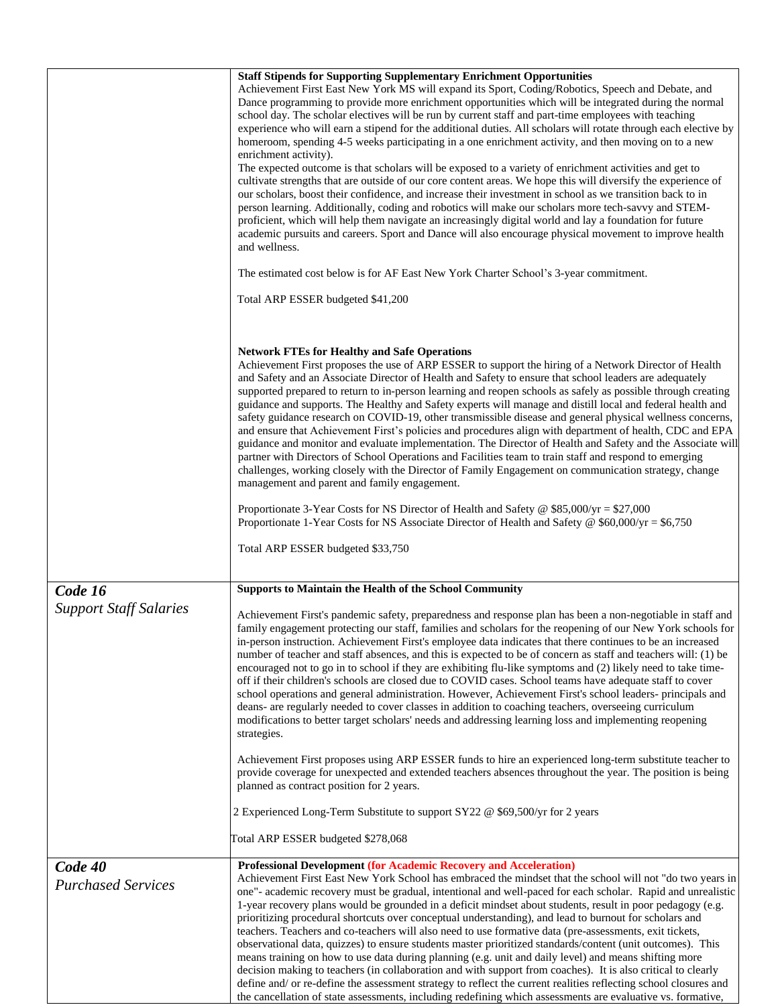|                                      | <b>Staff Stipends for Supporting Supplementary Enrichment Opportunities</b><br>Achievement First East New York MS will expand its Sport, Coding/Robotics, Speech and Debate, and<br>Dance programming to provide more enrichment opportunities which will be integrated during the normal<br>school day. The scholar electives will be run by current staff and part-time employees with teaching<br>experience who will earn a stipend for the additional duties. All scholars will rotate through each elective by<br>homeroom, spending 4-5 weeks participating in a one enrichment activity, and then moving on to a new<br>enrichment activity).                                                                                                                                                                                                                                                                                                                                                                                                                                                                                                                                                            |  |
|--------------------------------------|------------------------------------------------------------------------------------------------------------------------------------------------------------------------------------------------------------------------------------------------------------------------------------------------------------------------------------------------------------------------------------------------------------------------------------------------------------------------------------------------------------------------------------------------------------------------------------------------------------------------------------------------------------------------------------------------------------------------------------------------------------------------------------------------------------------------------------------------------------------------------------------------------------------------------------------------------------------------------------------------------------------------------------------------------------------------------------------------------------------------------------------------------------------------------------------------------------------|--|
|                                      | The expected outcome is that scholars will be exposed to a variety of enrichment activities and get to<br>cultivate strengths that are outside of our core content areas. We hope this will diversify the experience of<br>our scholars, boost their confidence, and increase their investment in school as we transition back to in<br>person learning. Additionally, coding and robotics will make our scholars more tech-savvy and STEM-<br>proficient, which will help them navigate an increasingly digital world and lay a foundation for future<br>academic pursuits and careers. Sport and Dance will also encourage physical movement to improve health<br>and wellness.                                                                                                                                                                                                                                                                                                                                                                                                                                                                                                                                |  |
|                                      | The estimated cost below is for AF East New York Charter School's 3-year commitment.                                                                                                                                                                                                                                                                                                                                                                                                                                                                                                                                                                                                                                                                                                                                                                                                                                                                                                                                                                                                                                                                                                                             |  |
|                                      | Total ARP ESSER budgeted \$41,200                                                                                                                                                                                                                                                                                                                                                                                                                                                                                                                                                                                                                                                                                                                                                                                                                                                                                                                                                                                                                                                                                                                                                                                |  |
|                                      | <b>Network FTEs for Healthy and Safe Operations</b><br>Achievement First proposes the use of ARP ESSER to support the hiring of a Network Director of Health<br>and Safety and an Associate Director of Health and Safety to ensure that school leaders are adequately<br>supported prepared to return to in-person learning and reopen schools as safely as possible through creating<br>guidance and supports. The Healthy and Safety experts will manage and distill local and federal health and<br>safety guidance research on COVID-19, other transmissible disease and general physical wellness concerns,<br>and ensure that Achievement First's policies and procedures align with department of health, CDC and EPA<br>guidance and monitor and evaluate implementation. The Director of Health and Safety and the Associate will<br>partner with Directors of School Operations and Facilities team to train staff and respond to emerging<br>challenges, working closely with the Director of Family Engagement on communication strategy, change<br>management and parent and family engagement.                                                                                                    |  |
|                                      | Proportionate 3-Year Costs for NS Director of Health and Safety @ \$85,000/yr = \$27,000<br>Proportionate 1-Year Costs for NS Associate Director of Health and Safety @ \$60,000/yr = \$6,750                                                                                                                                                                                                                                                                                                                                                                                                                                                                                                                                                                                                                                                                                                                                                                                                                                                                                                                                                                                                                    |  |
|                                      | Total ARP ESSER budgeted \$33,750                                                                                                                                                                                                                                                                                                                                                                                                                                                                                                                                                                                                                                                                                                                                                                                                                                                                                                                                                                                                                                                                                                                                                                                |  |
| Code 16                              | <b>Supports to Maintain the Health of the School Community</b>                                                                                                                                                                                                                                                                                                                                                                                                                                                                                                                                                                                                                                                                                                                                                                                                                                                                                                                                                                                                                                                                                                                                                   |  |
| <b>Support Staff Salaries</b>        | Achievement First's pandemic safety, preparedness and response plan has been a non-negotiable in staff and<br>family engagement protecting our staff, families and scholars for the reopening of our New York schools for<br>in-person instruction. Achievement First's employee data indicates that there continues to be an increased<br>number of teacher and staff absences, and this is expected to be of concern as staff and teachers will: (1) be<br>encouraged not to go in to school if they are exhibiting flu-like symptoms and (2) likely need to take time-<br>off if their children's schools are closed due to COVID cases. School teams have adequate staff to cover<br>school operations and general administration. However, Achievement First's school leaders- principals and<br>deans- are regularly needed to cover classes in addition to coaching teachers, overseeing curriculum<br>modifications to better target scholars' needs and addressing learning loss and implementing reopening<br>strategies.                                                                                                                                                                              |  |
|                                      | Achievement First proposes using ARP ESSER funds to hire an experienced long-term substitute teacher to<br>provide coverage for unexpected and extended teachers absences throughout the year. The position is being<br>planned as contract position for 2 years.                                                                                                                                                                                                                                                                                                                                                                                                                                                                                                                                                                                                                                                                                                                                                                                                                                                                                                                                                |  |
|                                      | 2 Experienced Long-Term Substitute to support SY22 @ \$69,500/yr for 2 years                                                                                                                                                                                                                                                                                                                                                                                                                                                                                                                                                                                                                                                                                                                                                                                                                                                                                                                                                                                                                                                                                                                                     |  |
|                                      | Total ARP ESSER budgeted \$278,068                                                                                                                                                                                                                                                                                                                                                                                                                                                                                                                                                                                                                                                                                                                                                                                                                                                                                                                                                                                                                                                                                                                                                                               |  |
| Code 40<br><b>Purchased Services</b> | <b>Professional Development (for Academic Recovery and Acceleration)</b><br>Achievement First East New York School has embraced the mindset that the school will not "do two years in<br>one"- academic recovery must be gradual, intentional and well-paced for each scholar. Rapid and unrealistic<br>1-year recovery plans would be grounded in a deficit mindset about students, result in poor pedagogy (e.g.<br>prioritizing procedural shortcuts over conceptual understanding), and lead to burnout for scholars and<br>teachers. Teachers and co-teachers will also need to use formative data (pre-assessments, exit tickets,<br>observational data, quizzes) to ensure students master prioritized standards/content (unit outcomes). This<br>means training on how to use data during planning (e.g. unit and daily level) and means shifting more<br>decision making to teachers (in collaboration and with support from coaches). It is also critical to clearly<br>define and/or re-define the assessment strategy to reflect the current realities reflecting school closures and<br>the cancellation of state assessments, including redefining which assessments are evaluative vs. formative, |  |

the cancellation of state assessments, including redefining which assessments are evaluative vs. formative,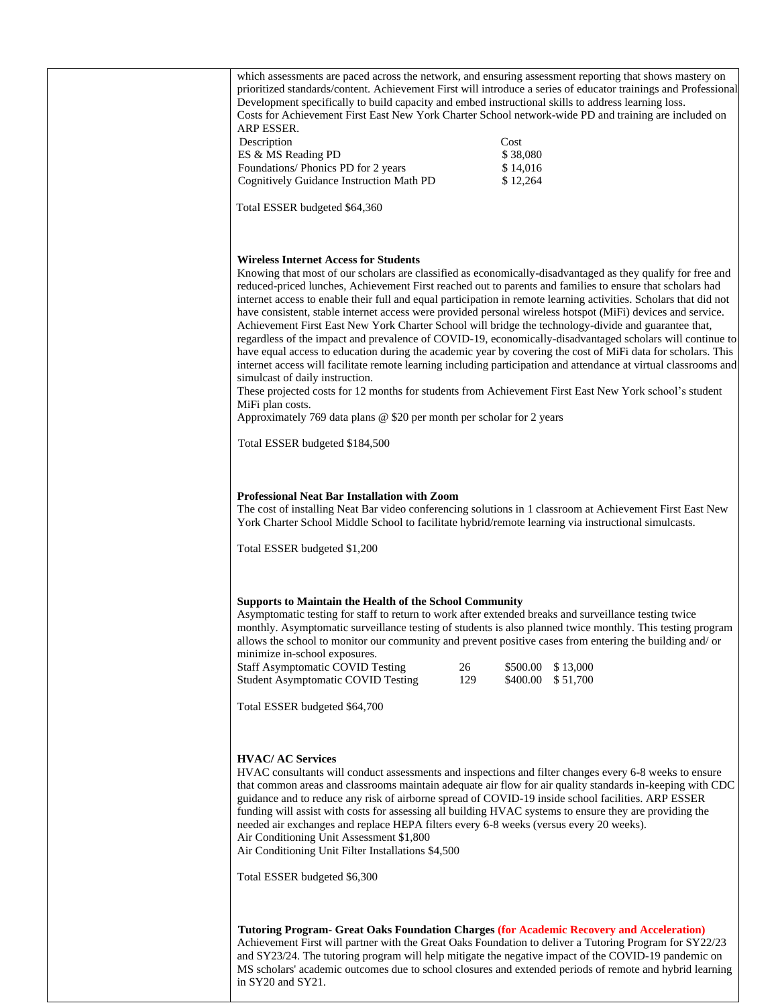| which assessments are paced across the network, and ensuring assessment reporting that shows mastery on<br>prioritized standards/content. Achievement First will introduce a series of educator trainings and Professional<br>Development specifically to build capacity and embed instructional skills to address learning loss.<br>Costs for Achievement First East New York Charter School network-wide PD and training are included on<br>ARP ESSER.<br>Description<br>Cost<br>\$38,080<br>ES & MS Reading PD<br>Foundations/ Phonics PD for 2 years<br>\$14,016                                                                                                                                                                                                                                                                                                                                                                                                                                                                                                                                                                                                                                            |
|-----------------------------------------------------------------------------------------------------------------------------------------------------------------------------------------------------------------------------------------------------------------------------------------------------------------------------------------------------------------------------------------------------------------------------------------------------------------------------------------------------------------------------------------------------------------------------------------------------------------------------------------------------------------------------------------------------------------------------------------------------------------------------------------------------------------------------------------------------------------------------------------------------------------------------------------------------------------------------------------------------------------------------------------------------------------------------------------------------------------------------------------------------------------------------------------------------------------|
| \$12,264<br>Cognitively Guidance Instruction Math PD                                                                                                                                                                                                                                                                                                                                                                                                                                                                                                                                                                                                                                                                                                                                                                                                                                                                                                                                                                                                                                                                                                                                                            |
| Total ESSER budgeted \$64,360                                                                                                                                                                                                                                                                                                                                                                                                                                                                                                                                                                                                                                                                                                                                                                                                                                                                                                                                                                                                                                                                                                                                                                                   |
| <b>Wireless Internet Access for Students</b><br>Knowing that most of our scholars are classified as economically-disadvantaged as they qualify for free and<br>reduced-priced lunches, Achievement First reached out to parents and families to ensure that scholars had<br>internet access to enable their full and equal participation in remote learning activities. Scholars that did not<br>have consistent, stable internet access were provided personal wireless hotspot (MiFi) devices and service.<br>Achievement First East New York Charter School will bridge the technology-divide and guarantee that,<br>regardless of the impact and prevalence of COVID-19, economically-disadvantaged scholars will continue to<br>have equal access to education during the academic year by covering the cost of MiFi data for scholars. This<br>internet access will facilitate remote learning including participation and attendance at virtual classrooms and<br>simulcast of daily instruction.<br>These projected costs for 12 months for students from Achievement First East New York school's student<br>MiFi plan costs.<br>Approximately 769 data plans @ \$20 per month per scholar for 2 years |
| Total ESSER budgeted \$184,500                                                                                                                                                                                                                                                                                                                                                                                                                                                                                                                                                                                                                                                                                                                                                                                                                                                                                                                                                                                                                                                                                                                                                                                  |
| Professional Neat Bar Installation with Zoom<br>The cost of installing Neat Bar video conferencing solutions in 1 classroom at Achievement First East New<br>York Charter School Middle School to facilitate hybrid/remote learning via instructional simulcasts.<br>Total ESSER budgeted \$1,200                                                                                                                                                                                                                                                                                                                                                                                                                                                                                                                                                                                                                                                                                                                                                                                                                                                                                                               |
| <b>Supports to Maintain the Health of the School Community</b><br>Asymptomatic testing for staff to return to work after extended breaks and surveillance testing twice<br>monthly. Asymptomatic surveillance testing of students is also planned twice monthly. This testing program<br>allows the school to monitor our community and prevent positive cases from entering the building and/ or<br>minimize in-school exposures.<br><b>Staff Asymptomatic COVID Testing</b><br>26<br>\$500.00<br>\$13,000<br>129<br><b>Student Asymptomatic COVID Testing</b><br>\$400.00 \$51,700<br>Total ESSER budgeted \$64,700                                                                                                                                                                                                                                                                                                                                                                                                                                                                                                                                                                                           |
| <b>HVAC/ AC Services</b><br>HVAC consultants will conduct assessments and inspections and filter changes every 6-8 weeks to ensure<br>that common areas and classrooms maintain adequate air flow for air quality standards in-keeping with CDC<br>guidance and to reduce any risk of airborne spread of COVID-19 inside school facilities. ARP ESSER<br>funding will assist with costs for assessing all building HVAC systems to ensure they are providing the<br>needed air exchanges and replace HEPA filters every 6-8 weeks (versus every 20 weeks).<br>Air Conditioning Unit Assessment \$1,800<br>Air Conditioning Unit Filter Installations \$4,500<br>Total ESSER budgeted \$6,300                                                                                                                                                                                                                                                                                                                                                                                                                                                                                                                    |
| <b>Tutoring Program- Great Oaks Foundation Charges (for Academic Recovery and Acceleration)</b><br>Achievement First will partner with the Great Oaks Foundation to deliver a Tutoring Program for SY22/23<br>and SY23/24. The tutoring program will help mitigate the negative impact of the COVID-19 pandemic on<br>MS scholars' academic outcomes due to school closures and extended periods of remote and hybrid learning<br>in SY20 and SY21.                                                                                                                                                                                                                                                                                                                                                                                                                                                                                                                                                                                                                                                                                                                                                             |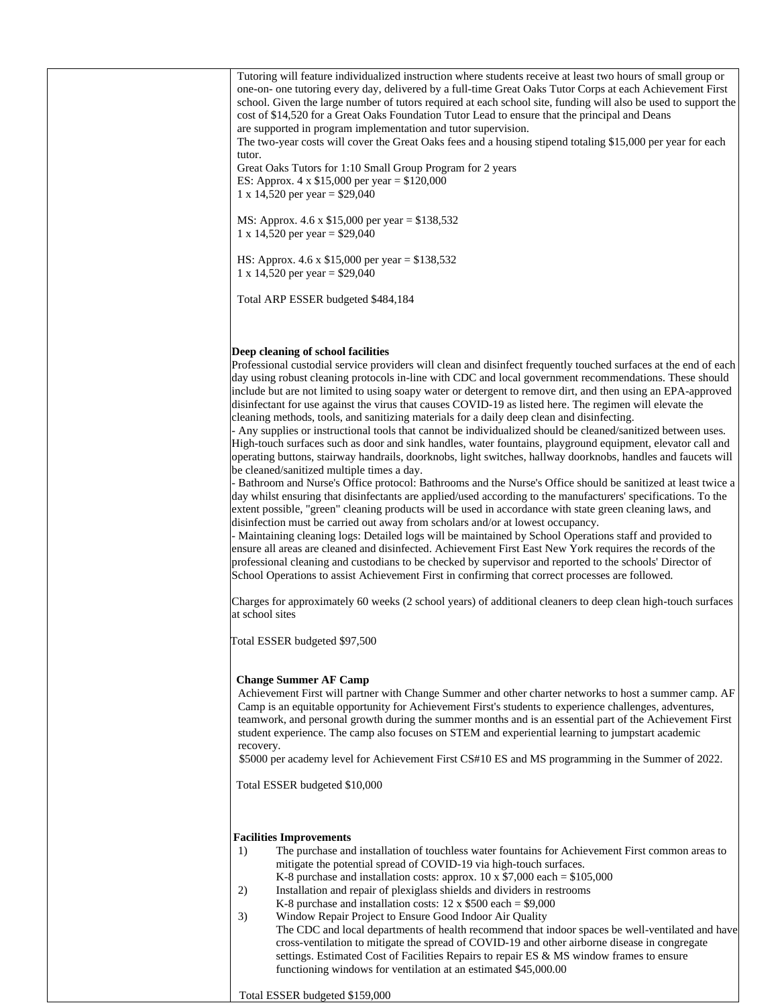Tutoring will feature individualized instruction where students receive at least two hours of small group or one-on- one tutoring every day, delivered by a full-time Great Oaks Tutor Corps at each Achievement First school. Given the large number of tutors required at each school site, funding will also be used to support the cost of \$14,520 for a Great Oaks Foundation Tutor Lead to ensure that the principal and Deans are supported in program implementation and tutor supervision. The two-year costs will cover the Great Oaks fees and a housing stipend totaling \$15,000 per year for each tutor. Great Oaks Tutors for 1:10 Small Group Program for 2 years ES: Approx. 4 x \$15,000 per year = \$120,000 1 x 14,520 per year = \$29,040 MS: Approx. 4.6 x \$15,000 per year = \$138,532 1 x 14,520 per year = \$29,040 HS: Approx. 4.6 x \$15,000 per year = \$138,532 1 x 14,520 per year = \$29,040 Total ARP ESSER budgeted \$484,184 **Deep cleaning of school facilities** Professional custodial service providers will clean and disinfect frequently touched surfaces at the end of each day using robust cleaning protocols in-line with CDC and local government recommendations. These should include but are not limited to using soapy water or detergent to remove dirt, and then using an EPA-approved disinfectant for use against the virus that causes COVID-19 as listed here. The regimen will elevate the cleaning methods, tools, and sanitizing materials for a daily deep clean and disinfecting. - Any supplies or instructional tools that cannot be individualized should be cleaned/sanitized between uses. High-touch surfaces such as door and sink handles, water fountains, playground equipment, elevator call and operating buttons, stairway handrails, doorknobs, light switches, hallway doorknobs, handles and faucets will be cleaned/sanitized multiple times a day. - Bathroom and Nurse's Office protocol: Bathrooms and the Nurse's Office should be sanitized at least twice a day whilst ensuring that disinfectants are applied/used according to the manufacturers' specifications. To the extent possible, "green" cleaning products will be used in accordance with state green cleaning laws, and disinfection must be carried out away from scholars and/or at lowest occupancy. - Maintaining cleaning logs: Detailed logs will be maintained by School Operations staff and provided to ensure all areas are cleaned and disinfected. Achievement First East New York requires the records of the professional cleaning and custodians to be checked by supervisor and reported to the schools' Director of School Operations to assist Achievement First in confirming that correct processes are followed. Charges for approximately 60 weeks (2 school years) of additional cleaners to deep clean high-touch surfaces at school sites Total ESSER budgeted \$97,500  **Change Summer AF Camp** Achievement First will partner with Change Summer and other charter networks to host a summer camp. AF Camp is an equitable opportunity for Achievement First's students to experience challenges, adventures, teamwork, and personal growth during the summer months and is an essential part of the Achievement First student experience. The camp also focuses on STEM and experiential learning to jumpstart academic recovery. \$5000 per academy level for Achievement First CS#10 ES and MS programming in the Summer of 2022. Total ESSER budgeted \$10,000 **Facilities Improvements** 1) The purchase and installation of touchless water fountains for Achievement First common areas to mitigate the potential spread of COVID-19 via high-touch surfaces. K-8 purchase and installation costs: approx.  $10 \times $7,000$  each = \$105,000 2) Installation and repair of plexiglass shields and dividers in restrooms K-8 purchase and installation costs:  $12 \times $500$  each = \$9,000 3) Window Repair Project to Ensure Good Indoor Air Quality The CDC and local departments of health recommend that indoor spaces be well-ventilated and have cross-ventilation to mitigate the spread of COVID-19 and other airborne disease in congregate settings. Estimated Cost of Facilities Repairs to repair ES & MS window frames to ensure functioning windows for ventilation at an estimated \$45,000.00

Total ESSER budgeted \$159,000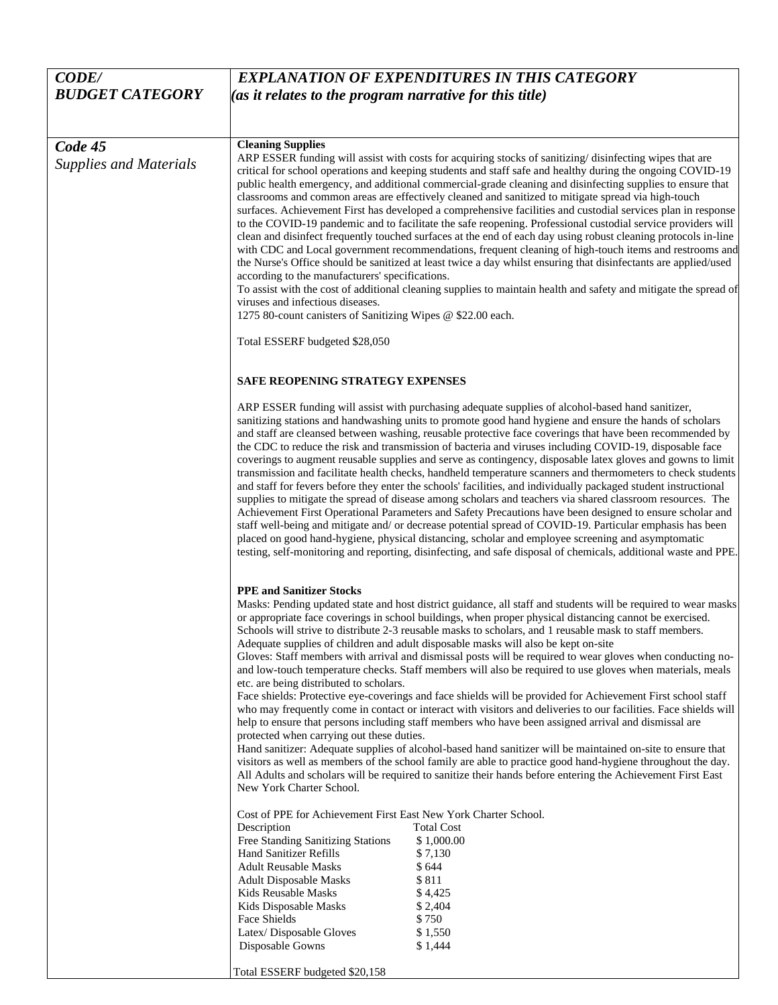| <b>CODE/</b>                             | <b>EXPLANATION OF EXPENDITURES IN THIS CATEGORY</b>                                                                                                                                                                                                                                                                                                                                                                                                                                                                                                                                                                                                                                                                                                                                                                                                                                                                                                                                                                                                                                                                                                                                                                                                                                                                                                                                                                                                                                                                                                                                                                                                                                                                                                                                                                                                                                                                                                                                                                                                                                                                                                                                                                                                                                                                                                                                                                                                                                                                                                                                                                                                                                                                                                                                                                                                                                                                                                                                                                                                                                               |  |  |
|------------------------------------------|---------------------------------------------------------------------------------------------------------------------------------------------------------------------------------------------------------------------------------------------------------------------------------------------------------------------------------------------------------------------------------------------------------------------------------------------------------------------------------------------------------------------------------------------------------------------------------------------------------------------------------------------------------------------------------------------------------------------------------------------------------------------------------------------------------------------------------------------------------------------------------------------------------------------------------------------------------------------------------------------------------------------------------------------------------------------------------------------------------------------------------------------------------------------------------------------------------------------------------------------------------------------------------------------------------------------------------------------------------------------------------------------------------------------------------------------------------------------------------------------------------------------------------------------------------------------------------------------------------------------------------------------------------------------------------------------------------------------------------------------------------------------------------------------------------------------------------------------------------------------------------------------------------------------------------------------------------------------------------------------------------------------------------------------------------------------------------------------------------------------------------------------------------------------------------------------------------------------------------------------------------------------------------------------------------------------------------------------------------------------------------------------------------------------------------------------------------------------------------------------------------------------------------------------------------------------------------------------------------------------------------------------------------------------------------------------------------------------------------------------------------------------------------------------------------------------------------------------------------------------------------------------------------------------------------------------------------------------------------------------------------------------------------------------------------------------------------------------------|--|--|
| <b>BUDGET CATEGORY</b>                   | (as it relates to the program narrative for this title)                                                                                                                                                                                                                                                                                                                                                                                                                                                                                                                                                                                                                                                                                                                                                                                                                                                                                                                                                                                                                                                                                                                                                                                                                                                                                                                                                                                                                                                                                                                                                                                                                                                                                                                                                                                                                                                                                                                                                                                                                                                                                                                                                                                                                                                                                                                                                                                                                                                                                                                                                                                                                                                                                                                                                                                                                                                                                                                                                                                                                                           |  |  |
|                                          |                                                                                                                                                                                                                                                                                                                                                                                                                                                                                                                                                                                                                                                                                                                                                                                                                                                                                                                                                                                                                                                                                                                                                                                                                                                                                                                                                                                                                                                                                                                                                                                                                                                                                                                                                                                                                                                                                                                                                                                                                                                                                                                                                                                                                                                                                                                                                                                                                                                                                                                                                                                                                                                                                                                                                                                                                                                                                                                                                                                                                                                                                                   |  |  |
|                                          |                                                                                                                                                                                                                                                                                                                                                                                                                                                                                                                                                                                                                                                                                                                                                                                                                                                                                                                                                                                                                                                                                                                                                                                                                                                                                                                                                                                                                                                                                                                                                                                                                                                                                                                                                                                                                                                                                                                                                                                                                                                                                                                                                                                                                                                                                                                                                                                                                                                                                                                                                                                                                                                                                                                                                                                                                                                                                                                                                                                                                                                                                                   |  |  |
| Code 45<br><b>Supplies and Materials</b> | <b>Cleaning Supplies</b><br>ARP ESSER funding will assist with costs for acquiring stocks of sanitizing/disinfecting wipes that are<br>critical for school operations and keeping students and staff safe and healthy during the ongoing COVID-19<br>public health emergency, and additional commercial-grade cleaning and disinfecting supplies to ensure that<br>classrooms and common areas are effectively cleaned and sanitized to mitigate spread via high-touch<br>surfaces. Achievement First has developed a comprehensive facilities and custodial services plan in response<br>to the COVID-19 pandemic and to facilitate the safe reopening. Professional custodial service providers will<br>clean and disinfect frequently touched surfaces at the end of each day using robust cleaning protocols in-line<br>with CDC and Local government recommendations, frequent cleaning of high-touch items and restrooms and<br>the Nurse's Office should be sanitized at least twice a day whilst ensuring that disinfectants are applied/used<br>according to the manufacturers' specifications.<br>To assist with the cost of additional cleaning supplies to maintain health and safety and mitigate the spread of<br>viruses and infectious diseases.<br>1275 80-count canisters of Sanitizing Wipes @ \$22.00 each.                                                                                                                                                                                                                                                                                                                                                                                                                                                                                                                                                                                                                                                                                                                                                                                                                                                                                                                                                                                                                                                                                                                                                                                                                                                                                                                                                                                                                                                                                                                                                                                                                                                                                                                                                                   |  |  |
|                                          | Total ESSERF budgeted \$28,050                                                                                                                                                                                                                                                                                                                                                                                                                                                                                                                                                                                                                                                                                                                                                                                                                                                                                                                                                                                                                                                                                                                                                                                                                                                                                                                                                                                                                                                                                                                                                                                                                                                                                                                                                                                                                                                                                                                                                                                                                                                                                                                                                                                                                                                                                                                                                                                                                                                                                                                                                                                                                                                                                                                                                                                                                                                                                                                                                                                                                                                                    |  |  |
|                                          | SAFE REOPENING STRATEGY EXPENSES                                                                                                                                                                                                                                                                                                                                                                                                                                                                                                                                                                                                                                                                                                                                                                                                                                                                                                                                                                                                                                                                                                                                                                                                                                                                                                                                                                                                                                                                                                                                                                                                                                                                                                                                                                                                                                                                                                                                                                                                                                                                                                                                                                                                                                                                                                                                                                                                                                                                                                                                                                                                                                                                                                                                                                                                                                                                                                                                                                                                                                                                  |  |  |
|                                          | ARP ESSER funding will assist with purchasing adequate supplies of alcohol-based hand sanitizer,<br>sanitizing stations and handwashing units to promote good hand hygiene and ensure the hands of scholars<br>and staff are cleansed between washing, reusable protective face coverings that have been recommended by<br>the CDC to reduce the risk and transmission of bacteria and viruses including COVID-19, disposable face<br>coverings to augment reusable supplies and serve as contingency, disposable latex gloves and gowns to limit<br>transmission and facilitate health checks, handheld temperature scanners and thermometers to check students<br>and staff for fevers before they enter the schools' facilities, and individually packaged student instructional<br>supplies to mitigate the spread of disease among scholars and teachers via shared classroom resources. The<br>Achievement First Operational Parameters and Safety Precautions have been designed to ensure scholar and<br>staff well-being and mitigate and/ or decrease potential spread of COVID-19. Particular emphasis has been<br>placed on good hand-hygiene, physical distancing, scholar and employee screening and asymptomatic<br>testing, self-monitoring and reporting, disinfecting, and safe disposal of chemicals, additional waste and PPE.<br><b>PPE and Sanitizer Stocks</b><br>Masks: Pending updated state and host district guidance, all staff and students will be required to wear masks<br>or appropriate face coverings in school buildings, when proper physical distancing cannot be exercised.<br>Schools will strive to distribute 2-3 reusable masks to scholars, and 1 reusable mask to staff members.<br>Adequate supplies of children and adult disposable masks will also be kept on-site<br>Gloves: Staff members with arrival and dismissal posts will be required to wear gloves when conducting no-<br>and low-touch temperature checks. Staff members will also be required to use gloves when materials, meals<br>etc. are being distributed to scholars.<br>Face shields: Protective eye-coverings and face shields will be provided for Achievement First school staff<br>who may frequently come in contact or interact with visitors and deliveries to our facilities. Face shields will<br>help to ensure that persons including staff members who have been assigned arrival and dismissal are<br>protected when carrying out these duties.<br>Hand sanitizer: Adequate supplies of alcohol-based hand sanitizer will be maintained on-site to ensure that<br>visitors as well as members of the school family are able to practice good hand-hygiene throughout the day.<br>All Adults and scholars will be required to sanitize their hands before entering the Achievement First East<br>New York Charter School.<br>Cost of PPE for Achievement First East New York Charter School.<br><b>Total Cost</b><br>Description<br>Free Standing Sanitizing Stations<br>\$1,000.00<br>Hand Sanitizer Refills<br>\$7,130<br><b>Adult Reusable Masks</b><br>\$644 |  |  |
|                                          |                                                                                                                                                                                                                                                                                                                                                                                                                                                                                                                                                                                                                                                                                                                                                                                                                                                                                                                                                                                                                                                                                                                                                                                                                                                                                                                                                                                                                                                                                                                                                                                                                                                                                                                                                                                                                                                                                                                                                                                                                                                                                                                                                                                                                                                                                                                                                                                                                                                                                                                                                                                                                                                                                                                                                                                                                                                                                                                                                                                                                                                                                                   |  |  |
|                                          | \$811<br><b>Adult Disposable Masks</b><br>Kids Reusable Masks<br>\$4,425<br>Kids Disposable Masks<br>\$2,404<br>Face Shields<br>\$750<br>Latex/Disposable Gloves<br>\$1,550<br>Disposable Gowns<br>\$1,444<br>Total ESSERF budgeted \$20,158                                                                                                                                                                                                                                                                                                                                                                                                                                                                                                                                                                                                                                                                                                                                                                                                                                                                                                                                                                                                                                                                                                                                                                                                                                                                                                                                                                                                                                                                                                                                                                                                                                                                                                                                                                                                                                                                                                                                                                                                                                                                                                                                                                                                                                                                                                                                                                                                                                                                                                                                                                                                                                                                                                                                                                                                                                                      |  |  |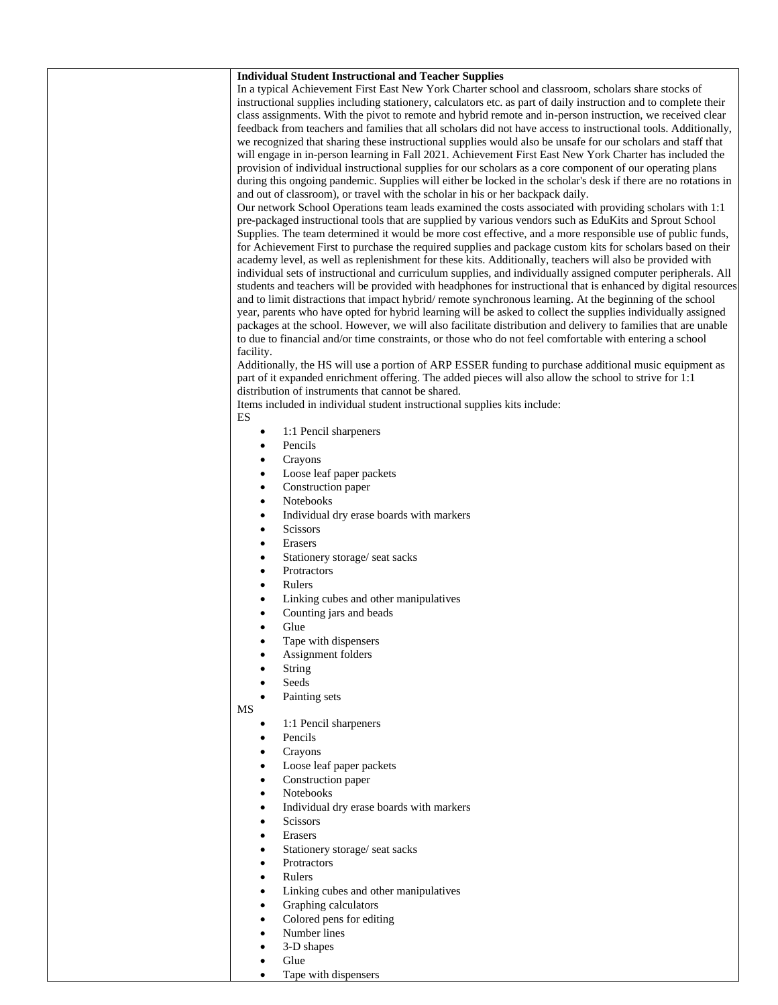| <b>Individual Student Instructional and Teacher Supplies</b>                                                                                                                                                              |
|---------------------------------------------------------------------------------------------------------------------------------------------------------------------------------------------------------------------------|
| In a typical Achievement First East New York Charter school and classroom, scholars share stocks of                                                                                                                       |
| instructional supplies including stationery, calculators etc. as part of daily instruction and to complete their                                                                                                          |
| class assignments. With the pivot to remote and hybrid remote and in-person instruction, we received clear                                                                                                                |
| feedback from teachers and families that all scholars did not have access to instructional tools. Additionally,                                                                                                           |
| we recognized that sharing these instructional supplies would also be unsafe for our scholars and staff that                                                                                                              |
| will engage in in-person learning in Fall 2021. Achievement First East New York Charter has included the                                                                                                                  |
| provision of individual instructional supplies for our scholars as a core component of our operating plans                                                                                                                |
| during this ongoing pandemic. Supplies will either be locked in the scholar's desk if there are no rotations in                                                                                                           |
| and out of classroom), or travel with the scholar in his or her backpack daily.                                                                                                                                           |
| Our network School Operations team leads examined the costs associated with providing scholars with 1:1                                                                                                                   |
| pre-packaged instructional tools that are supplied by various vendors such as EduKits and Sprout School                                                                                                                   |
| Supplies. The team determined it would be more cost effective, and a more responsible use of public funds,<br>for Achievement First to purchase the required supplies and package custom kits for scholars based on their |
| academy level, as well as replenishment for these kits. Additionally, teachers will also be provided with                                                                                                                 |
| individual sets of instructional and curriculum supplies, and individually assigned computer peripherals. All                                                                                                             |
| students and teachers will be provided with headphones for instructional that is enhanced by digital resources                                                                                                            |
| and to limit distractions that impact hybrid/remote synchronous learning. At the beginning of the school                                                                                                                  |
| year, parents who have opted for hybrid learning will be asked to collect the supplies individually assigned                                                                                                              |
| packages at the school. However, we will also facilitate distribution and delivery to families that are unable                                                                                                            |
| to due to financial and/or time constraints, or those who do not feel comfortable with entering a school                                                                                                                  |
| facility.                                                                                                                                                                                                                 |
| Additionally, the HS will use a portion of ARP ESSER funding to purchase additional music equipment as                                                                                                                    |
| part of it expanded enrichment offering. The added pieces will also allow the school to strive for 1:1                                                                                                                    |
| distribution of instruments that cannot be shared.                                                                                                                                                                        |
| Items included in individual student instructional supplies kits include:                                                                                                                                                 |
| ES                                                                                                                                                                                                                        |
| 1:1 Pencil sharpeners<br>$\bullet$                                                                                                                                                                                        |
| Pencils                                                                                                                                                                                                                   |
| Crayons                                                                                                                                                                                                                   |
| Loose leaf paper packets                                                                                                                                                                                                  |
| Construction paper                                                                                                                                                                                                        |
| Notebooks                                                                                                                                                                                                                 |
| Individual dry erase boards with markers<br>٠                                                                                                                                                                             |
| Scissors                                                                                                                                                                                                                  |
| Erasers                                                                                                                                                                                                                   |
| Stationery storage/seat sacks                                                                                                                                                                                             |
| Protractors                                                                                                                                                                                                               |
| Rulers                                                                                                                                                                                                                    |
| Linking cubes and other manipulatives                                                                                                                                                                                     |
| Counting jars and beads                                                                                                                                                                                                   |
| Glue                                                                                                                                                                                                                      |
| Tape with dispensers                                                                                                                                                                                                      |
| Assignment folders                                                                                                                                                                                                        |
| <b>String</b>                                                                                                                                                                                                             |
| Seeds                                                                                                                                                                                                                     |
| Painting sets                                                                                                                                                                                                             |
| <b>MS</b>                                                                                                                                                                                                                 |
| 1:1 Pencil sharpeners                                                                                                                                                                                                     |
| Pencils                                                                                                                                                                                                                   |
| Crayons                                                                                                                                                                                                                   |
| Loose leaf paper packets                                                                                                                                                                                                  |
| Construction paper                                                                                                                                                                                                        |
| Notebooks                                                                                                                                                                                                                 |
| Individual dry erase boards with markers                                                                                                                                                                                  |
| Scissors<br>$\bullet$                                                                                                                                                                                                     |
| Erasers                                                                                                                                                                                                                   |
| Stationery storage/ seat sacks                                                                                                                                                                                            |
| Protractors                                                                                                                                                                                                               |
| Rulers                                                                                                                                                                                                                    |
| Linking cubes and other manipulatives                                                                                                                                                                                     |
| Graphing calculators                                                                                                                                                                                                      |
| Colored pens for editing                                                                                                                                                                                                  |
| Number lines                                                                                                                                                                                                              |
| 3-D shapes                                                                                                                                                                                                                |
| Glue                                                                                                                                                                                                                      |
| Tape with dispensers                                                                                                                                                                                                      |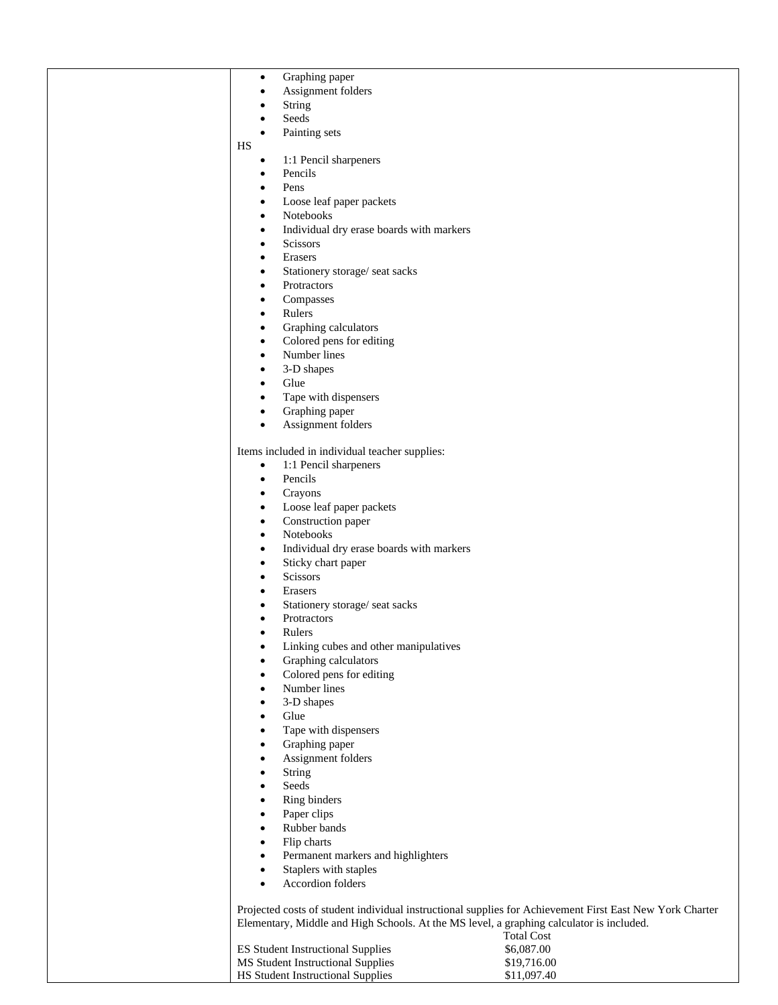| $\bullet$ | Graphing paper                                 |                                                                                                          |
|-----------|------------------------------------------------|----------------------------------------------------------------------------------------------------------|
| $\bullet$ | Assignment folders                             |                                                                                                          |
| $\bullet$ | String                                         |                                                                                                          |
| $\bullet$ | Seeds                                          |                                                                                                          |
| $\bullet$ | Painting sets                                  |                                                                                                          |
| HS        |                                                |                                                                                                          |
| $\bullet$ | 1:1 Pencil sharpeners                          |                                                                                                          |
| $\bullet$ | Pencils                                        |                                                                                                          |
| $\bullet$ | Pens                                           |                                                                                                          |
| $\bullet$ | Loose leaf paper packets                       |                                                                                                          |
| $\bullet$ | Notebooks                                      |                                                                                                          |
| $\bullet$ | Individual dry erase boards with markers       |                                                                                                          |
| $\bullet$ | Scissors                                       |                                                                                                          |
| $\bullet$ | Erasers                                        |                                                                                                          |
|           |                                                |                                                                                                          |
| $\bullet$ | Stationery storage/ seat sacks                 |                                                                                                          |
| $\bullet$ | Protractors                                    |                                                                                                          |
| $\bullet$ | Compasses                                      |                                                                                                          |
| $\bullet$ | Rulers                                         |                                                                                                          |
| $\bullet$ | Graphing calculators                           |                                                                                                          |
| $\bullet$ | Colored pens for editing                       |                                                                                                          |
| $\bullet$ | Number lines                                   |                                                                                                          |
| $\bullet$ | 3-D shapes                                     |                                                                                                          |
| $\bullet$ | Glue                                           |                                                                                                          |
| $\bullet$ | Tape with dispensers                           |                                                                                                          |
| $\bullet$ | Graphing paper                                 |                                                                                                          |
| $\bullet$ | Assignment folders                             |                                                                                                          |
|           |                                                |                                                                                                          |
|           | Items included in individual teacher supplies: |                                                                                                          |
| $\bullet$ | 1:1 Pencil sharpeners                          |                                                                                                          |
| $\bullet$ | Pencils                                        |                                                                                                          |
| $\bullet$ | Crayons                                        |                                                                                                          |
| $\bullet$ | Loose leaf paper packets                       |                                                                                                          |
| $\bullet$ | Construction paper                             |                                                                                                          |
| $\bullet$ | Notebooks                                      |                                                                                                          |
| $\bullet$ | Individual dry erase boards with markers       |                                                                                                          |
| $\bullet$ | Sticky chart paper                             |                                                                                                          |
| $\bullet$ | Scissors                                       |                                                                                                          |
| $\bullet$ | Erasers                                        |                                                                                                          |
| $\bullet$ | Stationery storage/ seat sacks                 |                                                                                                          |
| $\bullet$ | Protractors                                    |                                                                                                          |
|           | Rulers                                         |                                                                                                          |
|           |                                                |                                                                                                          |
| $\bullet$ | Linking cubes and other manipulatives          |                                                                                                          |
| $\bullet$ | Graphing calculators                           |                                                                                                          |
| $\bullet$ | Colored pens for editing                       |                                                                                                          |
| $\bullet$ | Number lines                                   |                                                                                                          |
| $\bullet$ | 3-D shapes                                     |                                                                                                          |
| $\bullet$ | Glue                                           |                                                                                                          |
| $\bullet$ | Tape with dispensers                           |                                                                                                          |
| $\bullet$ | Graphing paper                                 |                                                                                                          |
| $\bullet$ | Assignment folders                             |                                                                                                          |
| $\bullet$ | String                                         |                                                                                                          |
| $\bullet$ | Seeds                                          |                                                                                                          |
| $\bullet$ | Ring binders                                   |                                                                                                          |
| $\bullet$ | Paper clips                                    |                                                                                                          |
| $\bullet$ | Rubber bands                                   |                                                                                                          |
| $\bullet$ | Flip charts                                    |                                                                                                          |
| $\bullet$ | Permanent markers and highlighters             |                                                                                                          |
| $\bullet$ | Staplers with staples                          |                                                                                                          |
| $\bullet$ | Accordion folders                              |                                                                                                          |
|           |                                                |                                                                                                          |
|           |                                                | Projected costs of student individual instructional supplies for Achievement First East New York Charter |
|           |                                                | Elementary, Middle and High Schools. At the MS level, a graphing calculator is included.                 |
|           |                                                | <b>Total Cost</b>                                                                                        |
|           | <b>ES Student Instructional Supplies</b>       | \$6,087.00                                                                                               |
|           | MS Student Instructional Supplies              | \$19,716.00                                                                                              |

HS Student Instructional Supplies \$11,097.40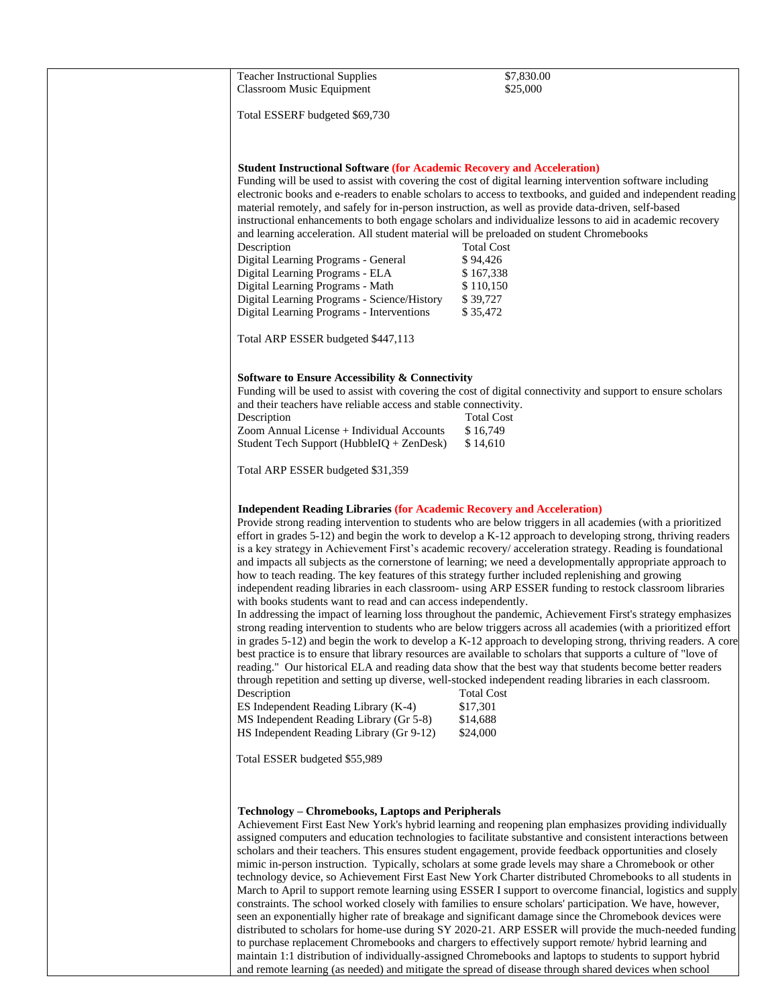| <b>Teacher Instructional Supplies</b><br><b>Classroom Music Equipment</b>                                                                                                                                                                                                                                                      | \$7,830.00<br>\$25,000                                                                                                                                                                                                                                                                                                                                                                                                                                                                                                                                                                                                                                                                                                                                                                                                                                                                                                                                                                                                                                                                                                                                                                                                                                                                                                                                                                                                        |
|--------------------------------------------------------------------------------------------------------------------------------------------------------------------------------------------------------------------------------------------------------------------------------------------------------------------------------|-------------------------------------------------------------------------------------------------------------------------------------------------------------------------------------------------------------------------------------------------------------------------------------------------------------------------------------------------------------------------------------------------------------------------------------------------------------------------------------------------------------------------------------------------------------------------------------------------------------------------------------------------------------------------------------------------------------------------------------------------------------------------------------------------------------------------------------------------------------------------------------------------------------------------------------------------------------------------------------------------------------------------------------------------------------------------------------------------------------------------------------------------------------------------------------------------------------------------------------------------------------------------------------------------------------------------------------------------------------------------------------------------------------------------------|
| Total ESSERF budgeted \$69,730                                                                                                                                                                                                                                                                                                 |                                                                                                                                                                                                                                                                                                                                                                                                                                                                                                                                                                                                                                                                                                                                                                                                                                                                                                                                                                                                                                                                                                                                                                                                                                                                                                                                                                                                                               |
| <b>Student Instructional Software (for Academic Recovery and Acceleration)</b>                                                                                                                                                                                                                                                 | Funding will be used to assist with covering the cost of digital learning intervention software including<br>electronic books and e-readers to enable scholars to access to textbooks, and guided and independent reading<br>material remotely, and safely for in-person instruction, as well as provide data-driven, self-based                                                                                                                                                                                                                                                                                                                                                                                                                                                                                                                                                                                                                                                                                                                                                                                                                                                                                                                                                                                                                                                                                              |
| and learning acceleration. All student material will be preloaded on student Chromebooks<br>Description<br>Digital Learning Programs - General<br>Digital Learning Programs - ELA<br>Digital Learning Programs - Math<br>Digital Learning Programs - Science/History<br>Digital Learning Programs - Interventions              | instructional enhancements to both engage scholars and individualize lessons to aid in academic recovery<br><b>Total Cost</b><br>\$94,426<br>\$167,338<br>\$110,150<br>\$39,727<br>\$35,472                                                                                                                                                                                                                                                                                                                                                                                                                                                                                                                                                                                                                                                                                                                                                                                                                                                                                                                                                                                                                                                                                                                                                                                                                                   |
| Total ARP ESSER budgeted \$447,113                                                                                                                                                                                                                                                                                             |                                                                                                                                                                                                                                                                                                                                                                                                                                                                                                                                                                                                                                                                                                                                                                                                                                                                                                                                                                                                                                                                                                                                                                                                                                                                                                                                                                                                                               |
| <b>Software to Ensure Accessibility &amp; Connectivity</b><br>and their teachers have reliable access and stable connectivity.<br>Description<br>Zoom Annual License + Individual Accounts<br>Student Tech Support (HubbleIQ + ZenDesk)<br>Total ARP ESSER budgeted \$31,359                                                   | Funding will be used to assist with covering the cost of digital connectivity and support to ensure scholars<br><b>Total Cost</b><br>\$16,749<br>\$14,610                                                                                                                                                                                                                                                                                                                                                                                                                                                                                                                                                                                                                                                                                                                                                                                                                                                                                                                                                                                                                                                                                                                                                                                                                                                                     |
| <b>Independent Reading Libraries (for Academic Recovery and Acceleration)</b><br>with books students want to read and can access independently.<br>Description<br>ES Independent Reading Library (K-4)<br>MS Independent Reading Library (Gr 5-8)<br>HS Independent Reading Library (Gr 9-12)<br>Total ESSER budgeted \$55,989 | Provide strong reading intervention to students who are below triggers in all academies (with a prioritized<br>effort in grades $5-12$ ) and begin the work to develop a K-12 approach to developing strong, thriving readers<br>is a key strategy in Achievement First's academic recovery/ acceleration strategy. Reading is foundational<br>and impacts all subjects as the cornerstone of learning; we need a developmentally appropriate approach to<br>how to teach reading. The key features of this strategy further included replenishing and growing<br>independent reading libraries in each classroom- using ARP ESSER funding to restock classroom libraries<br>In addressing the impact of learning loss throughout the pandemic, Achievement First's strategy emphasizes<br>strong reading intervention to students who are below triggers across all academies (with a prioritized effort<br>in grades 5-12) and begin the work to develop a K-12 approach to developing strong, thriving readers. A core<br>best practice is to ensure that library resources are available to scholars that supports a culture of "love of<br>reading." Our historical ELA and reading data show that the best way that students become better readers<br>through repetition and setting up diverse, well-stocked independent reading libraries in each classroom.<br><b>Total Cost</b><br>\$17,301<br>\$14,688<br>\$24,000 |
| <b>Technology – Chromebooks, Laptops and Peripherals</b>                                                                                                                                                                                                                                                                       | Achievement First East New York's hybrid learning and reopening plan emphasizes providing individually<br>assigned computers and education technologies to facilitate substantive and consistent interactions between<br>scholars and their teachers. This ensures student engagement, provide feedback opportunities and closely<br>mimic in-person instruction. Typically, scholars at some grade levels may share a Chromebook or other<br>technology device, so Achievement First East New York Charter distributed Chromebooks to all students in<br>March to April to support remote learning using ESSER I support to overcome financial, logistics and supply<br>constraints. The school worked closely with families to ensure scholars' participation. We have, however,<br>seen an exponentially higher rate of breakage and significant damage since the Chromebook devices were<br>distributed to scholars for home-use during SY 2020-21. ARP ESSER will provide the much-needed funding<br>to purchase replacement Chromebooks and chargers to effectively support remote/ hybrid learning and<br>maintain 1:1 distribution of individually-assigned Chromebooks and laptops to students to support hybrid<br>and remote learning (as needed) and mitigate the spread of disease through shared devices when school                                                                                            |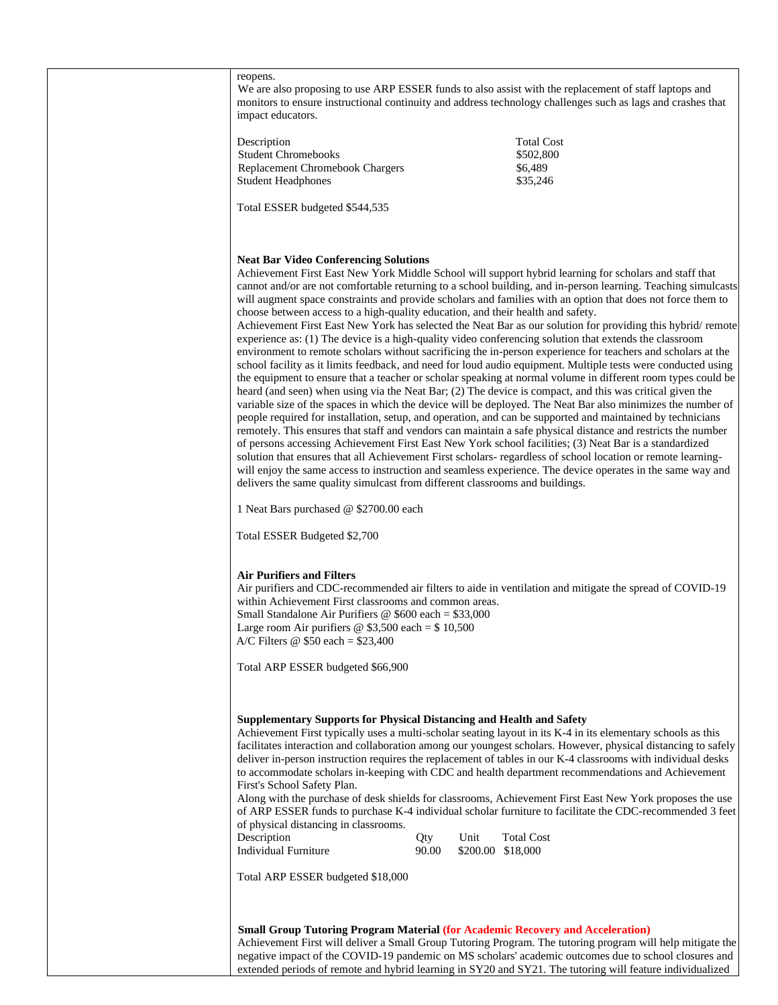| reopens.<br>impact educators.                                                                                                                                                                                                                                                             |                            | We are also proposing to use ARP ESSER funds to also assist with the replacement of staff laptops and<br>monitors to ensure instructional continuity and address technology challenges such as lags and crashes that                                                                                                                                                                                                                                                                                                                                                                                                                                                                                                                                                                                                                                                                                                                                                                                                                                                                                                                                                                                                                                                                                                                                                                                                                                                                                                                                                                                                                                                                                            |
|-------------------------------------------------------------------------------------------------------------------------------------------------------------------------------------------------------------------------------------------------------------------------------------------|----------------------------|-----------------------------------------------------------------------------------------------------------------------------------------------------------------------------------------------------------------------------------------------------------------------------------------------------------------------------------------------------------------------------------------------------------------------------------------------------------------------------------------------------------------------------------------------------------------------------------------------------------------------------------------------------------------------------------------------------------------------------------------------------------------------------------------------------------------------------------------------------------------------------------------------------------------------------------------------------------------------------------------------------------------------------------------------------------------------------------------------------------------------------------------------------------------------------------------------------------------------------------------------------------------------------------------------------------------------------------------------------------------------------------------------------------------------------------------------------------------------------------------------------------------------------------------------------------------------------------------------------------------------------------------------------------------------------------------------------------------|
| Description<br><b>Student Chromebooks</b><br>Replacement Chromebook Chargers<br><b>Student Headphones</b>                                                                                                                                                                                 |                            | <b>Total Cost</b><br>\$502,800<br>\$6,489<br>\$35,246                                                                                                                                                                                                                                                                                                                                                                                                                                                                                                                                                                                                                                                                                                                                                                                                                                                                                                                                                                                                                                                                                                                                                                                                                                                                                                                                                                                                                                                                                                                                                                                                                                                           |
| Total ESSER budgeted \$544,535                                                                                                                                                                                                                                                            |                            |                                                                                                                                                                                                                                                                                                                                                                                                                                                                                                                                                                                                                                                                                                                                                                                                                                                                                                                                                                                                                                                                                                                                                                                                                                                                                                                                                                                                                                                                                                                                                                                                                                                                                                                 |
| <b>Neat Bar Video Conferencing Solutions</b><br>choose between access to a high-quality education, and their health and safety.<br>delivers the same quality simulcast from different classrooms and buildings.<br>1 Neat Bars purchased @ \$2700.00 each<br>Total ESSER Budgeted \$2,700 |                            | Achievement First East New York Middle School will support hybrid learning for scholars and staff that<br>cannot and/or are not comfortable returning to a school building, and in-person learning. Teaching simulcasts<br>will augment space constraints and provide scholars and families with an option that does not force them to<br>Achievement First East New York has selected the Neat Bar as our solution for providing this hybrid/remote<br>experience as: (1) The device is a high-quality video conferencing solution that extends the classroom<br>environment to remote scholars without sacrificing the in-person experience for teachers and scholars at the<br>school facility as it limits feedback, and need for loud audio equipment. Multiple tests were conducted using<br>the equipment to ensure that a teacher or scholar speaking at normal volume in different room types could be<br>heard (and seen) when using via the Neat Bar; (2) The device is compact, and this was critical given the<br>variable size of the spaces in which the device will be deployed. The Neat Bar also minimizes the number of<br>people required for installation, setup, and operation, and can be supported and maintained by technicians<br>remotely. This ensures that staff and vendors can maintain a safe physical distance and restricts the number<br>of persons accessing Achievement First East New York school facilities; (3) Neat Bar is a standardized<br>solution that ensures that all Achievement First scholars-regardless of school location or remote learning-<br>will enjoy the same access to instruction and seamless experience. The device operates in the same way and |
| <b>Air Purifiers and Filters</b><br>within Achievement First classrooms and common areas.<br>Small Standalone Air Purifiers $\omega$ \$600 each = \$33,000<br>Large room Air purifiers $\omega$ \$3,500 each = \$10,500<br>A/C Filters $\omega$ \$50 each = \$23,400                      |                            | Air purifiers and CDC-recommended air filters to aide in ventilation and mitigate the spread of COVID-19                                                                                                                                                                                                                                                                                                                                                                                                                                                                                                                                                                                                                                                                                                                                                                                                                                                                                                                                                                                                                                                                                                                                                                                                                                                                                                                                                                                                                                                                                                                                                                                                        |
| Total ARP ESSER budgeted \$66,900                                                                                                                                                                                                                                                         |                            |                                                                                                                                                                                                                                                                                                                                                                                                                                                                                                                                                                                                                                                                                                                                                                                                                                                                                                                                                                                                                                                                                                                                                                                                                                                                                                                                                                                                                                                                                                                                                                                                                                                                                                                 |
| <b>Supplementary Supports for Physical Distancing and Health and Safety</b><br>First's School Safety Plan.<br>of physical distancing in classrooms.<br>Description                                                                                                                        | Unit<br>Qty                | Achievement First typically uses a multi-scholar seating layout in its K-4 in its elementary schools as this<br>facilitates interaction and collaboration among our youngest scholars. However, physical distancing to safely<br>deliver in-person instruction requires the replacement of tables in our K-4 classrooms with individual desks<br>to accommodate scholars in-keeping with CDC and health department recommendations and Achievement<br>Along with the purchase of desk shields for classrooms, Achievement First East New York proposes the use<br>of ARP ESSER funds to purchase K-4 individual scholar furniture to facilitate the CDC-recommended 3 feet<br><b>Total Cost</b>                                                                                                                                                                                                                                                                                                                                                                                                                                                                                                                                                                                                                                                                                                                                                                                                                                                                                                                                                                                                                 |
| <b>Individual Furniture</b><br>Total ARP ESSER budgeted \$18,000                                                                                                                                                                                                                          | \$200.00 \$18,000<br>90.00 |                                                                                                                                                                                                                                                                                                                                                                                                                                                                                                                                                                                                                                                                                                                                                                                                                                                                                                                                                                                                                                                                                                                                                                                                                                                                                                                                                                                                                                                                                                                                                                                                                                                                                                                 |
|                                                                                                                                                                                                                                                                                           |                            |                                                                                                                                                                                                                                                                                                                                                                                                                                                                                                                                                                                                                                                                                                                                                                                                                                                                                                                                                                                                                                                                                                                                                                                                                                                                                                                                                                                                                                                                                                                                                                                                                                                                                                                 |
| <b>Small Group Tutoring Program Material (for Academic Recovery and Acceleration)</b>                                                                                                                                                                                                     |                            | Achievement First will deliver a Small Group Tutoring Program. The tutoring program will help mitigate the<br>negative impact of the COVID-19 pandemic on MS scholars' academic outcomes due to school closures and<br>extended periods of remote and hybrid learning in SY20 and SY21. The tutoring will feature individualized                                                                                                                                                                                                                                                                                                                                                                                                                                                                                                                                                                                                                                                                                                                                                                                                                                                                                                                                                                                                                                                                                                                                                                                                                                                                                                                                                                                |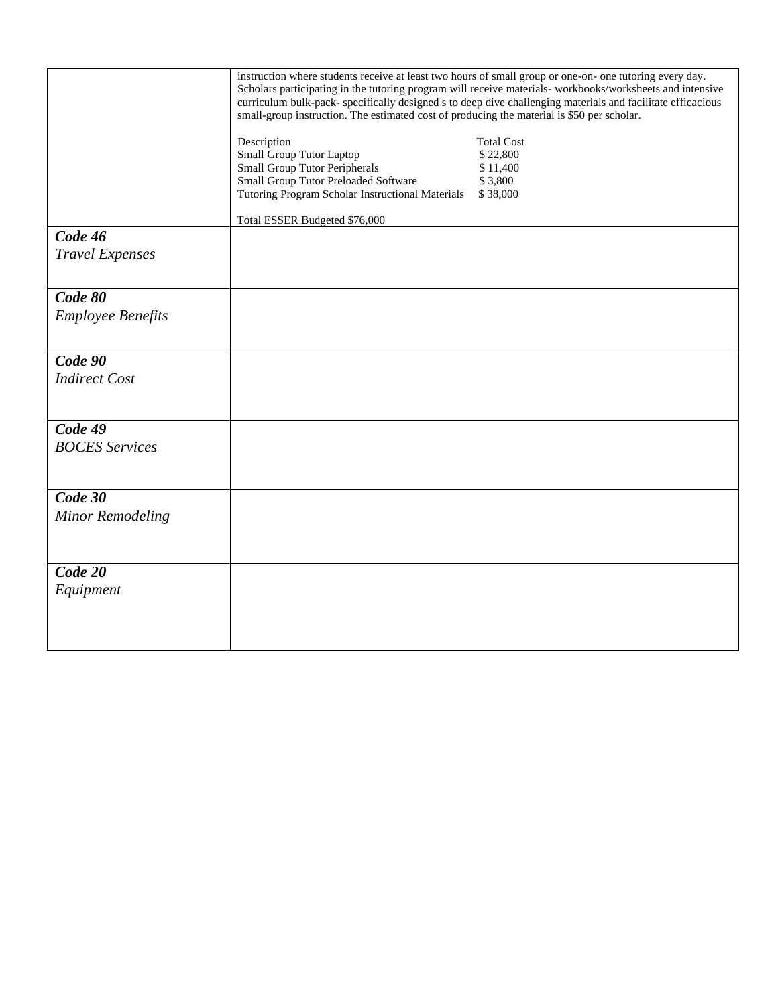|                          | instruction where students receive at least two hours of small group or one-on- one tutoring every day.<br>Scholars participating in the tutoring program will receive materials-workbooks/worksheets and intensive<br>curriculum bulk-pack- specifically designed s to deep dive challenging materials and facilitate efficacious<br>small-group instruction. The estimated cost of producing the material is \$50 per scholar. |                   |  |
|--------------------------|----------------------------------------------------------------------------------------------------------------------------------------------------------------------------------------------------------------------------------------------------------------------------------------------------------------------------------------------------------------------------------------------------------------------------------|-------------------|--|
|                          | Description                                                                                                                                                                                                                                                                                                                                                                                                                      | <b>Total Cost</b> |  |
|                          | <b>Small Group Tutor Laptop</b>                                                                                                                                                                                                                                                                                                                                                                                                  | \$22,800          |  |
|                          | <b>Small Group Tutor Peripherals</b>                                                                                                                                                                                                                                                                                                                                                                                             | \$11,400          |  |
|                          | Small Group Tutor Preloaded Software                                                                                                                                                                                                                                                                                                                                                                                             | \$3,800           |  |
|                          | Tutoring Program Scholar Instructional Materials                                                                                                                                                                                                                                                                                                                                                                                 | \$38,000          |  |
|                          |                                                                                                                                                                                                                                                                                                                                                                                                                                  |                   |  |
|                          | Total ESSER Budgeted \$76,000                                                                                                                                                                                                                                                                                                                                                                                                    |                   |  |
| Code 46                  |                                                                                                                                                                                                                                                                                                                                                                                                                                  |                   |  |
| <b>Travel Expenses</b>   |                                                                                                                                                                                                                                                                                                                                                                                                                                  |                   |  |
|                          |                                                                                                                                                                                                                                                                                                                                                                                                                                  |                   |  |
|                          |                                                                                                                                                                                                                                                                                                                                                                                                                                  |                   |  |
| Code 80                  |                                                                                                                                                                                                                                                                                                                                                                                                                                  |                   |  |
| <b>Employee Benefits</b> |                                                                                                                                                                                                                                                                                                                                                                                                                                  |                   |  |
|                          |                                                                                                                                                                                                                                                                                                                                                                                                                                  |                   |  |
|                          |                                                                                                                                                                                                                                                                                                                                                                                                                                  |                   |  |
| Code 90                  |                                                                                                                                                                                                                                                                                                                                                                                                                                  |                   |  |
| <b>Indirect Cost</b>     |                                                                                                                                                                                                                                                                                                                                                                                                                                  |                   |  |
|                          |                                                                                                                                                                                                                                                                                                                                                                                                                                  |                   |  |
|                          |                                                                                                                                                                                                                                                                                                                                                                                                                                  |                   |  |
|                          |                                                                                                                                                                                                                                                                                                                                                                                                                                  |                   |  |
| $\overline{Code~49}$     |                                                                                                                                                                                                                                                                                                                                                                                                                                  |                   |  |
| <b>BOCES</b> Services    |                                                                                                                                                                                                                                                                                                                                                                                                                                  |                   |  |
|                          |                                                                                                                                                                                                                                                                                                                                                                                                                                  |                   |  |
|                          |                                                                                                                                                                                                                                                                                                                                                                                                                                  |                   |  |
| Code 30                  |                                                                                                                                                                                                                                                                                                                                                                                                                                  |                   |  |
|                          |                                                                                                                                                                                                                                                                                                                                                                                                                                  |                   |  |
| <b>Minor Remodeling</b>  |                                                                                                                                                                                                                                                                                                                                                                                                                                  |                   |  |
|                          |                                                                                                                                                                                                                                                                                                                                                                                                                                  |                   |  |
|                          |                                                                                                                                                                                                                                                                                                                                                                                                                                  |                   |  |
| Code 20                  |                                                                                                                                                                                                                                                                                                                                                                                                                                  |                   |  |
| Equipment                |                                                                                                                                                                                                                                                                                                                                                                                                                                  |                   |  |
|                          |                                                                                                                                                                                                                                                                                                                                                                                                                                  |                   |  |
|                          |                                                                                                                                                                                                                                                                                                                                                                                                                                  |                   |  |
|                          |                                                                                                                                                                                                                                                                                                                                                                                                                                  |                   |  |
|                          |                                                                                                                                                                                                                                                                                                                                                                                                                                  |                   |  |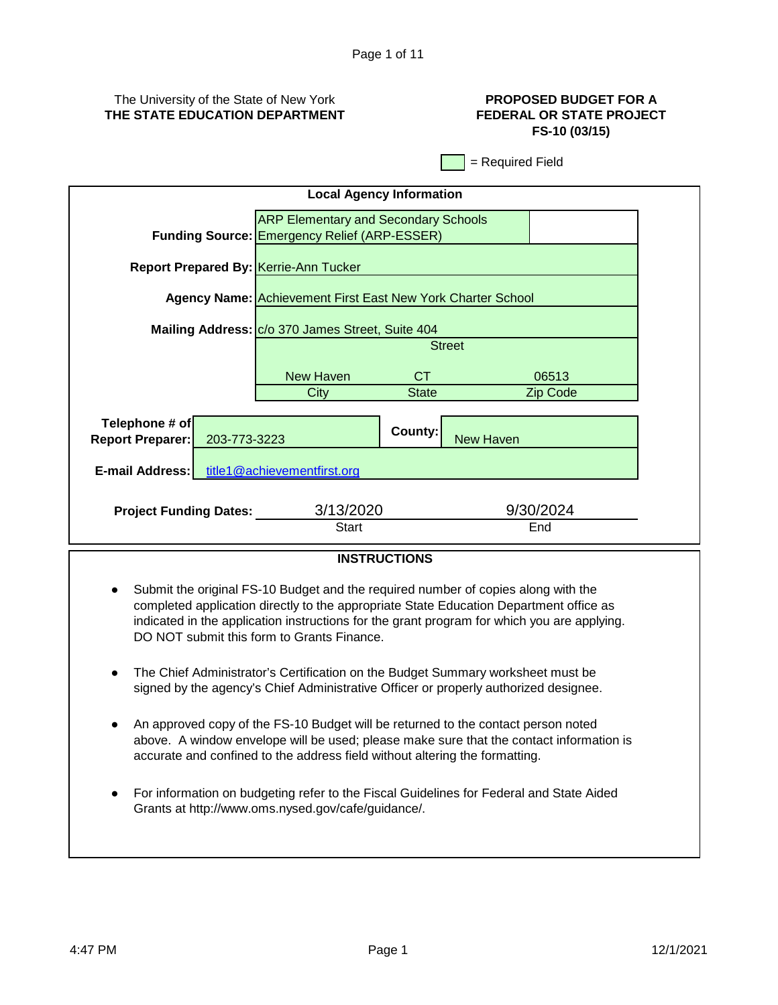# The University of the State of New York **THE STATE EDUCATION DEPARTMENT**

# **PROPOSED BUDGET FOR A FEDERAL OR STATE PROJECT FS-10 (03/15)**

= Required Field

| <b>Local Agency Information</b>                         |              |                                                                                             |              |                  |          |  |
|---------------------------------------------------------|--------------|---------------------------------------------------------------------------------------------|--------------|------------------|----------|--|
|                                                         |              | <b>ARP Elementary and Secondary Schools</b><br>Funding Source: Emergency Relief (ARP-ESSER) |              |                  |          |  |
|                                                         |              | <b>Report Prepared By: Kerrie-Ann Tucker</b>                                                |              |                  |          |  |
|                                                         |              | <b>Agency Name: Achievement First East New York Charter School</b>                          |              |                  |          |  |
|                                                         |              | Mailing Address: C/o 370 James Street, Suite 404                                            |              |                  |          |  |
|                                                         |              | <b>Street</b>                                                                               |              |                  |          |  |
|                                                         |              | <b>New Haven</b>                                                                            | CT.          |                  | 06513    |  |
|                                                         |              | City                                                                                        | <b>State</b> |                  | Zip Code |  |
|                                                         |              |                                                                                             |              |                  |          |  |
| Telephone # of                                          |              |                                                                                             | County:      |                  |          |  |
| <b>Report Preparer:</b>                                 | 203-773-3223 |                                                                                             |              | <b>New Haven</b> |          |  |
| <b>E-mail Address:</b><br>title1@achievementfirst.org   |              |                                                                                             |              |                  |          |  |
| 3/13/2020<br>9/30/2024<br><b>Project Funding Dates:</b> |              |                                                                                             |              |                  |          |  |
| Start<br>End                                            |              |                                                                                             |              |                  |          |  |
|                                                         |              |                                                                                             |              |                  |          |  |

# **INSTRUCTIONS**

- Submit the original FS-10 Budget and the required number of copies along with the completed application directly to the appropriate State Education Department office as indicated in the application instructions for the grant program for which you are applying. DO NOT submit this form to Grants Finance.
- The Chief Administrator's Certification on the Budget Summary worksheet must be signed by the agency's Chief Administrative Officer or properly authorized designee.
- An approved copy of the FS-10 Budget will be returned to the contact person noted above. A window envelope will be used; please make sure that the contact information is accurate and confined to the address field without altering the formatting.
- For information on budgeting refer to the Fiscal Guidelines for Federal and State Aided Grants at http://www.oms.nysed.gov/cafe/guidance/.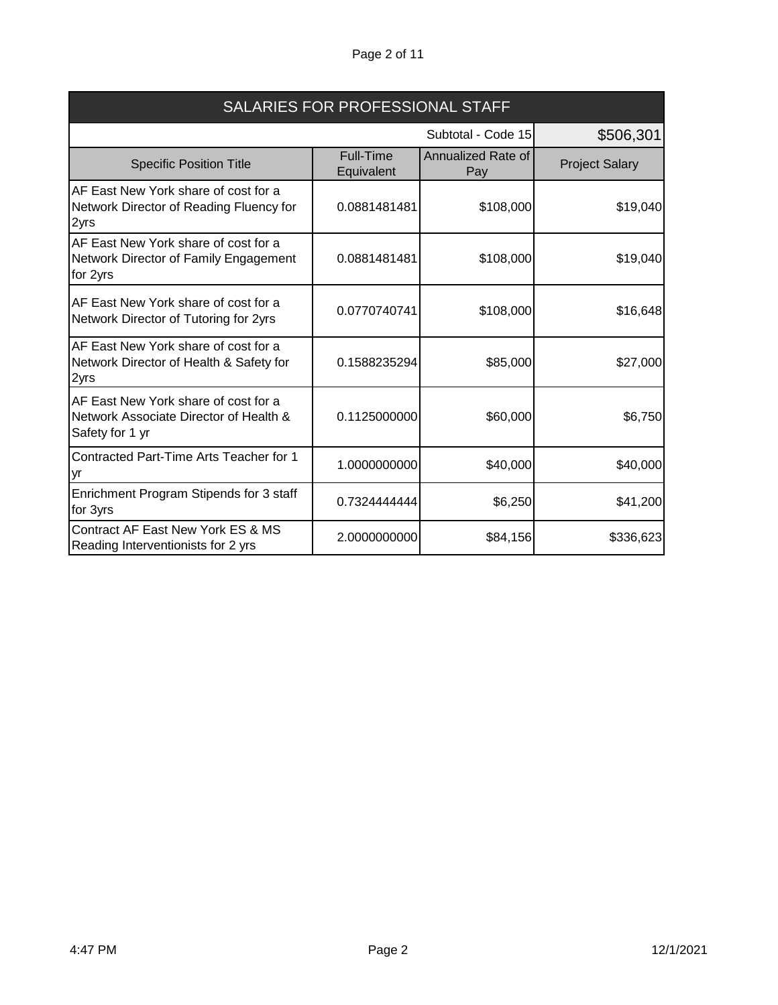# Page 2 of 11

| SALARIES FOR PROFESSIONAL STAFF                                                                   |                                |                                  |                       |
|---------------------------------------------------------------------------------------------------|--------------------------------|----------------------------------|-----------------------|
|                                                                                                   |                                | Subtotal - Code 15               | \$506,301             |
| <b>Specific Position Title</b>                                                                    | <b>Full-Time</b><br>Equivalent | <b>Annualized Rate of</b><br>Pay | <b>Project Salary</b> |
| AF East New York share of cost for a<br>Network Director of Reading Fluency for<br>2yrs           | 0.0881481481                   | \$108,000                        | \$19,040              |
| AF East New York share of cost for a<br>Network Director of Family Engagement<br>for 2yrs         | 0.0881481481                   | \$108,000                        | \$19,040              |
| AF East New York share of cost for a<br>Network Director of Tutoring for 2yrs                     | 0.0770740741                   | \$108,000                        | \$16,648              |
| AF East New York share of cost for a<br>Network Director of Health & Safety for<br>2yrs           | 0.1588235294                   | \$85,000                         | \$27,000              |
| AF East New York share of cost for a<br>Network Associate Director of Health &<br>Safety for 1 yr | 0.1125000000                   | \$60,000                         | \$6,750               |
| Contracted Part-Time Arts Teacher for 1<br>yr                                                     | 1.0000000000                   | \$40,000                         | \$40,000              |
| Enrichment Program Stipends for 3 staff<br>for 3yrs                                               | 0.7324444444                   | \$6,250                          | \$41,200              |
| Contract AF East New York ES & MS<br>Reading Interventionists for 2 yrs                           | 2.0000000000                   | \$84,156                         | \$336,623             |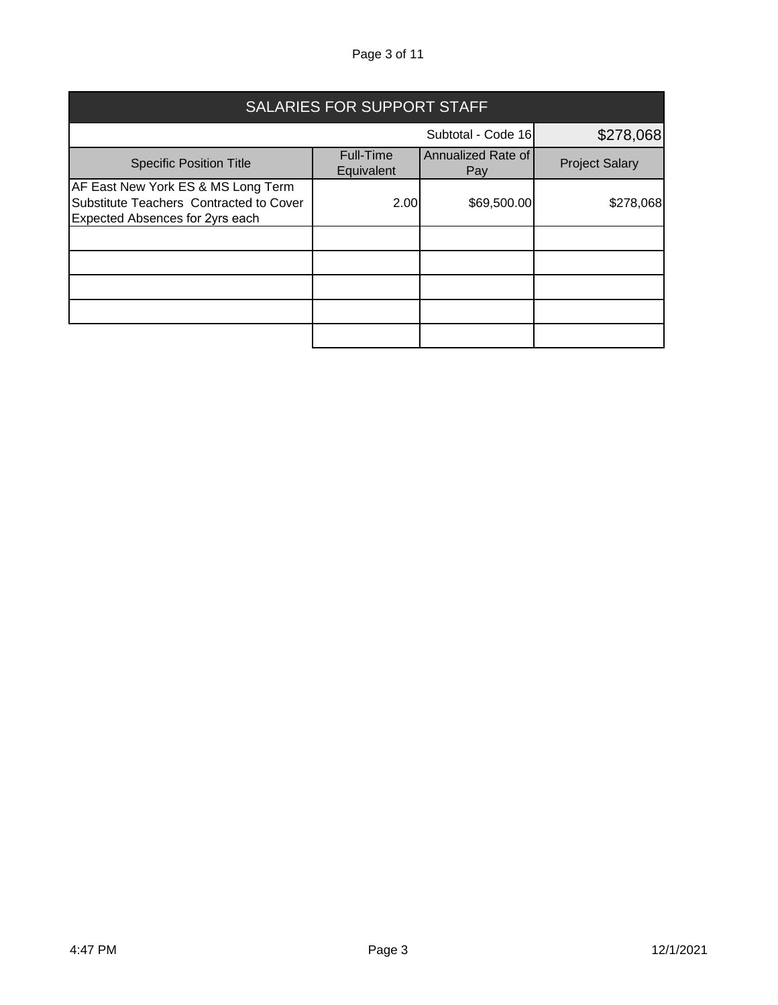# Page 3 of 11

| SALARIES FOR SUPPORT STAFF                                                                                       |                                 |                           |                       |
|------------------------------------------------------------------------------------------------------------------|---------------------------------|---------------------------|-----------------------|
|                                                                                                                  | Subtotal - Code 16<br>\$278,068 |                           |                       |
| <b>Specific Position Title</b>                                                                                   | Full-Time<br>Equivalent         | Annualized Rate of<br>Pay | <b>Project Salary</b> |
| AF East New York ES & MS Long Term<br>Substitute Teachers Contracted to Cover<br>Expected Absences for 2yrs each | 2.00                            | \$69,500.00               | \$278,068             |
|                                                                                                                  |                                 |                           |                       |
|                                                                                                                  |                                 |                           |                       |
|                                                                                                                  |                                 |                           |                       |
|                                                                                                                  |                                 |                           |                       |
|                                                                                                                  |                                 |                           |                       |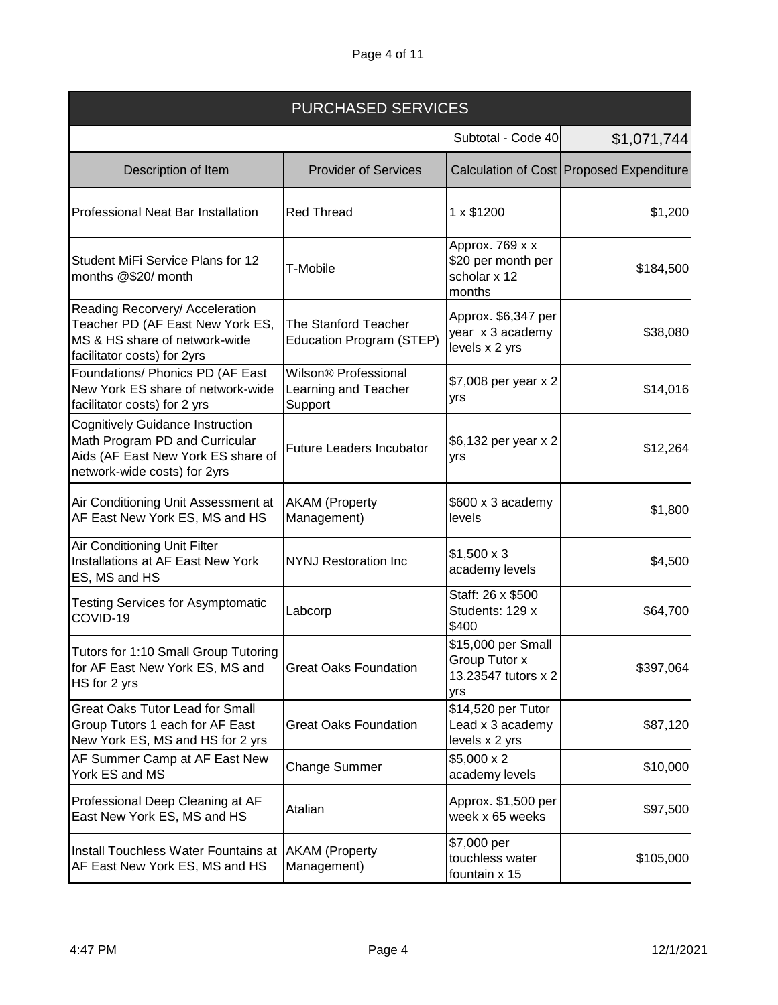| Page 4 of 11 |  |
|--------------|--|
|--------------|--|

| <b>PURCHASED SERVICES</b>                                                                                                                       |                                                         |                                                                   |                                          |
|-------------------------------------------------------------------------------------------------------------------------------------------------|---------------------------------------------------------|-------------------------------------------------------------------|------------------------------------------|
|                                                                                                                                                 |                                                         | Subtotal - Code 40                                                | \$1,071,744                              |
| Description of Item                                                                                                                             | <b>Provider of Services</b>                             |                                                                   | Calculation of Cost Proposed Expenditure |
| Professional Neat Bar Installation                                                                                                              | <b>Red Thread</b>                                       | 1 x \$1200                                                        | \$1,200                                  |
| Student MiFi Service Plans for 12<br>months @\$20/ month                                                                                        | T-Mobile                                                | Approx. 769 x x<br>\$20 per month per<br>scholar x 12<br>months   | \$184,500                                |
| Reading Recorvery/ Acceleration<br>Teacher PD (AF East New York ES,<br>MS & HS share of network-wide<br>facilitator costs) for 2yrs             | The Stanford Teacher<br>Education Program (STEP)        | Approx. \$6,347 per<br>year x 3 academy<br>levels x 2 yrs         | \$38,080                                 |
| Foundations/ Phonics PD (AF East<br>New York ES share of network-wide<br>facilitator costs) for 2 yrs                                           | Wilson® Professional<br>Learning and Teacher<br>Support | \$7,008 per year x 2<br>yrs                                       | \$14,016                                 |
| <b>Cognitively Guidance Instruction</b><br>Math Program PD and Curricular<br>Aids (AF East New York ES share of<br>network-wide costs) for 2yrs | <b>Future Leaders Incubator</b>                         | \$6,132 per year x 2<br>yrs                                       | \$12,264                                 |
| Air Conditioning Unit Assessment at<br>AF East New York ES, MS and HS                                                                           | <b>AKAM</b> (Property<br>Management)                    | \$600 x 3 academy<br>levels                                       | \$1,800                                  |
| Air Conditioning Unit Filter<br><b>Installations at AF East New York</b><br>ES, MS and HS                                                       | <b>NYNJ Restoration Inc</b>                             | $$1,500 \times 3$<br>academy levels                               | \$4,500                                  |
| <b>Testing Services for Asymptomatic</b><br>COVID-19                                                                                            | Labcorp                                                 | Staff: 26 x \$500<br>Students: 129 x<br>\$400                     | \$64,700                                 |
| Tutors for 1:10 Small Group Tutoring<br>for AF East New York ES, MS and<br>HS for 2 yrs                                                         | <b>Great Oaks Foundation</b>                            | \$15,000 per Small<br>Group Tutor x<br>13.23547 tutors x 2<br>yrs | \$397,064                                |
| <b>Great Oaks Tutor Lead for Small</b><br>Group Tutors 1 each for AF East<br>New York ES, MS and HS for 2 yrs                                   | <b>Great Oaks Foundation</b>                            | \$14,520 per Tutor<br>Lead x 3 academy<br>levels x 2 yrs          | \$87,120                                 |
| AF Summer Camp at AF East New<br>York ES and MS                                                                                                 | <b>Change Summer</b>                                    | $$5,000 \times 2$$<br>academy levels                              | \$10,000                                 |
| Professional Deep Cleaning at AF<br>East New York ES, MS and HS                                                                                 | Atalian                                                 | Approx. \$1,500 per<br>week x 65 weeks                            | \$97,500                                 |
| Install Touchless Water Fountains at<br>AF East New York ES, MS and HS                                                                          | <b>AKAM</b> (Property<br>Management)                    | \$7,000 per<br>touchless water<br>fountain x 15                   | \$105,000                                |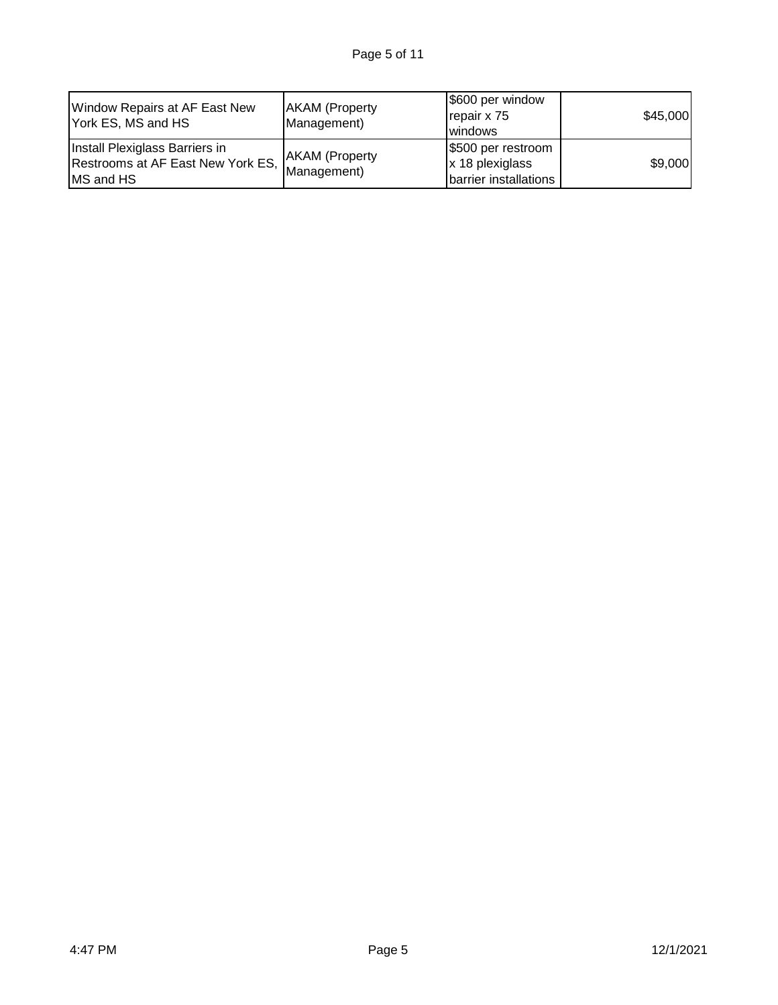| Window Repairs at AF East New<br>York ES, MS and HS                                      | <b>AKAM</b> (Property<br>Management) | \$600 per window<br>repair x 75<br>windows                     | \$45,000 |
|------------------------------------------------------------------------------------------|--------------------------------------|----------------------------------------------------------------|----------|
| Install Plexiglass Barriers in<br>Restrooms at AF East New York ES,<br><b>IMS and HS</b> | <b>AKAM</b> (Property<br>Management) | \$500 per restroom<br>x 18 plexiglass<br>barrier installations | \$9,000  |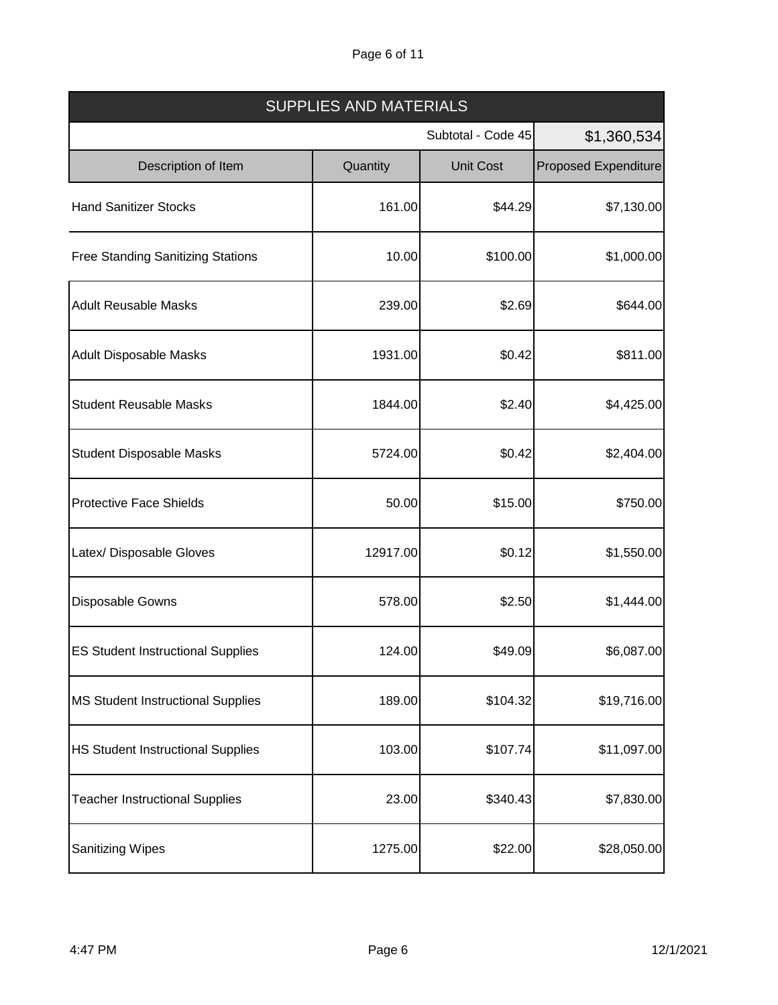# Page 6 of 11

| <b>SUPPLIES AND MATERIALS</b>            |          |                    |                             |
|------------------------------------------|----------|--------------------|-----------------------------|
|                                          |          | Subtotal - Code 45 | \$1,360,534                 |
| Description of Item                      | Quantity | <b>Unit Cost</b>   | <b>Proposed Expenditure</b> |
| <b>Hand Sanitizer Stocks</b>             | 161.00   | \$44.29            | \$7,130.00                  |
| <b>Free Standing Sanitizing Stations</b> | 10.00    | \$100.00           | \$1,000.00                  |
| <b>Adult Reusable Masks</b>              | 239.00   | \$2.69             | \$644.00                    |
| <b>Adult Disposable Masks</b>            | 1931.00  | \$0.42             | \$811.00                    |
| <b>Student Reusable Masks</b>            | 1844.00  | \$2.40             | \$4,425.00                  |
| <b>Student Disposable Masks</b>          | 5724.00  | \$0.42             | \$2,404.00                  |
| <b>Protective Face Shields</b>           | 50.00    | \$15.00            | \$750.00                    |
| Latex/ Disposable Gloves                 | 12917.00 | \$0.12             | \$1,550.00                  |
| <b>Disposable Gowns</b>                  | 578.00   | \$2.50             | \$1,444.00                  |
| <b>ES Student Instructional Supplies</b> | 124.00   | \$49.09            | \$6,087.00                  |
| <b>MS Student Instructional Supplies</b> | 189.00   | \$104.32           | \$19,716.00                 |
| <b>HS Student Instructional Supplies</b> | 103.00   | \$107.74           | \$11,097.00                 |
| <b>Teacher Instructional Supplies</b>    | 23.00    | \$340.43           | \$7,830.00                  |
| <b>Sanitizing Wipes</b>                  | 1275.00  | \$22.00            | \$28,050.00                 |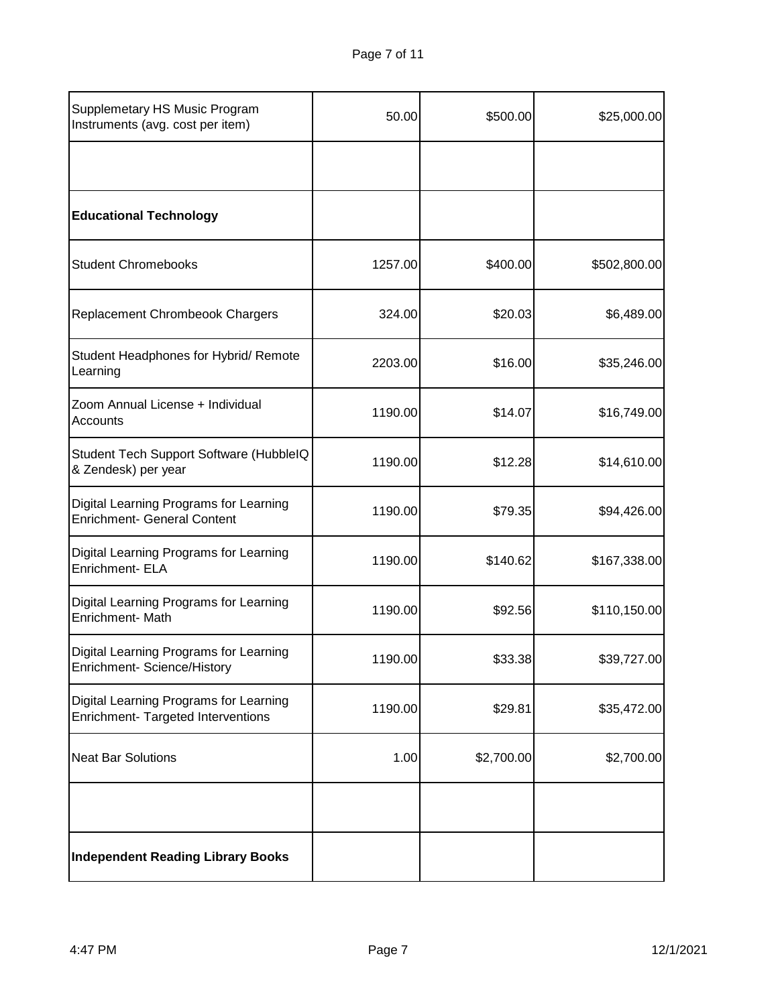| Supplemetary HS Music Program<br>Instruments (avg. cost per item)            | 50.00   | \$500.00   | \$25,000.00  |
|------------------------------------------------------------------------------|---------|------------|--------------|
|                                                                              |         |            |              |
| <b>Educational Technology</b>                                                |         |            |              |
| <b>Student Chromebooks</b>                                                   | 1257.00 | \$400.00   | \$502,800.00 |
| Replacement Chrombeook Chargers                                              | 324.00  | \$20.03    | \$6,489.00   |
| Student Headphones for Hybrid/ Remote<br>Learning                            | 2203.00 | \$16.00    | \$35,246.00  |
| Zoom Annual License + Individual<br>Accounts                                 | 1190.00 | \$14.07    | \$16,749.00  |
| Student Tech Support Software (HubbleIQ<br>& Zendesk) per year               | 1190.00 | \$12.28    | \$14,610.00  |
| Digital Learning Programs for Learning<br><b>Enrichment- General Content</b> | 1190.00 | \$79.35    | \$94,426.00  |
| Digital Learning Programs for Learning<br>Enrichment- ELA                    | 1190.00 | \$140.62   | \$167,338.00 |
| Digital Learning Programs for Learning<br>Enrichment- Math                   | 1190.00 | \$92.56    | \$110,150.00 |
| Digital Learning Programs for Learning<br>Enrichment- Science/History        | 1190.00 | \$33.38    | \$39,727.00  |
| Digital Learning Programs for Learning<br>Enrichment- Targeted Interventions | 1190.00 | \$29.81    | \$35,472.00  |
| <b>Neat Bar Solutions</b>                                                    | 1.00    | \$2,700.00 | \$2,700.00   |
|                                                                              |         |            |              |
| <b>Independent Reading Library Books</b>                                     |         |            |              |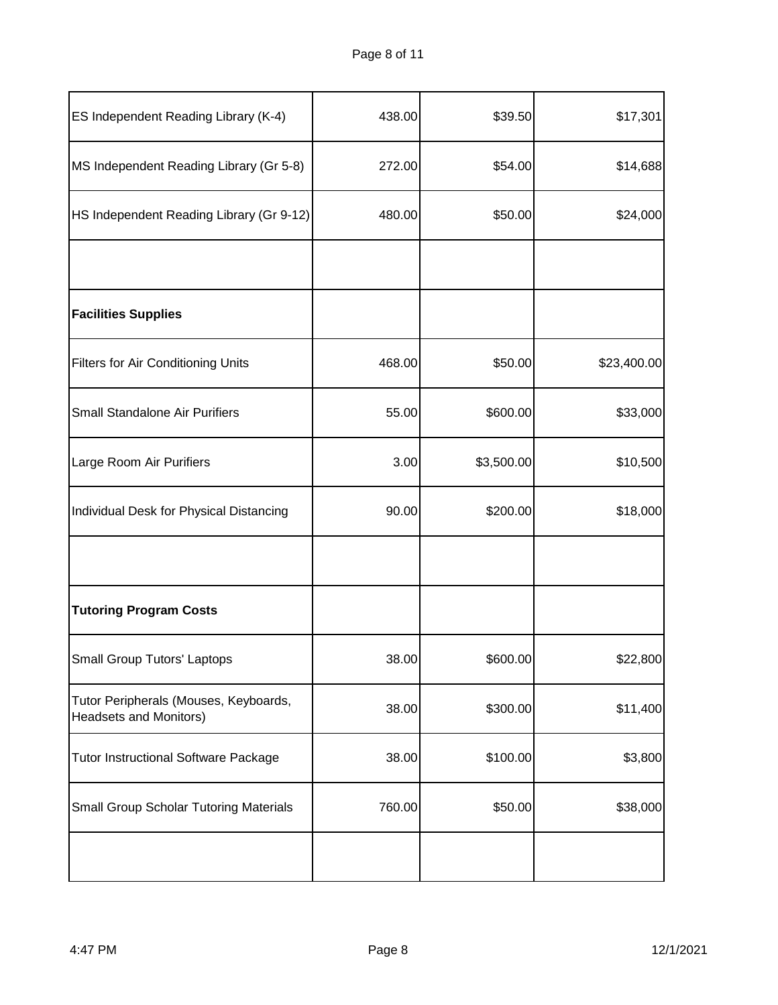| ES Independent Reading Library (K-4)                                   | 438.00 | \$39.50    | \$17,301    |
|------------------------------------------------------------------------|--------|------------|-------------|
| MS Independent Reading Library (Gr 5-8)                                | 272.00 | \$54.00    | \$14,688    |
| HS Independent Reading Library (Gr 9-12)                               | 480.00 | \$50.00    | \$24,000    |
|                                                                        |        |            |             |
| <b>Facilities Supplies</b>                                             |        |            |             |
| <b>Filters for Air Conditioning Units</b>                              | 468.00 | \$50.00    | \$23,400.00 |
| Small Standalone Air Purifiers                                         | 55.00  | \$600.00   | \$33,000    |
| Large Room Air Purifiers                                               | 3.00   | \$3,500.00 | \$10,500    |
| Individual Desk for Physical Distancing                                | 90.00  | \$200.00   | \$18,000    |
|                                                                        |        |            |             |
| <b>Tutoring Program Costs</b>                                          |        |            |             |
| Small Group Tutors' Laptops                                            | 38.00  | \$600.00   | \$22,800    |
| Tutor Peripherals (Mouses, Keyboards,<br><b>Headsets and Monitors)</b> | 38.00  | \$300.00   | \$11,400    |
| <b>Tutor Instructional Software Package</b>                            | 38.00  | \$100.00   | \$3,800     |
| <b>Small Group Scholar Tutoring Materials</b>                          | 760.00 | \$50.00    | \$38,000    |
|                                                                        |        |            |             |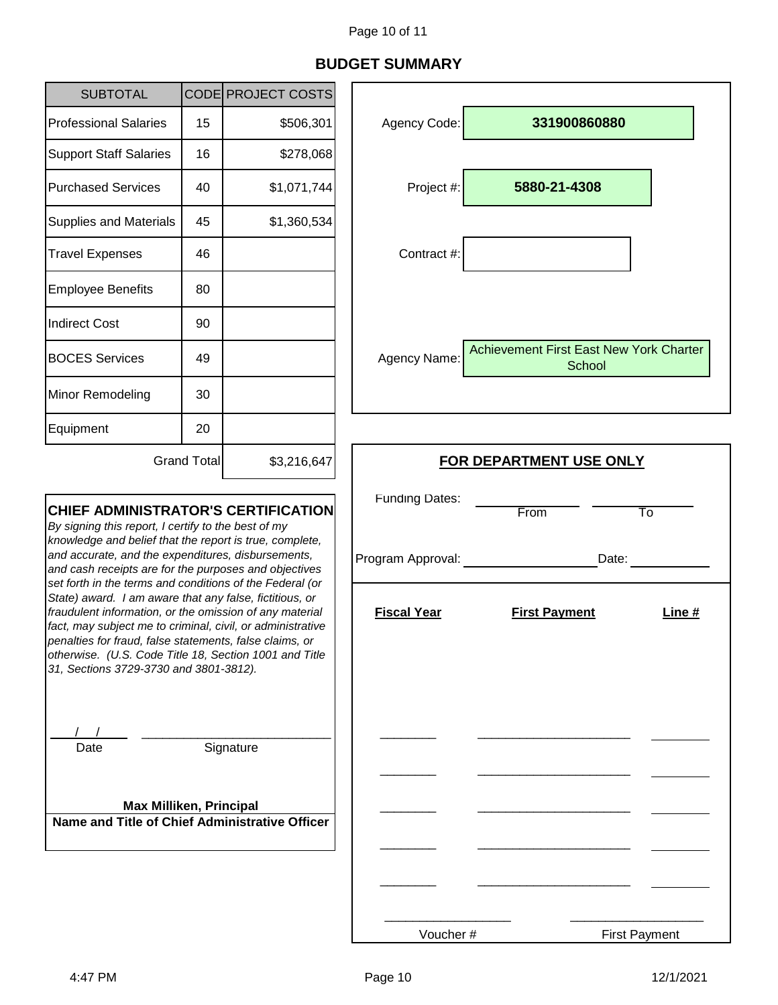# **BUDGET SUMMARY**

| <b>SUBTOTAL</b>                                                                                                                                                                                                                                                                                                                                                                                                                                                                                                                                                                                                                                                                            |                    | CODE PROJECT COSTS                         |                                  |                                                   |
|--------------------------------------------------------------------------------------------------------------------------------------------------------------------------------------------------------------------------------------------------------------------------------------------------------------------------------------------------------------------------------------------------------------------------------------------------------------------------------------------------------------------------------------------------------------------------------------------------------------------------------------------------------------------------------------------|--------------------|--------------------------------------------|----------------------------------|---------------------------------------------------|
| <b>Professional Salaries</b>                                                                                                                                                                                                                                                                                                                                                                                                                                                                                                                                                                                                                                                               | 15                 | \$506,301                                  | Agency Code:                     | 331900860880                                      |
| <b>Support Staff Salaries</b>                                                                                                                                                                                                                                                                                                                                                                                                                                                                                                                                                                                                                                                              | 16                 | \$278,068                                  |                                  |                                                   |
| <b>Purchased Services</b>                                                                                                                                                                                                                                                                                                                                                                                                                                                                                                                                                                                                                                                                  | 40                 | \$1,071,744                                | Project #:                       | 5880-21-4308                                      |
| <b>Supplies and Materials</b>                                                                                                                                                                                                                                                                                                                                                                                                                                                                                                                                                                                                                                                              | 45                 | \$1,360,534                                |                                  |                                                   |
| <b>Travel Expenses</b>                                                                                                                                                                                                                                                                                                                                                                                                                                                                                                                                                                                                                                                                     | 46                 |                                            | Contract #:                      |                                                   |
| <b>Employee Benefits</b>                                                                                                                                                                                                                                                                                                                                                                                                                                                                                                                                                                                                                                                                   | 80                 |                                            |                                  |                                                   |
| <b>Indirect Cost</b>                                                                                                                                                                                                                                                                                                                                                                                                                                                                                                                                                                                                                                                                       | 90                 |                                            |                                  |                                                   |
| <b>BOCES Services</b>                                                                                                                                                                                                                                                                                                                                                                                                                                                                                                                                                                                                                                                                      | 49                 |                                            | Agency Name:                     | Achievement First East New York Charter<br>School |
| Minor Remodeling                                                                                                                                                                                                                                                                                                                                                                                                                                                                                                                                                                                                                                                                           | 30                 |                                            |                                  |                                                   |
| Equipment                                                                                                                                                                                                                                                                                                                                                                                                                                                                                                                                                                                                                                                                                  | 20                 |                                            |                                  |                                                   |
|                                                                                                                                                                                                                                                                                                                                                                                                                                                                                                                                                                                                                                                                                            | <b>Grand Total</b> | \$3,216,647                                | FOR DEPARTMENT USE ONLY          |                                                   |
| <b>CHIEF ADMINISTRATOR'S CERTIFICATION</b><br>By signing this report, I certify to the best of my<br>knowledge and belief that the report is true, complete,<br>and accurate, and the expenditures, disbursements,<br>and cash receipts are for the purposes and objectives<br>set forth in the terms and conditions of the Federal (or<br>State) award. I am aware that any false, fictitious, or<br>fraudulent information, or the omission of any material<br>fact, may subject me to criminal, civil, or administrative<br>penalties for fraud, false statements, false claims, or<br>otherwise. (U.S. Code Title 18, Section 1001 and Title<br>31, Sections 3729-3730 and 3801-3812). |                    | <b>Funding Dates:</b><br>Program Approval: | From<br>То<br>Date:              |                                                   |
|                                                                                                                                                                                                                                                                                                                                                                                                                                                                                                                                                                                                                                                                                            |                    | <b>Fiscal Year</b>                         | <b>First Payment</b><br>Line $#$ |                                                   |
| Date<br><b>Max Milliken, Principal</b><br>Name and Title of Chief Administrative Officer                                                                                                                                                                                                                                                                                                                                                                                                                                                                                                                                                                                                   |                    | Signature                                  |                                  |                                                   |
|                                                                                                                                                                                                                                                                                                                                                                                                                                                                                                                                                                                                                                                                                            |                    |                                            |                                  |                                                   |

Voucher #

J.

First Payment